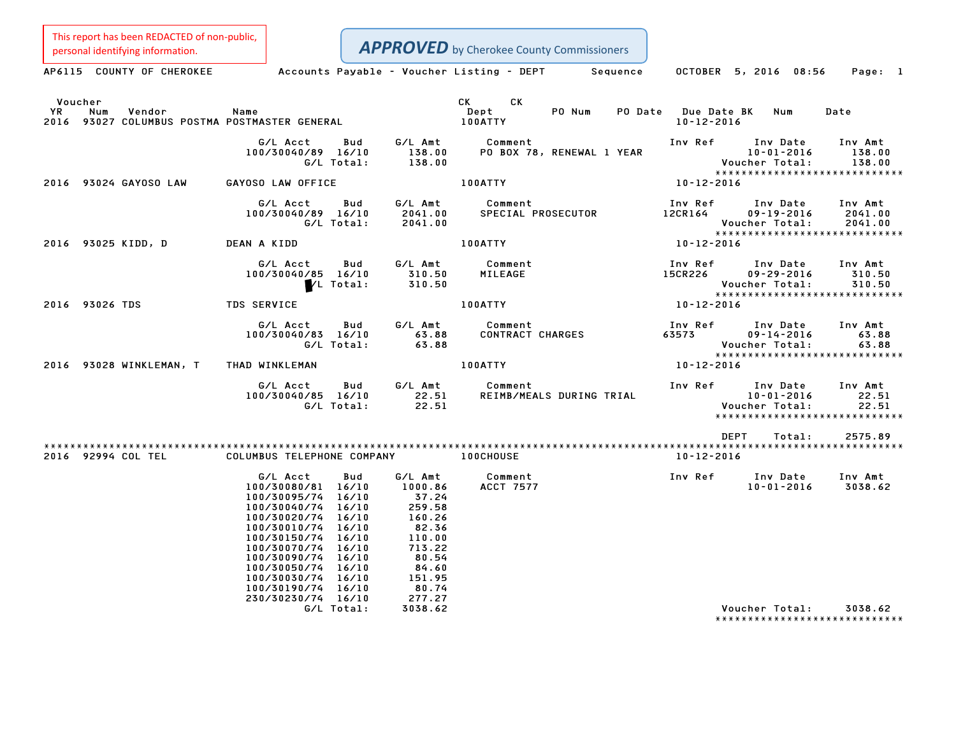This report has been REDACTED of non-public,

| personal identifying information.                                               |                                                                                                                                                                                                                                                                                  |                                                                                                                                                                               | <b>APPROVED</b> by Cherokee County Commissioners                                                                                                                                                                                                                  |                                         |                                                                           |                             |
|---------------------------------------------------------------------------------|----------------------------------------------------------------------------------------------------------------------------------------------------------------------------------------------------------------------------------------------------------------------------------|-------------------------------------------------------------------------------------------------------------------------------------------------------------------------------|-------------------------------------------------------------------------------------------------------------------------------------------------------------------------------------------------------------------------------------------------------------------|-----------------------------------------|---------------------------------------------------------------------------|-----------------------------|
| AP6115 COUNTY OF CHEROKEE                                                       |                                                                                                                                                                                                                                                                                  |                                                                                                                                                                               | Accounts Payable – Voucher Listing – DEPT Sequence OCTOBER 5, 2016 08:56                                                                                                                                                                                          |                                         |                                                                           | Page: 1                     |
| Voucher<br>YR<br>Num<br>Vendor<br>2016 93027 COLUMBUS POSTMA POSTMASTER GENERAL | Name                                                                                                                                                                                                                                                                             |                                                                                                                                                                               | CK and the set of the set of the set of the set of the set of the set of the set of the set of the set of the set of the set of the set of the set of the set of the set of the set of the set of the set of the set of the se<br>CK<br>Dept<br>PO Num<br>100ATTY | PO Date Due Date BK<br>$10 - 12 - 2016$ | Num                                                                       | Date                        |
|                                                                                 | G/L Acct<br>100/30040/89 16/10<br>G/L Total:                                                                                                                                                                                                                                     | G/L Amt<br>Bud<br>138.00<br>138.00                                                                                                                                            | Comment<br>PO BOX 78, RENEWAL 1 YEAR                                                                                                                                                                                                                              | Inv Ref                                 | Inv Date<br>10-01-2016<br>10-01-2016<br>:Voucher Total                    | Inv Amt<br>138.00<br>138.00 |
| 2016 93024 GAYOSO LAW                                                           | GAYOSO LAW OFFICE                                                                                                                                                                                                                                                                |                                                                                                                                                                               | 100ATTY                                                                                                                                                                                                                                                           | 10-12-2016                              |                                                                           |                             |
|                                                                                 | G/L Acct<br>100/30040/89 16/10<br>G/L Total:                                                                                                                                                                                                                                     | Bud<br>G/L Amt<br>2041.00<br>2041.00<br>2041.00                                                                                                                               | Comment<br>SPECIAL PROSECUTOR                                                                                                                                                                                                                                     | Inv Ref<br>12CR164                      | Inv Date Inv Amt<br>$09 - 19 - 2016$<br>Voucher Total:                    | 2041.00<br>2041.00          |
| 2016 93025 KIDD, D                                                              | DEAN A KIDD                                                                                                                                                                                                                                                                      |                                                                                                                                                                               | <b>100ATTY</b>                                                                                                                                                                                                                                                    | 10-12-2016                              | *****************************                                             |                             |
|                                                                                 | G/L Acct<br>100/30040/85 16/10<br>VL Total:                                                                                                                                                                                                                                      | G/L Amt<br>Bud<br>310.50<br>310.50                                                                                                                                            | Comment<br>MILEAGE                                                                                                                                                                                                                                                | Inv Ref<br><b>15CR226</b>               | Inv Date<br>$09 - 29 - 2016$<br>Voucher Total:                            | Inv Amt<br>310.50<br>310.50 |
| 2016 93026 TDS                                                                  | <b>TDS SERVICE</b>                                                                                                                                                                                                                                                               |                                                                                                                                                                               | 100ATTY                                                                                                                                                                                                                                                           | 10-12-2016                              | *****************************                                             |                             |
|                                                                                 | G/L Acct<br>100/30040/83 16/10<br>G/L Total:                                                                                                                                                                                                                                     | Bud<br>G/L Amt<br>63.88<br>63.88                                                                                                                                              | Comment<br>CONTRACT CHARGES                                                                                                                                                                                                                                       | Inv Ref<br>63577                        | Inv Date<br>09-14-2016<br>Voucher Total:<br>***************************** | Inv Amt<br>63.88<br>63.88   |
| 2016 93028 WINKLEMAN, T                                                         | THAD WINKLEMAN                                                                                                                                                                                                                                                                   |                                                                                                                                                                               | <b>100ATTY</b>                                                                                                                                                                                                                                                    | 10-12-2016                              |                                                                           |                             |
|                                                                                 | G/L Acct<br>100/30040/85 16/10<br>G/L Total:                                                                                                                                                                                                                                     | G/L Amt<br>Bud<br>22.51<br>22.51                                                                                                                                              | Comment<br>REIMB/MEALS DURING TRIAL                                                                                                                                                                                                                               | Inv Ref                                 | Inv Date<br>10-01-2016<br>Voucher Total:<br>***************************** | Inv Amt<br>22.51<br>22.51   |
|                                                                                 |                                                                                                                                                                                                                                                                                  |                                                                                                                                                                               |                                                                                                                                                                                                                                                                   | DEPT                                    | Total:                                                                    | 2575.89                     |
| 2016 92994 COL TEL                                                              | COLUMBUS TELEPHONE COMPANY                                                                                                                                                                                                                                                       |                                                                                                                                                                               | <b>100CHOUSE</b>                                                                                                                                                                                                                                                  | 10-12-2016                              |                                                                           |                             |
|                                                                                 | G/L Acct<br>100/30080/81 16/10<br>100/30095/74 16/10<br>100/30040/74 16/10<br>100/30020/74 16/10<br>100/30010/74 16/10<br>100/30150/74 16/10<br>100/30070/74 16/10<br>100/30090/74 16/10<br>100/30050/74 16/10<br>100/30030/74 16/10<br>100/30190/74 16/10<br>230/30230/74 16/10 | Bud<br>G/L Amt<br>1000.86<br>$\begin{array}{r} 37.24 \\ 37.24 \\ 259.58 \\ 160.26 \\ 82.36 \\ 110.00 \\ 713.22 \\ \end{array}$<br>80.54<br>84.60<br>151.95<br>80.74<br>277.27 | Comment<br><b>ACCT 7577</b>                                                                                                                                                                                                                                       | Inv Ref                                 | Inv Date<br>$10 - 01 - 2016$                                              | Inv Amt<br>3038.62          |
|                                                                                 | G/L Total:                                                                                                                                                                                                                                                                       | 3038.62                                                                                                                                                                       |                                                                                                                                                                                                                                                                   |                                         | Voucher Total:<br>*******************************                         | 3038.62                     |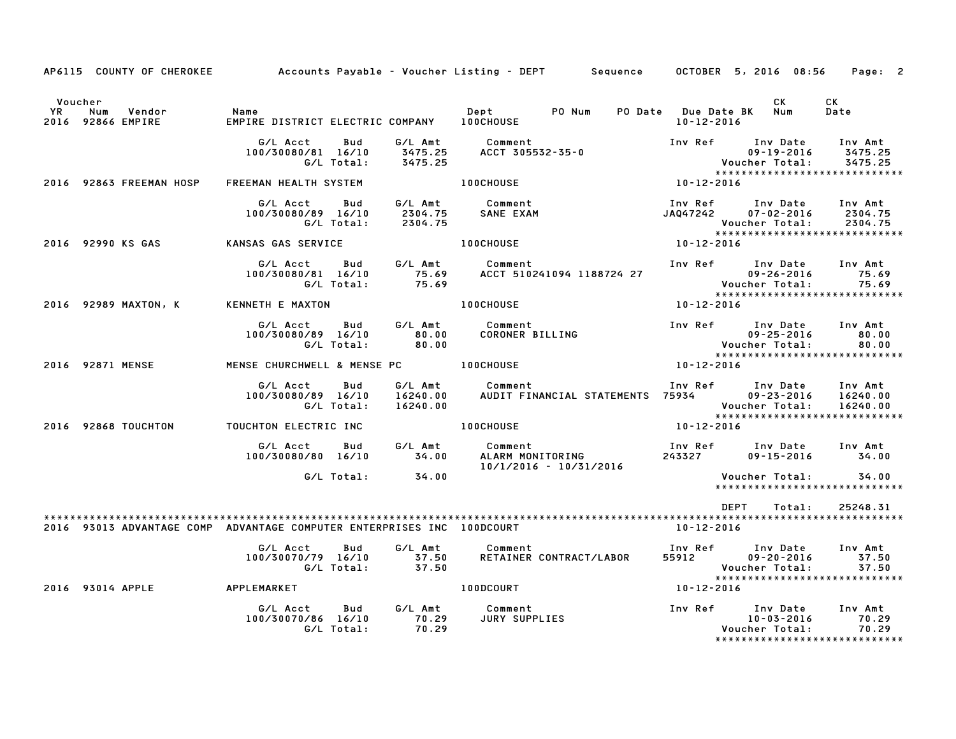|                      |                                    |                                                                        |                                                                           | AP6115 COUNTY OF CHEROKEE 6 Accounts Payable - Voucher Listing - DEPT 5 Sequence 6 OCTOBER 5, 2016 08:56 Page: 2 |                  |                                                                                              |                                 |
|----------------------|------------------------------------|------------------------------------------------------------------------|---------------------------------------------------------------------------|------------------------------------------------------------------------------------------------------------------|------------------|----------------------------------------------------------------------------------------------|---------------------------------|
| Voucher<br><b>YR</b> | Num<br>Vendor<br>2016 92866 EMPIRE | Name<br>EMPIRE DISTRICT ELECTRIC COMPANY 100CHOUSE                     |                                                                           | Dept PO Num                                                                                                      | $10 - 12 - 2016$ | <b>CK</b><br>PO Date Due Date BK Num                                                         | <b>CK</b><br>Date               |
|                      |                                    | G/L Acct<br>Bud<br>100/30080/81 16/10<br>G/L Total:                    | G/L Amt<br>3475.25<br>3475.25                                             | Comment<br>ACCT 305532-35-0                                                                                      |                  | Inv Ref Inv Date<br>$09 - 19 - 2016$<br>Voucher Total:<br>******************************     | Inv Amt<br>3475.25<br>3475.25   |
|                      | 2016 92863 FREEMAN HOSP            | FREEMAN HEALTH SYSTEM                                                  |                                                                           | 100CHOUSE                                                                                                        | 10-12-2016       |                                                                                              |                                 |
|                      |                                    | G/L Acct<br>Bud<br>100/30080/89 16/10<br>G/L Total:                    | 2304.75<br>2304.75                                                        | G/L Amt Comment<br>SANE EXAM                                                                                     |                  | Inv Ref Inv Date<br>JAQ47242 07-02-2016<br>Voucher Total:<br>*****************************   | Inv Amt<br>2304.75<br>2304.75   |
|                      | 2016 92990 KS GAS                  | KANSAS GAS SERVICE                                                     |                                                                           | <b>100CHOUSE</b>                                                                                                 | 10-12-2016       |                                                                                              |                                 |
|                      |                                    | G/L Acct<br>Bud<br>100/30080/81 16/10<br>G/L Total:                    | G/L Amt<br>75.69<br>75.69                                                 | Comment<br>ACCT 510241094 1188724 27                                                                             |                  | Inv Ref Inv Date<br>09-26-2016<br>09-26-2016 Voucher Total:                                  | Inv Amt<br>75.69<br>75.69       |
|                      | 2016 92989 MAXTON, K               | KENNETH E MAXTON                                                       |                                                                           | <b>100CHOUSE</b>                                                                                                 | 10-12-2016       |                                                                                              |                                 |
|                      |                                    | G/L Acct<br><b>Bud</b><br>100/30080/89 16/10<br>G/L Total:             | G/L Amt<br>$\begin{array}{c} \texttt{80.00} \ \texttt{80.00} \end{array}$ | Comment<br>CORONER BILLING                                                                                       |                  | Inv Ref Inv Date Inv Amt<br>$09 - 25 - 2016$                                                 | 80.00<br>80.00                  |
|                      | 2016 92871 MENSE                   | MENSE CHURCHWELL & MENSE PC 100CHOUSE                                  |                                                                           |                                                                                                                  | $10 - 12 - 2016$ |                                                                                              |                                 |
|                      |                                    | G/L Acct<br>Bud<br>100/30080/89 16/10<br>G/L Total:                    | 16240.00<br>16240.00                                                      | G/L Amt Comment<br>AUDIT FINANCIAL STATEMENTS 75934 09-23-2016                                                   |                  | Inv Ref Inv Date<br>Voucher Total:<br>******************************                         | Inv Amt<br>16240.00<br>16240.00 |
|                      | 2016 92868 TOUCHTON                | TOUCHTON ELECTRIC INC                                                  |                                                                           | <b>100CHOUSE</b>                                                                                                 | $10 - 12 - 2016$ |                                                                                              |                                 |
|                      |                                    | G/L Acct<br>100/30080/80 16/10                                         | Bud G/L Amt<br>34.00                                                      | Comment<br><b>COMMENT<br/>ALARM MONITORING</b><br>10/1/2016 - 10/31/2016                                         | 243327           | Inv Ref Inv Date Inv Amt<br>$09 - 15 - 2016$                                                 | 34.00                           |
|                      |                                    | G/L Total:                                                             | 34.00                                                                     |                                                                                                                  |                  | Voucher Total:<br>******************************                                             | 34.00                           |
|                      |                                    |                                                                        |                                                                           |                                                                                                                  |                  | DEPT<br>Total:                                                                               | 25248.31                        |
|                      |                                    | 2016 93013 ADVANTAGE COMP ADVANTAGE COMPUTER ENTERPRISES INC 100DCOURT |                                                                           |                                                                                                                  | 10-12-2016       |                                                                                              |                                 |
|                      |                                    | G/L Acct<br>Bud<br>100/30070/79 16/10<br>G/L Total:                    | G/L Amt<br>37.50<br>37.50                                                 | Comment<br>RETAINER CONTRACT/LABOR                                                                               |                  | Inv Ref Inv Date<br>55912 09-20-2016<br>Voucher Total: 37.50<br>**************************** | Inv Amt<br>37.50                |
|                      | 2016 93014 APPLE APPLEMARKET       |                                                                        |                                                                           | 100DCOURT                                                                                                        | 10-12-2016       |                                                                                              |                                 |
|                      |                                    | G/L Acct<br>Bud<br>100/30070/86 16/10<br>G/L Total:                    | 70.29<br>70.29                                                            | G/L Amt Comment<br><b>JURY SUPPLIES</b>                                                                          |                  | Inv Ref      Inv Date<br>10-03-2016<br>Voucher Total:<br>*****************************       | Inv Amt<br>70.29<br>70.29       |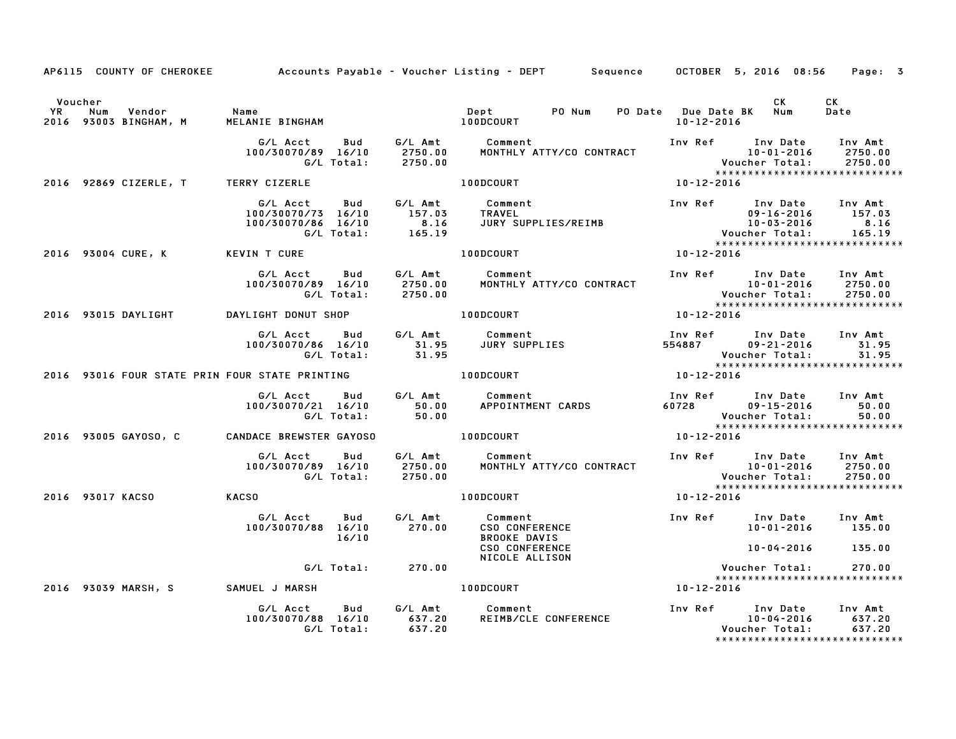|         | AP6115 COUNTY OF CHEROKEE Accounts Payable – Voucher Listing – DEPT Sequence OCTOBER 5, 2016 08:56                                |                                                                                                                                                                                                                                                      |  |                          |                                                                                   |            |                                                  | Page: 3          |  |
|---------|-----------------------------------------------------------------------------------------------------------------------------------|------------------------------------------------------------------------------------------------------------------------------------------------------------------------------------------------------------------------------------------------------|--|--------------------------|-----------------------------------------------------------------------------------|------------|--------------------------------------------------|------------------|--|
| Voucher | YR Num Vendor - Name<br>2016 93003 BINGHAM, M - MELANIE BINGHAM                                                                   |                                                                                                                                                                                                                                                      |  |                          |                                                                                   |            | <b>CK</b>                                        | CK<br>Date       |  |
|         |                                                                                                                                   | G/L Acct Bud G/L Amt Comment Inv Ref Inv Date Inv Amt<br>100/30070/89 16/10 2750.00 MONTHLY ATTY/CO CONTRACT 10-01-2016 2750.00<br>G/L Total: 2750.00 MONTHLY ATTY/CO CONTRACT Voucher Total: 2750.00<br>******************************              |  |                          |                                                                                   |            |                                                  |                  |  |
|         | 2016 92869 CIZERLE, T TERRY CIZERLE                                                                                               |                                                                                                                                                                                                                                                      |  | $100DCOURT$ $10-12-2016$ |                                                                                   |            |                                                  |                  |  |
|         |                                                                                                                                   | 6/LAcct Bud G/LAmt Comment<br>100/30070/73 16/10 157.03 TRAVEL 100/30070/73 16/10 157.03 TRAVEL<br>100/30070/86 16/10 8.16 JURY SUPPLIES/REIMB 10-03-2016 157.03<br>6/LTotal: 165.19 Voucher Total: 165.19<br>VINTCURE 100DCOURT 10-12               |  |                          |                                                                                   |            |                                                  |                  |  |
|         | 2016 93004 CURE, K KEVIN T CURE                                                                                                   |                                                                                                                                                                                                                                                      |  |                          |                                                                                   |            | *****************************                    |                  |  |
|         |                                                                                                                                   | G/L Acct Bud G/L Amt Comment Inv Ref Inv Date Inv Amt<br>100/30070/89 16/10 2750.00 MONTHLY ATTY/CO CONTRACT 10-01-2016 2750.00<br>G/L Total: 2750.00 MONTHLY ATTY/CO CONTRACT Voucher Total: 2750.00<br>******************************              |  |                          |                                                                                   |            |                                                  |                  |  |
|         | 2016 93015 DAYLIGHT                                                                                                               | DAYLIGHT DONUT SHOP                                                                                                                                                                                                                                  |  | 100DCOURT 10-12-2016     |                                                                                   |            |                                                  |                  |  |
|         |                                                                                                                                   | G/L Acct Bud G/L Amt Comment Inv Ref Inv Date Inv Amt<br>100/30070/86 16/10 31.95 JURY SUPPLIES 554887 09–21–2016 31.95<br>G/L Total: 31.95 Supplies Supplies 554887 Voucher Total: 31.95                                                            |  |                          |                                                                                   |            |                                                  |                  |  |
|         | G/L Total: 31.95<br>2016 93016 FOUR STATE PRIN FOUR STATE PRINTING 100DCOURT 10-12-2016 93016 FOUR STATE PRIN FOUR STATE PRINTING |                                                                                                                                                                                                                                                      |  |                          |                                                                                   |            |                                                  |                  |  |
|         |                                                                                                                                   |                                                                                                                                                                                                                                                      |  |                          |                                                                                   |            |                                                  |                  |  |
|         | 2016 93005 GAYOSO, C CANDACE BREWSTER GAYOSO 6 100DCOURT                                                                          |                                                                                                                                                                                                                                                      |  |                          |                                                                                   | 10-12-2016 | *****************************                    |                  |  |
|         |                                                                                                                                   | G/L Acct Bud G/L Amt Comment Inv Ref Inv Date Inv Amt<br>100/30070/89 16/10 2750.00 MONTHLY ATTY/CO CONTRACT 10-01-2016 2750.00<br>G/L Total: 2750.00 MONTHLY ATTY/CO CONTRACT Voucher Total: 2750.00<br>******************************              |  |                          |                                                                                   |            |                                                  |                  |  |
|         | 2016 93017 KACSO KACSO                                                                                                            |                                                                                                                                                                                                                                                      |  |                          |                                                                                   |            |                                                  |                  |  |
|         |                                                                                                                                   | 6/L Acct 6<br>9/230070/89 16/10<br>9/250070/89 16/10<br>9/250070/88 16/10<br>9/270.00 CSO CONFERENCE<br>16/10 270.00 CSO CONFERENCE<br>16/10 BROOKE DAVIS<br>CSO CONFERENCE<br>CSO CONFERENCE<br>NICOLE ALLISON<br>PROOKE DAVIS Voucher Total:<br>Vo |  |                          |                                                                                   |            | Inv Ref Inv Date Inv Amt<br>10-01-2016 135.00    |                  |  |
|         |                                                                                                                                   |                                                                                                                                                                                                                                                      |  |                          |                                                                                   |            | $10 - 04 - 2016$ 135.00                          |                  |  |
|         |                                                                                                                                   |                                                                                                                                                                                                                                                      |  |                          |                                                                                   |            | *****************************                    | 270.00           |  |
|         | 2016 93039 MARSH, S SAMUEL J MARSH NAROM MARSH NARODOOURT                                                                         |                                                                                                                                                                                                                                                      |  |                          |                                                                                   |            |                                                  |                  |  |
|         |                                                                                                                                   | G/L Acct  Bud  G/L Amt  Comment<br>100/30070/88  16/10  637.20  REIMB/CLE<br>G/L Total:  637.20                                                                                                                                                      |  |                          | 10-04-2016 CONFERENCE Manuscript Inv Ref inv Date Inv Amt<br>REIMB/CLE CONFERENCE |            | Voucher Total:<br>****************************** | 637.20<br>637.20 |  |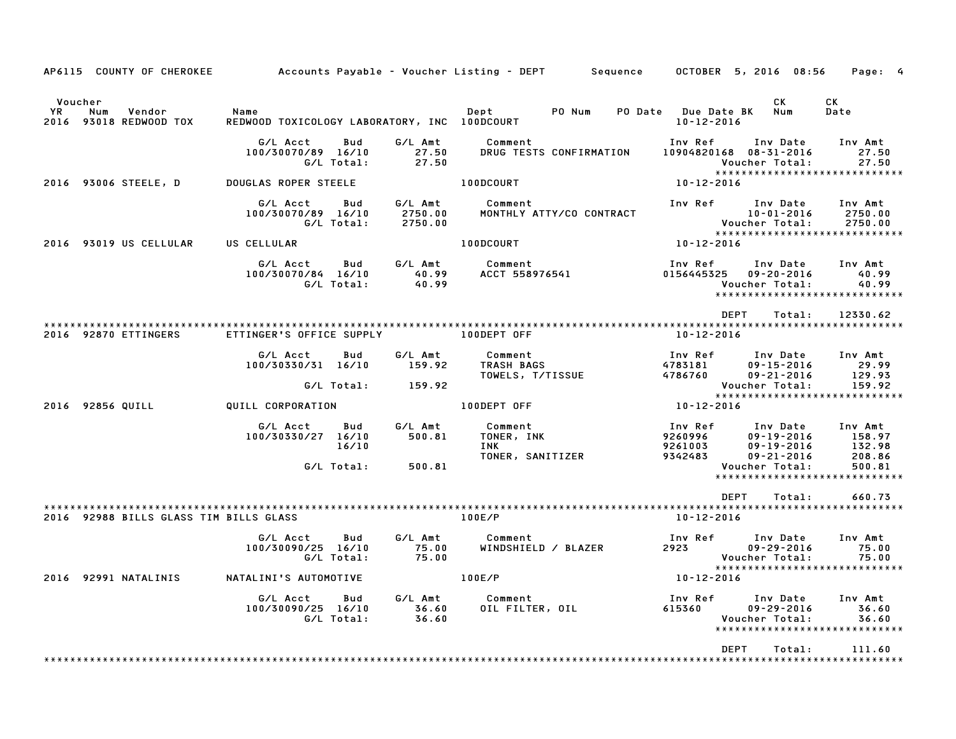| AP6115 COUNTY OF CHEROKEE                                   |                                                              |                                  | Accounts Payable – Voucher Listing – DEPT<br>Sequence | OCTOBER 5, 2016 08:56                                                                                                                                                | Page: 4                                         |
|-------------------------------------------------------------|--------------------------------------------------------------|----------------------------------|-------------------------------------------------------|----------------------------------------------------------------------------------------------------------------------------------------------------------------------|-------------------------------------------------|
| Voucher<br>YR<br>Num<br>Vendor<br>2016<br>93018 REDWOOD TOX | Name<br>REDWOOD TOXICOLOGY LABORATORY, INC 100DCOURT         |                                  | PO Num<br>Dept                                        | СK<br>PO Date Due Date BK<br>Num<br>$10 - 12 - 2016$                                                                                                                 | СK<br>Date                                      |
|                                                             | G/L Acct<br>Bud<br>100/30070/89 16/10<br>G/L Total:          | G/L Amt<br>27.50<br>27.50        | Comment<br>DRUG TESTS CONFIRMATION                    | Inv Ref<br>Inv Date<br>10904820168  08-31-2016<br>Voucher Total:<br>*****************************                                                                    | Inv Amt<br>27.50<br>27.50                       |
| 2016 93006 STEELE, D                                        | DOUGLAS ROPER STEELE                                         |                                  | 100DCOURT                                             | $10 - 12 - 2016$                                                                                                                                                     |                                                 |
|                                                             | G/L Acct<br><b>Bud</b><br>100/30070/89 16/10<br>G/L Total:   | G/L Amt<br>2750.00<br>2750.00    | Comment<br>MONTHLY ATTY/CO CONTRACT                   | Inv Ref<br>Inv Date<br>$10 - 01 - 2016$<br>Voucher Total:<br>*****************************                                                                           | Inv Amt<br>2750.00<br>2750.00                   |
| 2016 93019 US CELLULAR                                      | US CELLULAR                                                  |                                  | 100DCOURT                                             | 10-12-2016                                                                                                                                                           |                                                 |
|                                                             | G/L Acct<br>100/30070/84 16/10<br>G/L Total:                 | Bud<br>G/L Amt<br>40.99<br>40.99 | Comment<br>ACCT 558976541                             | Inv Ref<br>Inv Date<br>0156445325<br>$09 - 20 - 2016$<br>Voucher Total:<br>*****************************                                                             | Inv Amt<br>40.99<br>40.99                       |
|                                                             |                                                              |                                  |                                                       | <b>DEPT</b><br>Total:                                                                                                                                                | 12330.62                                        |
| 2016 92870 ETTINGERS                                        | ETTINGER'S OFFICE SUPPLY                                     |                                  | 100DEPT OFF                                           | $10 - 12 - 2016$                                                                                                                                                     |                                                 |
|                                                             | G/L Acct<br>Bud<br>100/30330/31 16/10                        | G/L Amt<br>159.92                | Comment<br>TRASH BAGS<br>TOWELS, T/TISSUE             | Inv Ref<br>Inv Date<br>4783181<br>$09 - 15 - 2016$<br>4786760<br>$09 - 21 - 2016$                                                                                    | Inv Amt<br>29.99<br>129.93                      |
|                                                             | G/L Total:                                                   | 159.92                           |                                                       | Voucher Total:<br>*****************************                                                                                                                      | 159.92                                          |
| 2016 92856 QUILL                                            | QUILL CORPORATION                                            |                                  | 100DEPT OFF                                           | 10-12-2016                                                                                                                                                           |                                                 |
|                                                             | G/L Acct<br>Bud<br>100/30330/27 16/10<br>16/10<br>G/L Total: | G/L Amt<br>500.81<br>500.81      | Comment<br>TONER, INK<br>INK<br>TONER, SANITIZER      | Inv Ref<br>Inv Date<br>9260996<br>$09 - 19 - 2016$<br>9261003<br>$09 - 19 - 2016$<br>9342483<br>$09 - 21 - 2016$<br>Voucher Total:<br>****************************** | Inv Amt<br>158.97<br>132.98<br>208.86<br>500.81 |
|                                                             |                                                              |                                  |                                                       | <b>DEPT</b><br>Total:                                                                                                                                                | 660.73                                          |
|                                                             |                                                              |                                  |                                                       |                                                                                                                                                                      |                                                 |
| 2016 92988 BILLS GLASS TIM BILLS GLASS                      |                                                              |                                  | 100E/P                                                | 10-12-2016                                                                                                                                                           |                                                 |
|                                                             | G/L Acct<br>Bud<br>100/30090/25 16/10<br>G/L Total:          | G/L Amt<br>75.00<br>75.00        | Comment<br>WINDSHIELD / BLAZER                        | Inv Ref<br>Inv Date<br>2923<br>$09 - 29 - 2016$<br>Voucher Total:<br>*****************************                                                                   | Inv Amt<br>75.00<br>75.00                       |
| 2016 92991 NATALINIS                                        | NATALINI'S AUTOMOTIVE                                        |                                  | 100E/P                                                | 10-12-2016                                                                                                                                                           |                                                 |
|                                                             | G/L Acct<br>Bud<br>100/30090/25 16/10<br>G/L Total:          | G/L Amt<br>36.60<br>36.60        | Comment<br>OIL FILTER, OIL                            | Inv Ref<br>Inv Date<br>615360<br>$09 - 29 - 2016$<br>Voucher Total:<br>*****************************                                                                 | Inv Amt<br>36.60<br>36.60                       |
|                                                             |                                                              |                                  |                                                       | <b>DEPT</b><br>Total:                                                                                                                                                | 111.60<br>* * * * * * * * * *                   |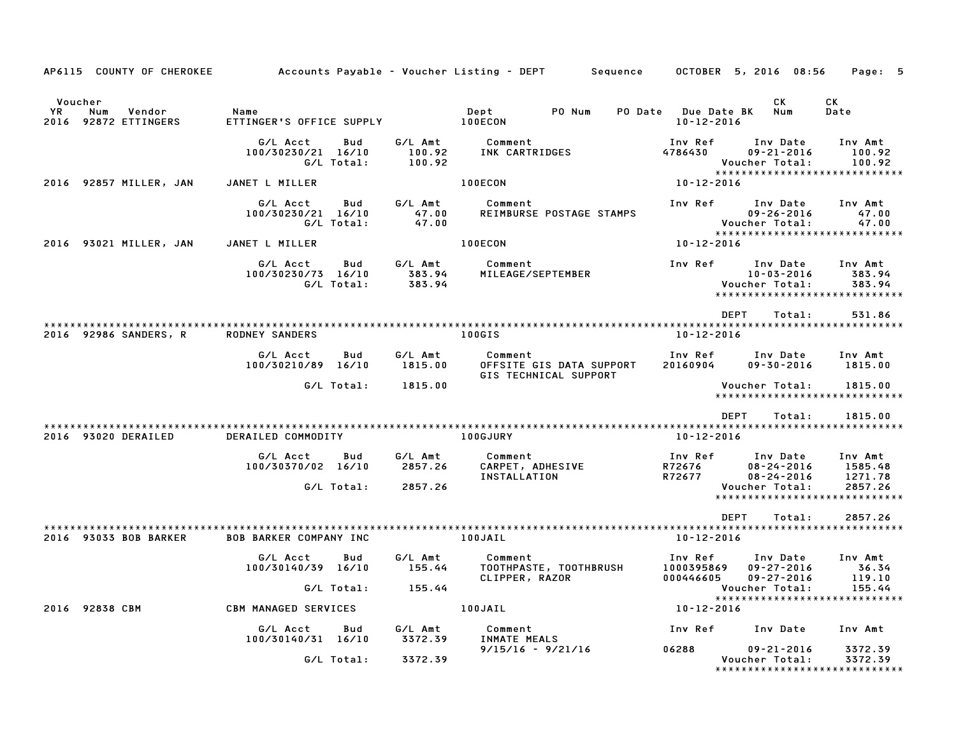| AP6115 COUNTY OF CHEROKEE                                  |                                                     |                             | Accounts Payable – Voucher Listing – DEPT<br>Sequence        |                                                | OCTOBER 5, 2016 08:56                                                           | Page: 5                     |
|------------------------------------------------------------|-----------------------------------------------------|-----------------------------|--------------------------------------------------------------|------------------------------------------------|---------------------------------------------------------------------------------|-----------------------------|
|                                                            |                                                     |                             |                                                              |                                                |                                                                                 |                             |
| Voucher<br>YR.<br>Num<br>Vendor<br>92872 ETTINGERS<br>2016 | Name<br>ETTINGER'S OFFICE SUPPLY                    |                             | PO Num<br>Dept<br>100ECON                                    | <b>PO Date</b> Due Date BK<br>$10 - 12 - 2016$ | СK<br>Num                                                                       | СK<br>Date                  |
|                                                            | G/L Acct<br>Bud<br>100/30230/21 16/10<br>G/L Total: | G/L Amt<br>100.92<br>100.92 | Comment<br>INK CARTRIDGES                                    | Inv Ref<br>4786430                             | Inv Date<br>$09 - 21 - 2016$<br>Voucher Total:<br>***************************** | Inv Amt<br>100.92<br>100.92 |
| 2016 92857 MILLER, JAN                                     | JANET L MILLER                                      |                             | 100ECON                                                      | 10-12-2016                                     |                                                                                 |                             |
|                                                            | G/L Acct<br>Bud<br>100/30230/21 16/10<br>G/L Total: | G/L Amt<br>47.00<br>47.00   | Comment<br>REIMBURSE POSTAGE STAMPS                          | Inv Ref                                        | Inv Date<br>$09 - 26 - 2016$<br>Voucher Total:<br>***************************** | Inv Amt<br>47.00<br>47.00   |
| 2016 93021 MILLER, JAN                                     | JANET L MILLER                                      |                             | 100ECON                                                      | 10-12-2016                                     |                                                                                 |                             |
|                                                            | G/L Acct<br>Bud<br>100/30230/73 16/10<br>G/L Total: | G/L Amt<br>383.94<br>383.94 | Comment<br>MILEAGE/SEPTEMBER                                 | Inv Ref                                        | Inv Date<br>$10 - 03 - 2016$<br>Voucher Total:<br>***************************** | Inv Amt<br>383.94<br>383.94 |
|                                                            |                                                     |                             |                                                              |                                                | <b>DEPT</b><br>Total:                                                           | 531.86                      |
| 2016 92986 SANDERS, R                                      | <b>RODNEY SANDERS</b>                               |                             | 100GIS                                                       | $10 - 12 - 2016$                               |                                                                                 |                             |
|                                                            | G/L Acct<br>Bud<br>100/30210/89 16/10               | G/L Amt<br>1815.00          | Comment<br>OFFSITE GIS DATA SUPPORT<br>GIS TECHNICAL SUPPORT | Inv Ref<br>20160904                            | Inv Date<br>$09 - 30 - 2016$                                                    | Inv Amt<br>1815.00          |
|                                                            | G/L Total:                                          | 1815.00                     |                                                              |                                                | Voucher Total:<br>*****************************                                 | 1815.00                     |
| 2016 93020 DERAILED                                        | DERAILED COMMODITY                                  |                             | 100GJURY                                                     | 10-12-2016                                     | <b>DEPT</b><br>Total:                                                           | 1815.00                     |
|                                                            | G/L Acct<br>Bud<br>100/30370/02 16/10               | G/L Amt<br>2857.26          | Comment<br>CARPET, ADHESIVE                                  | Inv Ref<br>R72676                              | Inv Date<br>$08 - 24 - 2016$                                                    | Inv Amt<br>1585.48          |
|                                                            | G/L Total:                                          | 2857.26                     | INSTALLATION                                                 | R72677                                         | $08 - 24 - 2016$<br>Voucher Total:<br>*****************************             | 1271.78<br>2857.26          |
|                                                            |                                                     |                             |                                                              |                                                | <b>DEPT</b><br>Total:                                                           | 2857.26                     |
| 2016 93033 BOB BARKER                                      | <b>BOB BARKER COMPANY INC</b>                       |                             | 100JAIL                                                      | 10-12-2016                                     |                                                                                 |                             |
|                                                            | Bud<br>G/L Acct<br>100/30140/39 16/10               | G/L Amt<br>155.44           | Comment<br>TOOTHPASTE, TOOTHBRUSH<br>CLIPPER, RAZOR          | Inv Ref<br>1000395869<br>000446605             | Inv Date<br>$09 - 27 - 2016$<br>$09 - 27 - 2016$                                | Inv Amt<br>36.34<br>119.10  |
|                                                            | G/L Total:                                          | 155.44                      |                                                              |                                                | Voucher Total:<br>*****************************                                 | 155.44                      |
| 2016 92838 CBM                                             | <b>CBM MANAGED SERVICES</b>                         |                             | 100JAIL                                                      | 10-12-2016                                     |                                                                                 |                             |
|                                                            | G/L Acct<br>Bud<br>100/30140/31 16/10               | G/L Amt<br>3372.39          | Comment<br>INMATE MEALS                                      | Inv Ref                                        | Inv Date                                                                        | Inv Amt                     |
|                                                            | G/L Total:                                          | 3372.39                     | $9/15/16 - 9/21/16$                                          | 06288                                          | $09 - 21 - 2016$<br>Voucher Total:<br>*****************************             | 3372.39<br>3372.39          |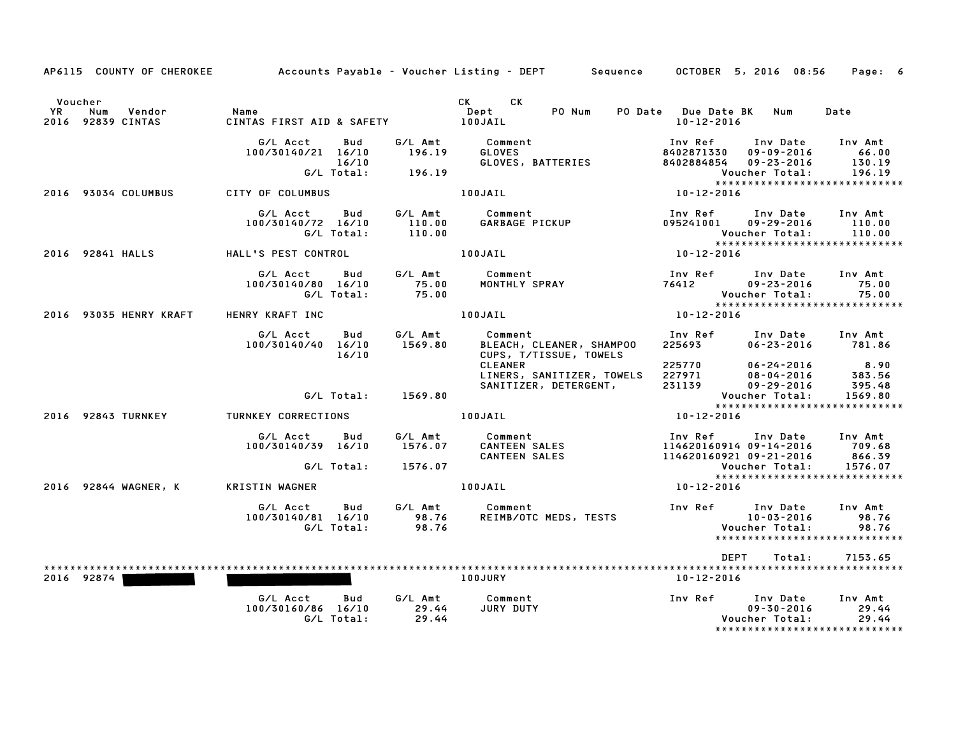| AP6115 COUNTY OF CHEROKEE                           |                                                              |                               | Accounts Payable – Voucher Listing – DEPT        Sequence            | OCTOBER 5, 2016 08:56                                                                                                                      | Page: 6                                |
|-----------------------------------------------------|--------------------------------------------------------------|-------------------------------|----------------------------------------------------------------------|--------------------------------------------------------------------------------------------------------------------------------------------|----------------------------------------|
| Voucher<br>Num<br>Vendor<br>YR<br>2016 92839 CINTAS | Name<br>CINTAS FIRST AID & SAFETY                            |                               | CK CK<br>Dept<br>PO Num<br>100JAIL                                   | PO Date Due Date BK<br>Num<br>10-12-2016                                                                                                   | Date                                   |
|                                                     | G/L Acct<br>Bud<br>100/30140/21 16/10<br>16/10<br>G/L Total: | G/L Amt<br>196.19<br>196.19   | Comment<br><b>GLOVES</b><br>GLOVES, BATTERIES                        | Inv Ref<br>Inv Date<br>8402871330<br>$09 - 09 - 2016$<br>8402884854<br>$09 - 23 - 2016$<br>Voucher Total:<br>***************************** | Inv Amt<br>66.00<br>130.19<br>196.19   |
| 2016 93034 COLUMBUS                                 | CITY OF COLUMBUS                                             |                               | 100JAIL                                                              | 10-12-2016                                                                                                                                 |                                        |
|                                                     | G/L Acct<br>Bud<br>100/30140/72 16/10<br>G/L Total:          | G/L Amt<br>110.00<br>110.00   | Comment<br>GARBAGE PICKUP                                            | Inv Ref<br>Inv Date<br>095241001<br>$09 - 29 - 2016$<br>Voucher Total:                                                                     | Inv Amt<br>110.00<br>110.00            |
| 2016 92841 HALLS                                    | HALL'S PEST CONTROL                                          |                               | 100JAIL                                                              | *****************************<br>10-12-2016                                                                                                |                                        |
|                                                     | G/L Acct<br>Bud<br>100/30140/80 16/10<br>G/L Total:          | G/L Amt<br>75.00<br>75.00     | Comment<br>MONTHLY SPRAY                                             | Inv Ref<br>Inv Date<br>76412<br>$09 - 23 - 2016$<br>Voucher Total:<br>*****************************                                        | Inv Amt<br>75.00<br>75.00              |
| 2016 93035 HENRY KRAFT                              | HENRY KRAFT INC                                              |                               | 100JAIL                                                              | 10-12-2016                                                                                                                                 |                                        |
|                                                     | G/L Acct<br>Bud<br>100/30140/40 16/10<br>16/10               | G/L Amt<br>1569.80            | Comment<br>BLEACH, CLEANER, SHAMPOO<br>CUPS, T/TISSUE, TOWELS        | Inv Ref<br>Inv Date<br>225693<br>$06 - 23 - 2016$                                                                                          | Inv Amt<br>781.86                      |
|                                                     | G/L Total:                                                   | 1569.80                       | <b>CLEANER</b><br>LINERS, SANITIZER, TOWELS<br>SANITIZER, DETERGENT, | 225770<br>$06 - 24 - 2016$<br>227971<br>$08 - 04 - 2016$<br>231139<br>$09 - 29 - 2016$<br>Voucher Total:                                   | 8.90<br>383.56<br>395.48<br>1569.80    |
| 2016 92843 TURNKEY                                  | TURNKEY CORRECTIONS                                          |                               | 100JAIL                                                              | *****************************<br>10-12-2016                                                                                                |                                        |
|                                                     | G/L Acct<br>Bud<br>100/30140/39 16/10<br>G/L Total:          | G/L Amt<br>1576.07<br>1576.07 | Comment<br>CANTEEN SALES<br><b>CANTEEN SALES</b>                     | Inv Ref<br>Inv Date<br>114620160914 09-14-2016<br>114620160921 09-21-2016<br>Voucher Total:                                                | Inv Amt<br>709.68<br>866.39<br>1576.07 |
| 2016 92844 WAGNER, K                                | KRISTIN WAGNER                                               |                               | 100JAIL                                                              | *****************************<br>10-12-2016                                                                                                |                                        |
|                                                     | G/L Acct<br>Bud<br>100/30140/81 16/10<br>G/L Total:          | 98.76<br>98.76                | G/L Amt Comment<br>REIMB/OTC MEDS, TESTS                             | Inv Ref Inv Date<br>10-03-2016<br>Voucher Total:<br>*****************************                                                          | Inv Amt<br>98.76<br>98.76              |
|                                                     |                                                              |                               |                                                                      | DEPT<br>Total:                                                                                                                             | 7153.65                                |
| 2016 92874                                          |                                                              |                               | 100JURY                                                              | 10-12-2016                                                                                                                                 |                                        |
|                                                     | G/L Acct<br>Bud<br>100/30160/86 16/10<br>G/L Total:          | G/L Amt<br>29.44<br>29.44     | Comment<br>JURY DUTY                                                 | Inv Ref<br>Inv Date<br>$09 - 30 - 2016$<br>Voucher Total:<br>*****************************                                                 | Inv Amt<br>29.44<br>29.44              |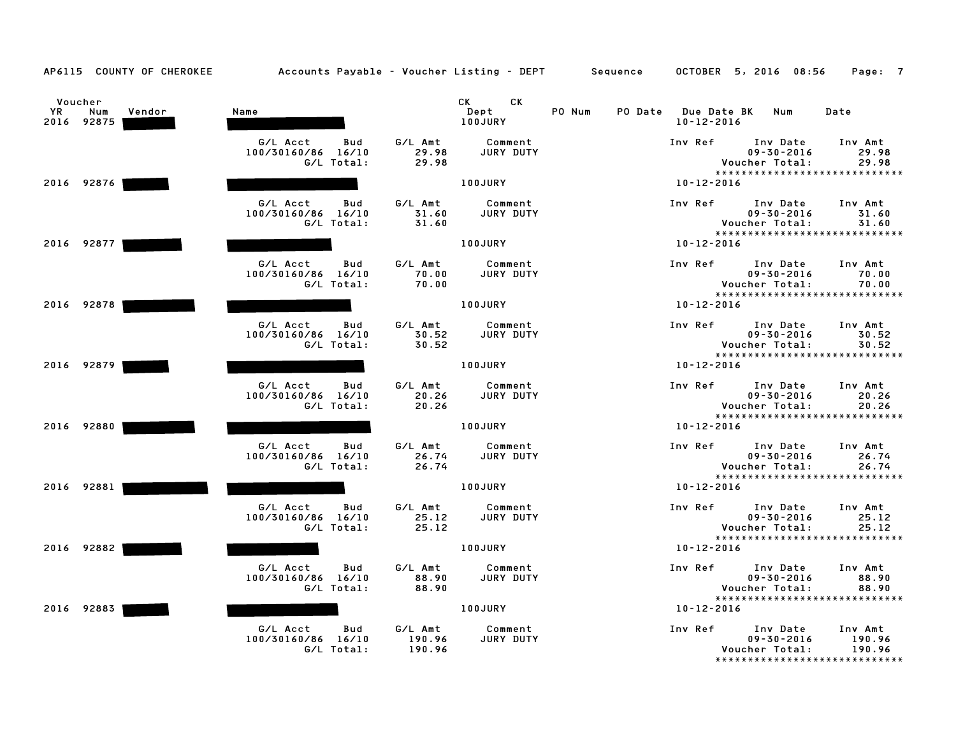| AP6115 COUNTY OF CHEROKEE                    | Accounts Payable - Voucher Listing - DEPT Sequence  |                             |                                                                                                                                                                                                                                                         |        |                                         | OCTOBER 5, 2016 08:56                                                                    | Page: 7                     |
|----------------------------------------------|-----------------------------------------------------|-----------------------------|---------------------------------------------------------------------------------------------------------------------------------------------------------------------------------------------------------------------------------------------------------|--------|-----------------------------------------|------------------------------------------------------------------------------------------|-----------------------------|
| Voucher<br>YR<br>Num<br>Vendor<br>2016 92875 | Name                                                |                             | CK and the set of the set of the set of the set of the set of the set of the set of the set of the set of the set of the set of the set of the set of the set of the set of the set of the set of the set of the set of the se<br>CK<br>Dept<br>100JURY | PO Num | PO Date Due Date BK<br>$10 - 12 - 2016$ | Num                                                                                      | Date                        |
|                                              | G/L Acct<br>Bud<br>100/30160/86 16/10<br>G/L Total: | G/L Amt<br>29.98<br>29.98   | Comment<br>JURY DUTY                                                                                                                                                                                                                                    |        | Inv Ref                                 | Inv Date<br>$09 - 30 - 2016$<br>Voucher Total:<br>*****************************          | Inv Amt<br>29.98<br>29.98   |
| 2016 92876                                   |                                                     |                             | 100JURY                                                                                                                                                                                                                                                 |        | $10 - 12 - 2016$                        |                                                                                          |                             |
|                                              | G/L Acct<br>Bud<br>100/30160/86 16/10<br>G/L Total: | G/L Amt<br>31.60<br>31.60   | Comment<br><b>JURY DUTY</b>                                                                                                                                                                                                                             |        | Inv Ref                                 | Inv Date<br>$09 - 30 - 2016$<br>Voucher Total:<br>*****************************          | Inv Amt<br>31.60<br>31.60   |
| 2016 92877                                   |                                                     |                             | 100JURY                                                                                                                                                                                                                                                 |        | $10 - 12 - 2016$                        |                                                                                          |                             |
|                                              | G/L Acct<br>Bud<br>100/30160/86 16/10<br>G/L Total: | G/L Amt<br>70.00<br>70.00   | Comment<br>JURY DUTY                                                                                                                                                                                                                                    |        | Inv Ref                                 | Inv Date<br>$09 - 30 - 2016$<br>Voucher Total:<br>*****************************          | Inv Amt<br>70.00<br>70.00   |
| 2016 92878                                   |                                                     |                             | 100JURY                                                                                                                                                                                                                                                 |        | $10 - 12 - 2016$                        |                                                                                          |                             |
|                                              | G/L Acct<br>Bud<br>100/30160/86 16/10<br>G/L Total: | G/L Amt<br>30.52<br>30.52   | Comment<br>JURY DUTY                                                                                                                                                                                                                                    |        | Inv Ref                                 | Inv Date<br>$09 - 30 - 2016$<br>Voucher Total:<br>*****************************          | Inv Amt<br>30.52<br>30.52   |
| 2016 92879                                   |                                                     |                             | <b>100JURY</b>                                                                                                                                                                                                                                          |        | $10 - 12 - 2016$                        |                                                                                          |                             |
|                                              | G/L Acct<br>Bud<br>100/30160/86 16/10<br>G/L Total: | G/L Amt<br>20.26<br>20.26   | Comment<br>JURY DUTY                                                                                                                                                                                                                                    |        | Inv Ref                                 | Inv Date<br>$09 - 30 - 2016$<br>Voucher Total:<br>*****************************          | Inv Amt<br>20.26<br>20.26   |
| 2016 92880                                   |                                                     |                             | <b>100JURY</b>                                                                                                                                                                                                                                          |        | 10-12-2016                              |                                                                                          |                             |
|                                              | G/L Acct<br>Bud<br>100/30160/86 16/10<br>G/L Total: | G/L Amt<br>26.74<br>26.74   | Comment<br><b>JURY DUTY</b>                                                                                                                                                                                                                             |        |                                         | Inv Ref Inv Date<br>$09 - 30 - 2016$<br>Voucher Total:<br>****************************** | Inv Amt<br>26.74<br>26.74   |
| 2016 92881                                   |                                                     |                             | 100JURY                                                                                                                                                                                                                                                 |        | $10 - 12 - 2016$                        |                                                                                          |                             |
|                                              | G/L Acct<br>Bud<br>100/30160/86 16/10<br>G/L Total: | G/L Amt<br>25.12<br>25.12   | Comment<br><b>JURY DUTY</b>                                                                                                                                                                                                                             |        | Inv Ref                                 | Inv Date<br>$09 - 30 - 2016$<br>Voucher Total:                                           | Inv Amt<br>25.12<br>25.12   |
| 2016 92882                                   |                                                     |                             | 100JURY                                                                                                                                                                                                                                                 |        | $10 - 12 - 2016$                        | *****************************                                                            |                             |
|                                              | G/L Acct<br>Bud<br>100/30160/86 16/10<br>G/L Total: | G/L Amt<br>88.90<br>88.90   | Comment<br>JURY DUTY                                                                                                                                                                                                                                    |        | Inv Ref                                 | Inv Date<br>$09 - 30 - 2016$<br>Voucher Total:<br>*****************************          | Inv Amt<br>88.90<br>88.90   |
| 2016 92883                                   |                                                     |                             | 100JURY                                                                                                                                                                                                                                                 |        | $10 - 12 - 2016$                        |                                                                                          |                             |
|                                              | G/L Acct<br>Bud<br>100/30160/86 16/10<br>G/L Total: | G/L Amt<br>190.96<br>190.96 | Comment<br>JURY DUTY                                                                                                                                                                                                                                    |        | Inv Ref                                 | Inv Date<br>$09 - 30 - 2016$<br>Voucher Total:<br>*****************************          | Inv Amt<br>190.96<br>190.96 |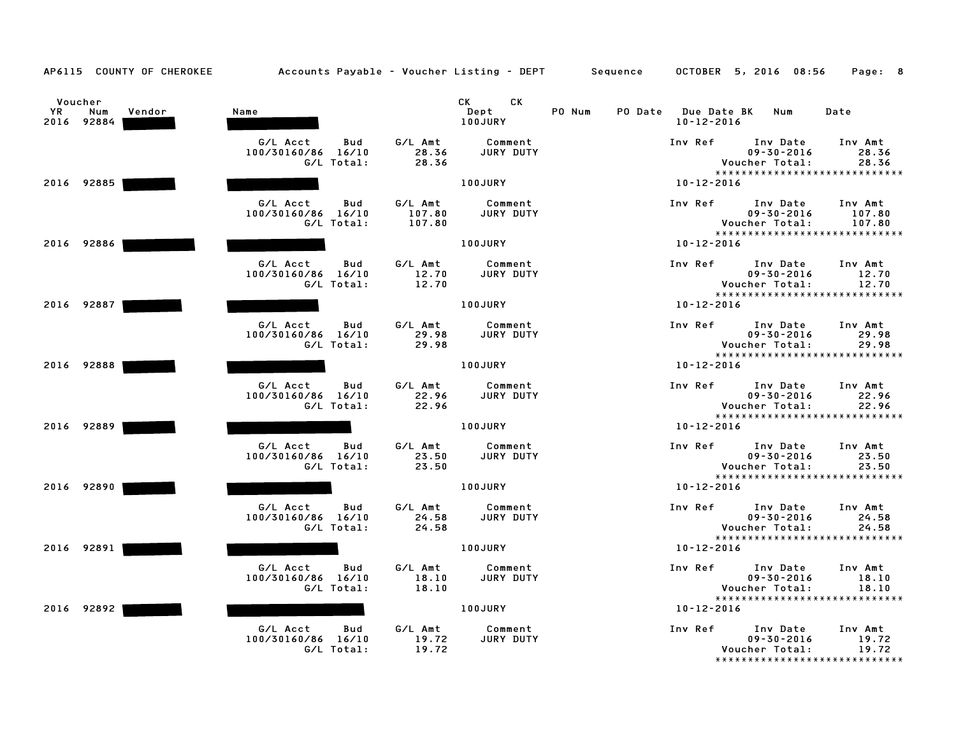| AP6115 COUNTY OF CHEROKEE                    |                                                     | Accounts Payable – Voucher Listing – DEPT         Sequence | OCTOBER 5, 2016 08:56                                                                        | Page: 8                     |
|----------------------------------------------|-----------------------------------------------------|------------------------------------------------------------|----------------------------------------------------------------------------------------------|-----------------------------|
| Voucher<br>YR<br>Vendor<br>Num<br>2016 92884 | Name                                                | CK.<br>CK .<br>Dept<br>100JURY                             | PO Num<br>PO Date Due Date BK Num<br>$10 - 12 - 2016$                                        | Date                        |
|                                              | G/L Acct<br>Bud<br>100/30160/86 16/10<br>G/L Total: | G/L Amt<br>Comment<br>JURY DUTY<br>28.36<br>28.36          | Inv Ref<br>Inv Date<br>$09 - 30 - 2016$<br>Voucher Total:<br>*****************************   | Inv Amt<br>28.36<br>28.36   |
| 2016 92885                                   |                                                     | 100JURY                                                    | $10 - 12 - 2016$                                                                             |                             |
|                                              | G/L Acct<br>Bud<br>100/30160/86 16/10<br>G/L Total: | G/L Amt<br>Comment<br>107.80<br>JURY DUTY<br>107.80        | Inv Ref<br>Inv Date<br>$09 - 30 - 2016$<br>Voucher Total:<br>*****************************   | Inv Amt<br>107.80<br>107.80 |
| 2016 92886                                   |                                                     | 100JURY                                                    | $10 - 12 - 2016$                                                                             |                             |
|                                              | G/L Acct<br>Bud<br>100/30160/86 16/10<br>G/L Total: | G/L Amt<br>Comment<br>JURY DUTY<br>12.70<br>12.70          | Inv Date<br>Inv Ref<br>$09 - 30 - 2016$<br>Voucher Total:<br>*****************************   | Inv Amt<br>12.70<br>12.70   |
| 2016 92887                                   |                                                     | 100JURY                                                    | $10 - 12 - 2016$                                                                             |                             |
|                                              | G/L Acct<br>Bud<br>100/30160/86 16/10<br>G/L Total: | G/L Amt<br>Comment<br>29.98<br>JURY DUTY<br>29.98          | Inv Date<br>Inv Ref<br>$09 - 30 - 2016$<br>Voucher Total:<br>******************************  | Inv Amt<br>29.98<br>29.98   |
| 2016 92888                                   |                                                     | 100JURY                                                    | $10 - 12 - 2016$                                                                             |                             |
|                                              | G/L Acct<br>Bud<br>100/30160/86 16/10<br>G/L Total: | G/L Amt<br>Comment<br>22.96<br>JURY DUTY<br>22.96          | Inv Ref<br>Inv Date<br>$09 - 30 - 2016$<br>Voucher Total:<br>*****************************   | Inv Amt<br>22.96<br>22.96   |
| 2016 92889                                   |                                                     | 100JURY                                                    | 10-12-2016                                                                                   |                             |
|                                              | G/L Acct<br>Bud<br>100/30160/86 16/10<br>G/L Total: | G/L Amt<br>Comment<br>23.50<br>JURY DUTY<br>23.50          | Inv Ref Inv Date<br>$09 - 30 - 2016$<br>Voucher Total:<br>*****************************      | Inv Amt<br>23.50<br>23.50   |
| 2016 92890                                   |                                                     | 100JURY                                                    | 10-12-2016                                                                                   |                             |
|                                              | G/L Acct<br>Bud<br>100/30160/86 16/10<br>G/L Total: | G/L Amt<br>Comment<br>JURY DUTY<br>24.58<br>24.58          | Inv Ref<br>Inv Date<br>$09 - 30 - 2016$<br>Voucher Total:                                    | Inv Amt<br>24.58<br>24.58   |
| 2016 92891                                   |                                                     | 100JURY                                                    | *****************************<br>10-12-2016                                                  |                             |
|                                              | G/L Acct<br>Bud<br>100/30160/86 16/10<br>G/L Total: | G/L Amt<br>Comment<br>JURY DUTY<br>18.10<br>18.10          | Inv Ref<br>Inv Date<br>$09 - 30 - 2016$<br>Voucher Total:                                    | Inv Amt<br>18.10<br>18.10   |
| 2016 92892                                   |                                                     | 100JURY                                                    | *****************************<br>$10 - 12 - 2016$                                            |                             |
|                                              | G/L Acct<br>Bud<br>100/30160/86 16/10<br>G/L Total: | G/L Amt<br>Comment<br>19.72<br>JURY DUTY<br>19.72          | Inv Ref<br>Inv Date<br>$09 - 30 - 2016$<br>Voucher Total:<br>******************************* | Inv Amt<br>19.72<br>19.72   |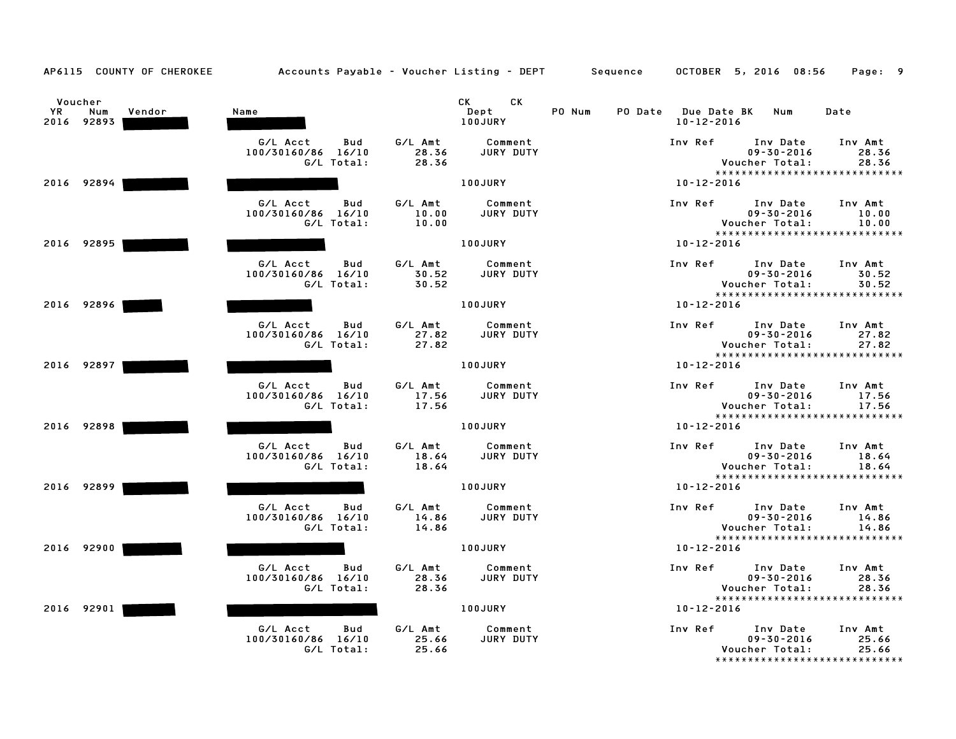| AP6115 COUNTY OF CHEROKEE                    | Accounts Payable – Voucher Listing – DEPT Sequence  |                                                   |                                   | OCTOBER 5, 2016 08:56<br>Page: 9                                                                                     |
|----------------------------------------------|-----------------------------------------------------|---------------------------------------------------|-----------------------------------|----------------------------------------------------------------------------------------------------------------------|
| Voucher<br>YR<br>Num<br>Vendor<br>2016 92893 | Name                                                | CK.<br>CK .<br>Dept<br><b>100JURY</b>             | PO Num<br>PO Date Due Date BK Num | Date<br>$10 - 12 - 2016$                                                                                             |
|                                              | G/L Acct<br>Bud<br>100/30160/86 16/10<br>G/L Total: | G/L Amt<br>Comment<br>28.36<br>JURY DUTY<br>28.36 | Inv Ref                           | Inv Date<br>Inv Amt<br>$09 - 30 - 2016$<br>28.36<br>Voucher Total:<br>28.36<br>*****************************         |
| 2016 92894                                   |                                                     | 100JURY                                           | 10-12-2016                        |                                                                                                                      |
|                                              | G/L Acct<br>Bud<br>100/30160/86 16/10<br>G/L Total: | G/L Amt<br>Comment<br>10.00<br>JURY DUTY<br>10.00 | Inv Ref                           | Inv Date<br>Inv Amt<br>$09 - 30 - 2016$<br>10.00<br>Voucher Total:<br>10.00<br>*****************************         |
| 2016 92895                                   |                                                     | 100JURY                                           |                                   | $10 - 12 - 2016$                                                                                                     |
|                                              | G/L Acct<br>Bud<br>100/30160/86 16/10<br>G/L Total: | G/L Amt<br>Comment<br>JURY DUTY<br>30.52<br>30.52 | Inv Ref                           | Inv Date<br>Inv Amt<br>$09 - 30 - 2016$<br>30.52<br>Voucher Total:<br>30.52<br>*****************************         |
| 2016 92896                                   |                                                     | 100JURY                                           | $10 - 12 - 2016$                  |                                                                                                                      |
|                                              | G/L Acct<br>Bud<br>100/30160/86 16/10<br>G/L Total: | G/L Amt<br>Comment<br>27.82<br>JURY DUTY<br>27.82 | Inv Ref                           | Inv Date<br>Inv Amt<br>$09 - 30 - 2016$<br>27.82<br>Voucher Total:<br>27.82<br>*****************************         |
| 2016 92897                                   |                                                     | 100JURY                                           |                                   | $10 - 12 - 2016$                                                                                                     |
|                                              | G/L Acct<br>Bud<br>100/30160/86 16/10<br>G/L Total: | G/L Amt<br>Comment<br>17.56<br>JURY DUTY<br>17.56 | Inv Ref                           | Inv Date<br>Inv Amt<br>$09 - 30 - 2016$<br>17.56<br>Voucher Total:<br>17.56<br>*****************************         |
| 2016 92898                                   |                                                     | 100JURY                                           |                                   | $10 - 12 - 2016$                                                                                                     |
|                                              | G/L Acct<br>Bud<br>100/30160/86 16/10<br>G/L Total: | G/L Amt<br>Comment<br>18.64<br>JURY DUTY<br>18.64 |                                   | Inv Ref Inv Date<br>Inv Amt<br>$09 - 30 - 2016$<br>18.64<br>Voucher Total:<br>18.64<br>***************************** |
| 2016 92899                                   |                                                     | <b>100JURY</b>                                    |                                   | 10-12-2016                                                                                                           |
|                                              | G/L Acct<br>Bud<br>100/30160/86 16/10<br>G/L Total: | G/L Amt<br>Comment<br>14.86<br>JURY DUTY<br>14.86 | Inv Ref                           | Inv Date<br>Inv Amt<br>$09 - 30 - 2016$<br>14.86<br>Voucher Total:<br>14.86                                          |
| 2016 92900                                   |                                                     | 100JURY                                           |                                   | ******************************<br>$10 - 12 - 2016$                                                                   |
|                                              | G/L Acct<br>Bud<br>100/30160/86 16/10<br>G/L Total: | G/L Amt<br>Comment<br>JURY DUTY<br>28.36<br>28.36 | Inv Ref                           | Inv Date<br>Inv Amt<br>$09 - 30 - 2016$<br>28.36<br>Voucher Total:<br>28.36                                          |
| 2016 92901                                   |                                                     | 100JURY                                           | $10 - 12 - 2016$                  | *****************************                                                                                        |
|                                              | G/L Acct<br>Bud<br>100/30160/86 16/10<br>G/L Total: | G/L Amt<br>Comment<br>25.66<br>JURY DUTY<br>25.66 | Inv Ref                           | Inv Date<br>Inv Amt<br>$09 - 30 - 2016$<br>25.66<br>25.66<br>Voucher Total:<br>*******************************       |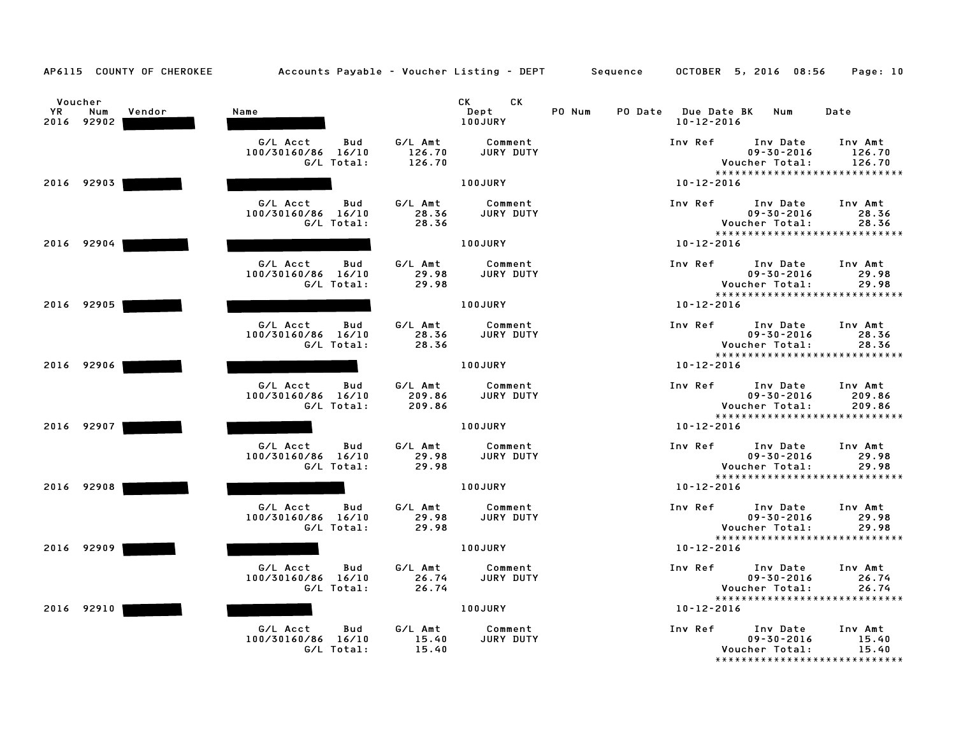| AP6115 COUNTY OF CHEROKEE                           | Accounts Payable - Voucher Listing - DEPT Sequence  |                             |                              |        |                                         | OCTOBER 5, 2016 08:56                                                            | Page: 10                    |
|-----------------------------------------------------|-----------------------------------------------------|-----------------------------|------------------------------|--------|-----------------------------------------|----------------------------------------------------------------------------------|-----------------------------|
| Voucher<br><b>YR</b><br>Num<br>Vendor<br>2016 92902 | Name                                                |                             | CK.<br>CK<br>Dept<br>100JURY | PO Num | PO Date Due Date BK<br>$10 - 12 - 2016$ | Num                                                                              | Date                        |
|                                                     | G/L Acct<br>Bud<br>100/30160/86 16/10<br>G/L Total: | G/L Amt<br>126.70<br>126.70 | Comment<br>JURY DUTY         |        | Inv Ref                                 | Inv Date<br>$09 - 30 - 2016$<br>Voucher Total:<br>*****************************  | Inv Amt<br>126.70<br>126.70 |
| 2016 92903                                          |                                                     |                             | 100JURY                      |        | $10 - 12 - 2016$                        |                                                                                  |                             |
|                                                     | G/L Acct<br>Bud<br>100/30160/86 16/10<br>G/L Total: | G/L Amt<br>28.36<br>28.36   | Comment<br><b>JURY DUTY</b>  |        | Inv Ref                                 | Inv Date<br>$09 - 30 - 2016$<br>Voucher Total:<br>****************************** | Inv Amt<br>28.36<br>28.36   |
| 2016 92904                                          |                                                     |                             | 100JURY                      |        | $10 - 12 - 2016$                        |                                                                                  |                             |
|                                                     | G/L Acct<br>Bud<br>100/30160/86 16/10<br>G/L Total: | G/L Amt<br>29.98<br>29.98   | Comment<br>JURY DUTY         |        | Inv Ref                                 | Inv Date<br>$09 - 30 - 2016$<br>Voucher Total:<br>*****************************  | Inv Amt<br>29.98<br>29.98   |
| 2016 92905                                          |                                                     |                             | 100JURY                      |        | $10 - 12 - 2016$                        |                                                                                  |                             |
|                                                     | G/L Acct<br>Bud<br>100/30160/86 16/10<br>G/L Total: | G/L Amt<br>28.36<br>28.36   | Comment<br>JURY DUTY         |        | Inv Ref                                 | Inv Date<br>$09 - 30 - 2016$<br>Voucher Total:<br>*****************************  | Inv Amt<br>28.36<br>28.36   |
| 2016 92906                                          |                                                     |                             | 100JURY                      |        | 10-12-2016                              |                                                                                  |                             |
|                                                     | G/L Acct<br>Bud<br>100/30160/86 16/10<br>G/L Total: | G/L Amt<br>209.86<br>209.86 | Comment<br>JURY DUTY         |        | Inv Ref                                 | Inv Date<br>$09 - 30 - 2016$<br>Voucher Total:<br>****************************** | Inv Amt<br>209.86<br>209.86 |
| 2016 92907                                          |                                                     |                             | 100JURY                      |        | $10 - 12 - 2016$                        |                                                                                  |                             |
|                                                     | G/L Acct<br>Bud<br>100/30160/86 16/10<br>G/L Total: | G/L Amt<br>29.98<br>29.98   | Comment<br>JURY DUTY         |        | Inv Ref                                 | Inv Date<br>$09 - 30 - 2016$<br>Voucher Total:<br>*****************************  | Inv Amt<br>29.98<br>29.98   |
| 2016 92908                                          |                                                     |                             | 100JURY                      |        | $10 - 12 - 2016$                        |                                                                                  |                             |
|                                                     | G/L Acct<br>Bud<br>100/30160/86 16/10<br>G/L Total: | G/L Amt<br>29.98<br>29.98   | Comment<br>JURY DUTY         |        | Inv Ref                                 | Inv Date<br>$09 - 30 - 2016$<br>Voucher Total:                                   | Inv Amt<br>29.98<br>29.98   |
| 2016 92909                                          |                                                     |                             | 100JURY                      |        | $10 - 12 - 2016$                        | ******************************                                                   |                             |
|                                                     | G/L Acct<br>Bud<br>100/30160/86 16/10<br>G/L Total: | G/L Amt<br>26.74<br>26.74   | Comment<br>JURY DUTY         |        | Inv Ref                                 | Inv Date<br>$09 - 30 - 2016$<br>Voucher Total:                                   | Inv Amt<br>26.74<br>26.74   |
| 2016 92910                                          |                                                     |                             | 100JURY                      |        | 10-12-2016                              | *****************************                                                    |                             |
|                                                     | G/L Acct<br>Bud<br>100/30160/86 16/10<br>G/L Total: | G/L Amt<br>15.40<br>15.40   | Comment<br>JURY DUTY         |        | Inv Ref                                 | Inv Date<br>$09 - 30 - 2016$<br>Voucher Total:<br>****************************** | Inv Amt<br>15.40<br>15.40   |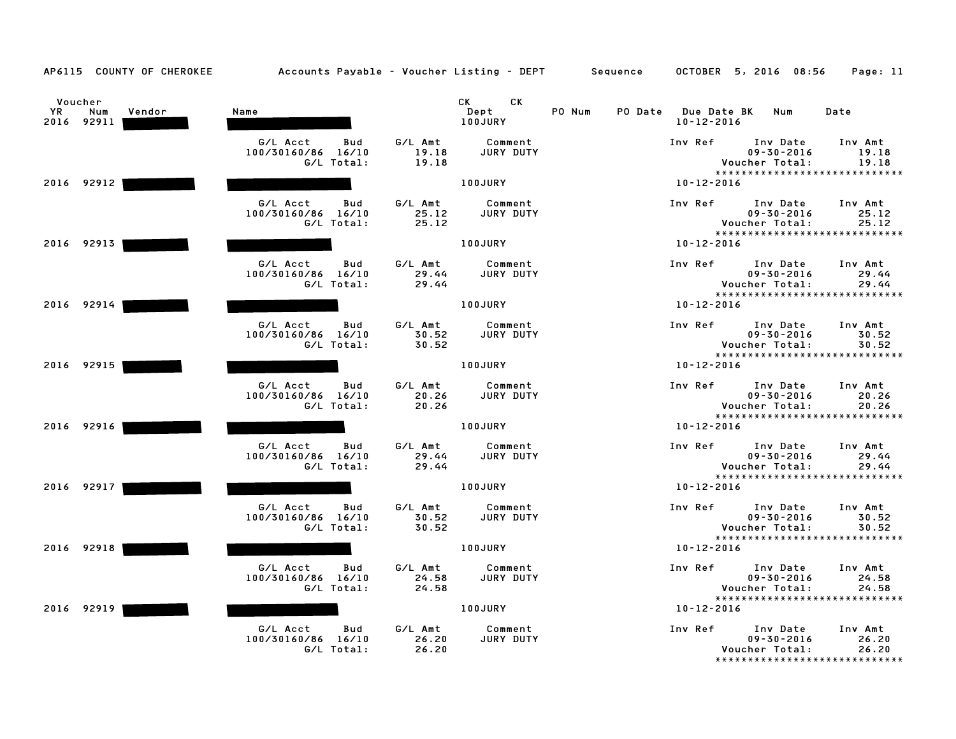| AP6115 COUNTY OF CHEROKEE                    | Accounts Payable - Voucher Listing - DEPT Sequence  |                                                                                                                                                                                                                                                         |                                                   | OCTOBER 5, 2016 08:56<br>Page: 11                                                                             |
|----------------------------------------------|-----------------------------------------------------|---------------------------------------------------------------------------------------------------------------------------------------------------------------------------------------------------------------------------------------------------------|---------------------------------------------------|---------------------------------------------------------------------------------------------------------------|
| Voucher<br>YR<br>Num<br>Vendor<br>2016 92911 | Name                                                | CK<br>CK the control of the control of the control of the control of the control of the control of the control of the control of the control of the control of the control of the control of the control of the control of the contr<br>Dept<br>100JURY | PO Num<br>PO Date Due Date BK<br>$10 - 12 - 2016$ | Num<br>Date                                                                                                   |
|                                              | G/L Acct<br>Bud<br>100/30160/86 16/10<br>G/L Total: | G/L Amt<br>Comment<br>19.18<br>JURY DUTY<br>19.18                                                                                                                                                                                                       | Inv Ref                                           | Inv Date<br>Inv Amt<br>$09 - 30 - 2016$<br>19.18<br>Voucher Total:<br>19.18<br>*****************************  |
| 2016 92912                                   |                                                     | 100JURY                                                                                                                                                                                                                                                 | $10 - 12 - 2016$                                  |                                                                                                               |
|                                              | G/L Acct<br>Bud<br>100/30160/86 16/10<br>G/L Total: | G/L Amt<br>Comment<br>JURY DUTY<br>25.12<br>25.12                                                                                                                                                                                                       | Inv Ref                                           | Inv Date<br>Inv Amt<br>$09 - 30 - 2016$<br>25.12<br>Voucher Total:<br>25.12<br>*****************************  |
| 2016 92913                                   |                                                     | 100JURY                                                                                                                                                                                                                                                 | $10 - 12 - 2016$                                  |                                                                                                               |
|                                              | G/L Acct<br>Bud<br>100/30160/86 16/10<br>G/L Total: | G/L Amt<br>Comment<br>29.44<br>JURY DUTY<br>29.44                                                                                                                                                                                                       | Inv Ref                                           | Inv Date<br>Inv Amt<br>$09 - 30 - 2016$<br>29.44<br>Voucher Total:<br>29.44<br>*****************************  |
| 2016 92914                                   |                                                     | 100JURY                                                                                                                                                                                                                                                 | $10 - 12 - 2016$                                  |                                                                                                               |
|                                              | G/L Acct<br>Bud<br>100/30160/86 16/10<br>G/L Total: | G/L Amt<br>Comment<br>30.52<br>JURY DUTY<br>30.52                                                                                                                                                                                                       | Inv Ref                                           | Inv Date<br>Inv Amt<br>$09 - 30 - 2016$<br>30.52<br>Voucher Total:<br>30.52<br>****************************** |
| 2016 92915                                   |                                                     | 100JURY                                                                                                                                                                                                                                                 | $10 - 12 - 2016$                                  |                                                                                                               |
|                                              | G/L Acct<br>Bud<br>100/30160/86 16/10<br>G/L Total: | G/L Amt<br>Comment<br>JURY DUTY<br>20.26<br>20.26                                                                                                                                                                                                       | Inv Ref                                           | Inv Date<br>Inv Amt<br>$09 - 30 - 2016$<br>20.26<br>Voucher Total:<br>20.26                                   |
| 2016 92916                                   |                                                     | <b>100JURY</b>                                                                                                                                                                                                                                          | 10-12-2016                                        | *****************************                                                                                 |
|                                              | G/L Acct<br>Bud<br>100/30160/86 16/10<br>G/L Total: | G/L Amt<br>Comment<br>JURY DUTY<br>29.44<br>29.44                                                                                                                                                                                                       | Inv Ref                                           | Inv Date<br>Inv Amt<br>$09 - 30 - 2016$<br>29.44<br>Voucher Total:<br>29.44<br>****************************** |
| 2016 92917                                   |                                                     | 100JURY                                                                                                                                                                                                                                                 | $10 - 12 - 2016$                                  |                                                                                                               |
|                                              | G/L Acct<br>Bud<br>100/30160/86 16/10<br>G/L Total: | G/L Amt<br>Comment<br>30.52<br>JURY DUTY<br>30.52                                                                                                                                                                                                       | Inv Ref                                           | Inv Date<br>Inv Amt<br>$09 - 30 - 2016$<br>30.52<br>Voucher Total:<br>30.52                                   |
| 2016 92918                                   |                                                     | 100JURY                                                                                                                                                                                                                                                 | $10 - 12 - 2016$                                  | *****************************                                                                                 |
|                                              | G/L Acct<br>Bud<br>100/30160/86 16/10<br>G/L Total: | G/L Amt<br>Comment<br>JURY DUTY<br>24.58<br>24.58                                                                                                                                                                                                       | Inv Ref                                           | Inv Date<br>Inv Amt<br>$09 - 30 - 2016$<br>24.58<br>Voucher Total:<br>24.58                                   |
| 2016 92919                                   |                                                     | 100JURY                                                                                                                                                                                                                                                 | $10 - 12 - 2016$                                  | *****************************                                                                                 |
|                                              | G/L Acct<br>Bud<br>100/30160/86 16/10<br>G/L Total: | G/L Amt<br>Comment<br>26.20<br>JURY DUTY<br>26.20                                                                                                                                                                                                       | Inv Ref                                           | Inv Date<br>Inv Amt<br>26.20<br>$09 - 30 - 2016$<br>Voucher Total:<br>26.20<br>*****************************  |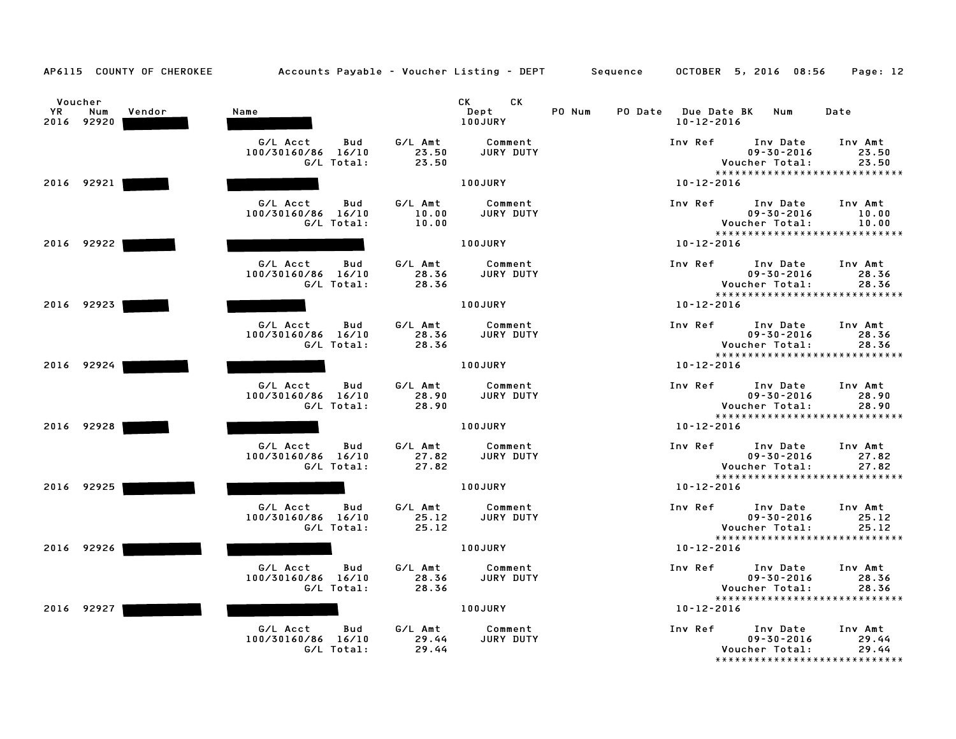| AP6115 COUNTY OF CHEROKEE                    |                                                     | Accounts Payable - Voucher Listing - DEPT Sequence |                                       | OCTOBER 5, 2016 08:56<br>Page: 12                                                                            |
|----------------------------------------------|-----------------------------------------------------|----------------------------------------------------|---------------------------------------|--------------------------------------------------------------------------------------------------------------|
| Voucher<br>YR<br>Num<br>Vendor<br>2016 92920 | Name                                                | CK<br>CK.<br>Dept<br>100JURY                       | PO Num<br>PO Date<br>$10 - 12 - 2016$ | <b>Due Date BK</b><br>Num<br>Date                                                                            |
|                                              | G/L Acct<br>Bud<br>100/30160/86 16/10<br>G/L Total: | G/L Amt<br>Comment<br>JURY DUTY<br>23.50<br>23.50  | Inv Ref                               | Inv Date<br>Inv Amt<br>$09 - 30 - 2016$<br>23.50<br>Voucher Total:<br>23.50<br>***************************** |
| 2016 92921                                   |                                                     | 100JURY                                            | $10 - 12 - 2016$                      |                                                                                                              |
|                                              | G/L Acct<br>Bud<br>100/30160/86 16/10<br>G/L Total: | G/L Amt<br>Comment<br>JURY DUTY<br>10.00<br>10.00  | Inv Ref                               | Inv Date<br>Inv Amt<br>$09 - 30 - 2016$<br>10.00<br>Voucher Total:<br>10.00<br>***************************** |
| 2016 92922                                   |                                                     | 100JURY                                            | 10-12-2016                            |                                                                                                              |
|                                              | G/L Acct<br>Bud<br>100/30160/86 16/10<br>G/L Total: | G/L Amt<br>Comment<br>28.36<br>JURY DUTY<br>28.36  | Inv Ref                               | Inv Date<br>Inv Amt<br>$09 - 30 - 2016$<br>28.36<br>Voucher Total:<br>28.36<br>***************************** |
| 2016 92923                                   |                                                     | 100JURY                                            | $10 - 12 - 2016$                      |                                                                                                              |
|                                              | G/L Acct<br>Bud<br>100/30160/86 16/10<br>G/L Total: | G/L Amt<br>Comment<br>28.36<br>JURY DUTY<br>28.36  | Inv Ref                               | Inv Date<br>Inv Amt<br>$09 - 30 - 2016$<br>28.36<br>Voucher Total:<br>28.36<br>***************************** |
| 2016 92924                                   |                                                     | 100JURY                                            | $10 - 12 - 2016$                      |                                                                                                              |
|                                              | G/L Acct<br>Bud<br>100/30160/86 16/10<br>G/L Total: | G/L Amt<br>Comment<br>JURY DUTY<br>28.90<br>28.90  | Inv Ref                               | Inv Date<br>Inv Amt<br>$09 - 30 - 2016$<br>28.90<br>Voucher Total:<br>28.90                                  |
| 2016 92928                                   |                                                     | 100JURY                                            | $10 - 12 - 2016$                      | *****************************                                                                                |
|                                              | G/L Acct<br>Bud<br>100/30160/86 16/10<br>G/L Total: | G/L Amt<br>Comment<br>27.82<br>JURY DUTY<br>27.82  | Inv Ref                               | Inv Date<br>Inv Amt<br>$09 - 30 - 2016$<br>27.82<br>Voucher Total:<br>27.82<br>***************************** |
| 2016 92925                                   |                                                     | 100JURY                                            | $10 - 12 - 2016$                      |                                                                                                              |
|                                              | G/L Acct<br>Bud<br>100/30160/86 16/10<br>G/L Total: | G/L Amt<br>Comment<br>25.12<br>JURY DUTY<br>25.12  | Inv Ref                               | Inv Date<br>Inv Amt<br>$09 - 30 - 2016$<br>25.12<br>Voucher Total:<br>25.12                                  |
| 2016 92926                                   |                                                     | 100JURY                                            | $10 - 12 - 2016$                      | *****************************                                                                                |
|                                              | G/L Acct<br>Bud<br>100/30160/86 16/10<br>G/L Total: | G/L Amt<br>Comment<br>28.36<br>JURY DUTY<br>28.36  | Inv Ref                               | Inv Date<br>Inv Amt<br>$09 - 30 - 2016$<br>28.36<br>Voucher Total:<br>28.36<br>***************************** |
| 2016 92927                                   |                                                     | 100JURY                                            | $10 - 12 - 2016$                      |                                                                                                              |
|                                              | G/L Acct<br>Bud<br>100/30160/86 16/10<br>G/L Total: | G/L Amt<br>Comment<br>29.44<br>JURY DUTY<br>29.44  | Inv Ref                               | Inv Date<br>Inv Amt<br>29.44<br>$09 - 30 - 2016$<br>Voucher Total:<br>29.44<br>***************************** |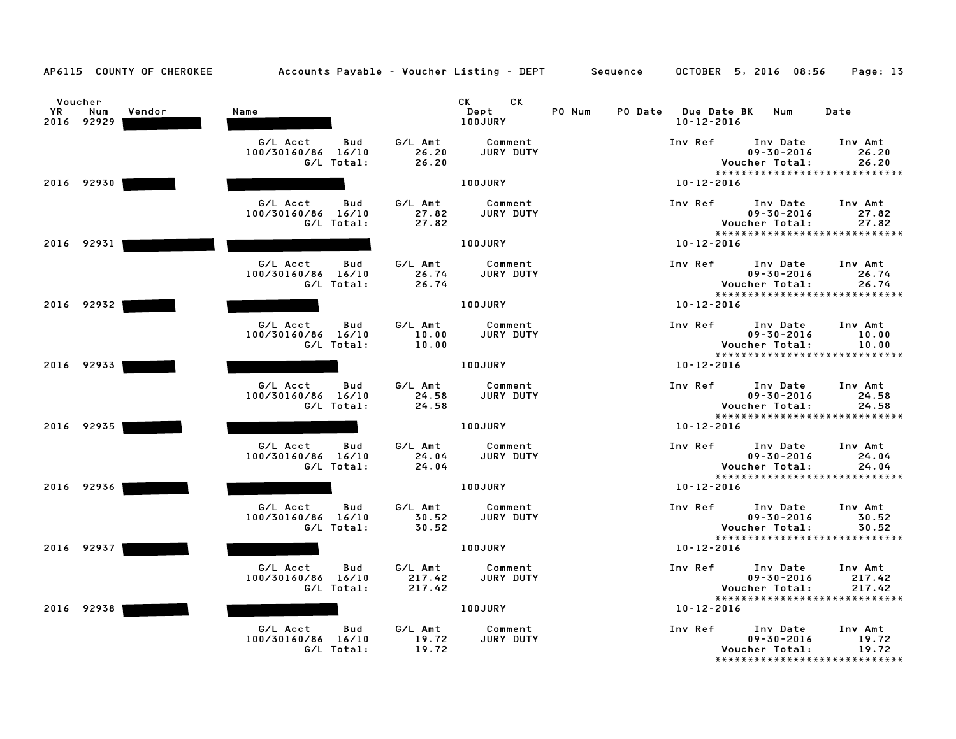| AP6115 COUNTY OF CHEROKEE                    | Accounts Payable – Voucher Listing – DEPT Sequence  |                             |                             | OCTOBER 5, 2016 08:56                   | Page: 13                                                                                                     |
|----------------------------------------------|-----------------------------------------------------|-----------------------------|-----------------------------|-----------------------------------------|--------------------------------------------------------------------------------------------------------------|
| Voucher<br>YR<br>Num<br>Vendor<br>2016 92929 | Name                                                | CK<br>Dept<br>100JURY       | CK<br>PO Num                | PO Date Due Date BK<br>$10 - 12 - 2016$ | Num<br>Date                                                                                                  |
|                                              | G/L Acct<br>Bud<br>100/30160/86 16/10<br>G/L Total: | G/L Amt<br>26.20<br>26.20   | Comment<br>JURY DUTY        | Inv Ref<br>Voucher Total:               | Inv Date<br>Inv Amt<br>$09 - 30 - 2016$<br>26.20<br>26.20<br>*****************************                   |
| 2016 92930                                   |                                                     | 100JURY                     |                             | $10 - 12 - 2016$                        |                                                                                                              |
|                                              | G/L Acct<br>Bud<br>100/30160/86 16/10<br>G/L Total: | G/L Amt<br>27.82<br>27.82   | Comment<br>JURY DUTY        | Inv Ref<br>Voucher Total:               | Inv Date<br>Inv Amt<br>$09 - 30 - 2016$<br>27.82<br>27.82<br>*****************************                   |
| 2016 92931                                   |                                                     | 100JURY                     |                             | $10 - 12 - 2016$                        |                                                                                                              |
|                                              | G/L Acct<br>Bud<br>100/30160/86 16/10<br>G/L Total: | G/L Amt<br>26.74<br>26.74   | Comment<br>JURY DUTY        | Inv Ref<br>Voucher Total:               | Inv Date<br>Inv Amt<br>$09 - 30 - 2016$<br>26.74<br>26.74<br>*****************************                   |
| 2016 92932                                   |                                                     | 100JURY                     |                             | $10 - 12 - 2016$                        |                                                                                                              |
|                                              | G/L Acct<br>Bud<br>100/30160/86 16/10<br>G/L Total: | G/L Amt<br>10.00<br>10.00   | Comment<br>JURY DUTY        | Inv Ref<br>Voucher Total:               | Inv Date<br>Inv Amt<br>$09 - 30 - 2016$<br>10.00<br>10.00<br>*****************************                   |
| 2016 92933                                   |                                                     | 100JURY                     |                             | $10 - 12 - 2016$                        |                                                                                                              |
|                                              | G/L Acct<br>Bud<br>100/30160/86 16/10<br>G/L Total: | G/L Amt<br>24.58<br>24.58   | Comment<br>JURY DUTY        | Inv Ref<br>Voucher Total:               | Inv Date<br>Inv Amt<br>$09 - 30 - 2016$<br>24.58<br>24.58                                                    |
| 2016 92935                                   |                                                     | 100JURY                     |                             | 10-12-2016                              | *****************************                                                                                |
|                                              | G/L Acct<br>Bud<br>100/30160/86 16/10<br>G/L Total: | G/L Amt<br>24.04<br>24.04   | Comment<br>JURY DUTY        | Inv Ref<br>Voucher Total:               | Inv Date<br>Inv Amt<br>$09 - 30 - 2016$<br>24.04<br>24.04<br>*****************************                   |
| 2016 92936                                   |                                                     | 100JURY                     |                             | $10 - 12 - 2016$                        |                                                                                                              |
|                                              | G/L Acct<br>Bud<br>100/30160/86 16/10<br>G/L Total: | G/L Amt<br>30.52<br>30.52   | Comment<br><b>JURY DUTY</b> | Inv Ref<br>Voucher Total:               | Inv Date<br>Inv Amt<br>$09 - 30 - 2016$<br>30.52<br>30.52                                                    |
| 2016 92937                                   |                                                     | 100JURY                     |                             | $10 - 12 - 2016$                        | *****************************                                                                                |
|                                              | G/L Acct<br>Bud<br>100/30160/86 16/10<br>G/L Total: | G/L Amt<br>217.42<br>217.42 | Comment<br>JURY DUTY        | Inv Ref<br>Voucher Total:               | Inv Date<br>Inv Amt<br>$09 - 30 - 2016$<br>217.42<br>217.42                                                  |
| 2016 92938                                   |                                                     | 100JURY                     |                             | $10 - 12 - 2016$                        | *****************************                                                                                |
|                                              | G/L Acct<br>Bud<br>100/30160/86 16/10<br>G/L Total: | G/L Amt<br>19.72<br>19.72   | Comment<br>JURY DUTY        | Inv Ref                                 | Inv Date<br>Inv Amt<br>$09 - 30 - 2016$<br>19.72<br>Voucher Total:<br>19.72<br>***************************** |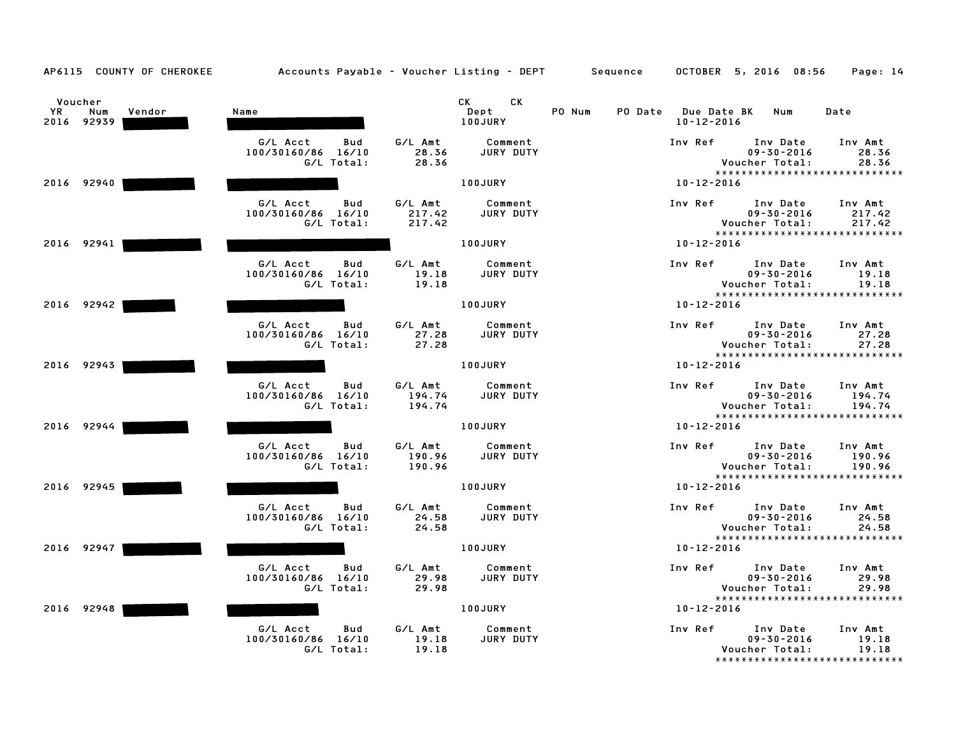| AP6115 COUNTY OF CHEROKEE                    | Accounts Payable - Voucher Listing - DEPT Sequence  |                             |                              |        |                                         | OCTOBER 5, 2016 08:56                                                            | Page: 14                    |
|----------------------------------------------|-----------------------------------------------------|-----------------------------|------------------------------|--------|-----------------------------------------|----------------------------------------------------------------------------------|-----------------------------|
| Voucher<br>YR<br>Num<br>Vendor<br>2016 92939 | Name                                                |                             | CK<br>CK.<br>Dept<br>100JURY | PO Num | PO Date Due Date BK<br>$10 - 12 - 2016$ | Num                                                                              | Date                        |
|                                              | G/L Acct<br>Bud<br>100/30160/86 16/10<br>G/L Total: | G/L Amt<br>28.36<br>28.36   | Comment<br>JURY DUTY         |        | Inv Ref                                 | Inv Date<br>$09 - 30 - 2016$<br>Voucher Total:<br>*****************************  | Inv Amt<br>28.36<br>28.36   |
| 2016 92940                                   |                                                     |                             | 100JURY                      |        | $10 - 12 - 2016$                        |                                                                                  |                             |
|                                              | G/L Acct<br>Bud<br>100/30160/86 16/10<br>G/L Total: | G/L Amt<br>217.42<br>217.42 | Comment<br>JURY DUTY         |        | Inv Ref                                 | Inv Date<br>$09 - 30 - 2016$<br>Voucher Total:                                   | Inv Amt<br>217.42<br>217.42 |
| 2016 92941                                   |                                                     |                             | 100JURY                      |        | $10 - 12 - 2016$                        | *****************************                                                    |                             |
|                                              | G/L Acct<br>Bud<br>100/30160/86 16/10<br>G/L Total: | G/L Amt<br>19.18<br>19.18   | Comment<br>JURY DUTY         |        | Inv Ref                                 | Inv Date<br>$09 - 30 - 2016$<br>Voucher Total:<br>*****************************  | Inv Amt<br>19.18<br>19.18   |
| 2016 92942                                   |                                                     |                             | <b>100JURY</b>               |        | $10 - 12 - 2016$                        |                                                                                  |                             |
|                                              | G/L Acct<br>Bud<br>100/30160/86 16/10<br>G/L Total: | G/L Amt<br>27.28<br>27.28   | Comment<br><b>JURY DUTY</b>  |        | Inv Ref                                 | Inv Date<br>$09 - 30 - 2016$<br>Voucher Total:<br>*****************************  | Inv Amt<br>27.28<br>27.28   |
| 2016 92943                                   |                                                     |                             | 100JURY                      |        | $10 - 12 - 2016$                        |                                                                                  |                             |
|                                              | G/L Acct<br>Bud<br>100/30160/86 16/10<br>G/L Total: | G/L Amt<br>194.74<br>194.74 | Comment<br>JURY DUTY         |        | Inv Ref                                 | Inv Date<br>$09 - 30 - 2016$<br>Voucher Total:                                   | Inv Amt<br>194.74<br>194.74 |
| 2016 92944                                   |                                                     |                             | <b>100JURY</b>               |        | 10-12-2016                              | *****************************                                                    |                             |
|                                              | G/L Acct<br>Bud<br>100/30160/86 16/10<br>G/L Total: | G/L Amt<br>190.96<br>190.96 | Comment<br><b>JURY DUTY</b>  |        | Inv Ref                                 | Inv Date<br>$09 - 30 - 2016$<br>Voucher Total:<br>****************************** | Inv Amt<br>190.96<br>190.96 |
| 2016 92945                                   |                                                     |                             | 100JURY                      |        | $10 - 12 - 2016$                        |                                                                                  |                             |
|                                              | G/L Acct<br>Bud<br>100/30160/86 16/10<br>G/L Total: | G/L Amt<br>24.58<br>24.58   | Comment<br>JURY DUTY         |        | Inv Ref                                 | Inv Date<br>$09 - 30 - 2016$<br>Voucher Total:                                   | Inv Amt<br>24.58<br>24.58   |
| 2016 92947                                   |                                                     |                             | 100JURY                      |        | $10 - 12 - 2016$                        | *****************************                                                    |                             |
|                                              | G/L Acct<br>Bud<br>100/30160/86 16/10<br>G/L Total: | G/L Amt<br>29.98<br>29.98   | Comment<br>JURY DUTY         |        | Inv Ref                                 | Inv Date<br>$09 - 30 - 2016$<br>Voucher Total:                                   | Inv Amt<br>29.98<br>29.98   |
| 2016 92948                                   |                                                     |                             | 100JURY                      |        | $10 - 12 - 2016$                        | *****************************                                                    |                             |
|                                              | G/L Acct<br>Bud<br>100/30160/86 16/10<br>G/L Total: | G/L Amt<br>19.18<br>19.18   | Comment<br>JURY DUTY         |        | Inv Ref                                 | Inv Date<br>$09 - 30 - 2016$<br>Voucher Total:<br>*****************************  | Inv Amt<br>19.18<br>19.18   |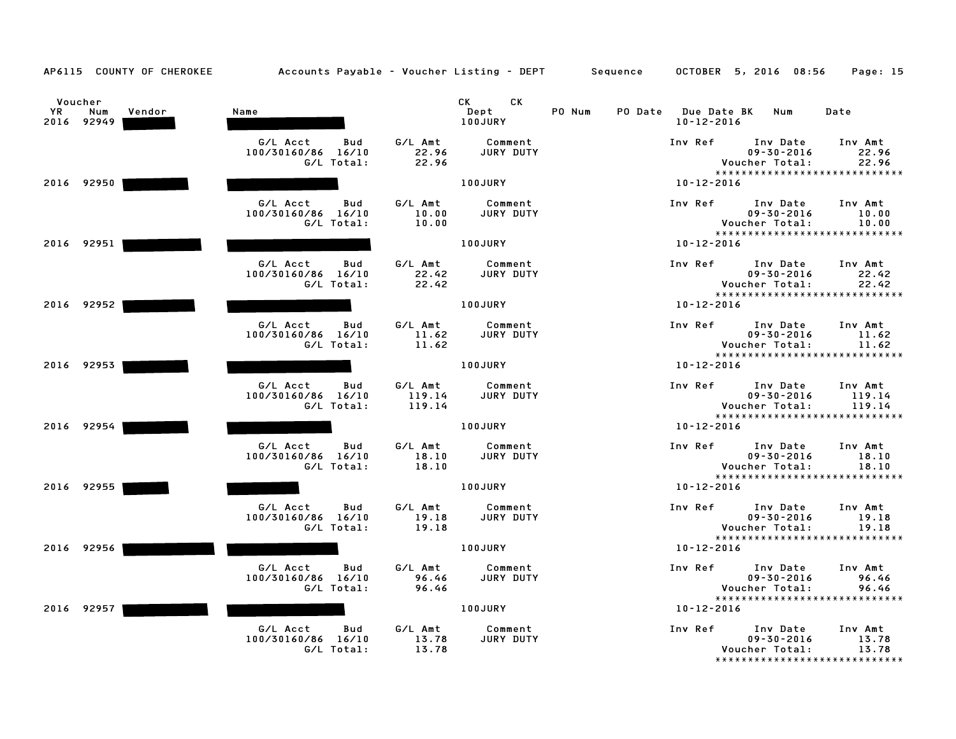| AP6115 COUNTY OF CHEROKEE                    | Accounts Payable - Voucher Listing - DEPT Sequence  |                             |                              |        |                                         | OCTOBER 5, 2016 08:56                                                            | Page: 15                    |
|----------------------------------------------|-----------------------------------------------------|-----------------------------|------------------------------|--------|-----------------------------------------|----------------------------------------------------------------------------------|-----------------------------|
| Voucher<br>YR<br>Num<br>Vendor<br>2016 92949 | Name                                                |                             | CK<br>CK.<br>Dept<br>100JURY | PO Num | PO Date Due Date BK<br>$10 - 12 - 2016$ | Num                                                                              | Date                        |
|                                              | G/L Acct<br>Bud<br>100/30160/86 16/10<br>G/L Total: | G/L Amt<br>22.96<br>22.96   | Comment<br>JURY DUTY         |        | Inv Ref                                 | Inv Date<br>$09 - 30 - 2016$<br>Voucher Total:<br>*****************************  | Inv Amt<br>22.96<br>22.96   |
| 2016 92950                                   |                                                     |                             | 100JURY                      |        | $10 - 12 - 2016$                        |                                                                                  |                             |
|                                              | G/L Acct<br>Bud<br>100/30160/86 16/10<br>G/L Total: | G/L Amt<br>10.00<br>10.00   | Comment<br>JURY DUTY         |        | Inv Ref                                 | Inv Date<br>$09 - 30 - 2016$<br>Voucher Total:<br>*****************************  | Inv Amt<br>10.00<br>10.00   |
| 2016 92951                                   |                                                     |                             | 100JURY                      |        | $10 - 12 - 2016$                        |                                                                                  |                             |
|                                              | G/L Acct<br>Bud<br>100/30160/86 16/10<br>G/L Total: | G/L Amt<br>22.42<br>22.42   | Comment<br>JURY DUTY         |        | Inv Ref                                 | Inv Date<br>$09 - 30 - 2016$<br>Voucher Total:<br>*****************************  | Inv Amt<br>22.42<br>22.42   |
| 2016 92952                                   |                                                     |                             | <b>100JURY</b>               |        | $10 - 12 - 2016$                        |                                                                                  |                             |
|                                              | G/L Acct<br>Bud<br>100/30160/86 16/10<br>G/L Total: | G/L Amt<br>11.62<br>11.62   | Comment<br>JURY DUTY         |        | Inv Ref                                 | Inv Date<br>$09 - 30 - 2016$<br>Voucher Total:<br>*****************************  | Inv Amt<br>11.62<br>11.62   |
| 2016 92953                                   |                                                     |                             | <b>100JURY</b>               |        | $10 - 12 - 2016$                        |                                                                                  |                             |
|                                              | G/L Acct<br>Bud<br>100/30160/86 16/10<br>G/L Total: | G/L Amt<br>119.14<br>119.14 | Comment<br>JURY DUTY         |        | Inv Ref                                 | Inv Date<br>$09 - 30 - 2016$<br>Voucher Total:                                   | Inv Amt<br>119.14<br>119.14 |
| 2016 92954                                   |                                                     |                             | <b>100JURY</b>               |        | 10-12-2016                              | *****************************                                                    |                             |
|                                              | G/L Acct<br>Bud<br>100/30160/86 16/10<br>G/L Total: | G/L Amt<br>18.10<br>18.10   | Comment<br>JURY DUTY         |        | Inv Ref                                 | Inv Date<br>$09 - 30 - 2016$<br>Voucher Total:<br>****************************** | Inv Amt<br>18.10<br>18.10   |
| 2016 92955                                   |                                                     |                             | 100JURY                      |        | $10 - 12 - 2016$                        |                                                                                  |                             |
|                                              | G/L Acct<br>Bud<br>100/30160/86 16/10<br>G/L Total: | G/L Amt<br>19.18<br>19.18   | Comment<br><b>JURY DUTY</b>  |        | Inv Ref                                 | Inv Date<br>$09 - 30 - 2016$<br>Voucher Total:                                   | Inv Amt<br>19.18<br>19.18   |
| 2016 92956                                   |                                                     |                             | 100JURY                      |        | $10 - 12 - 2016$                        | *****************************                                                    |                             |
|                                              | G/L Acct<br>Bud<br>100/30160/86 16/10<br>G/L Total: | G/L Amt<br>96.46<br>96.46   | Comment<br>JURY DUTY         |        | Inv Ref                                 | Inv Date<br>$09 - 30 - 2016$<br>Voucher Total:                                   | Inv Amt<br>96.46<br>96.46   |
| 2016 92957                                   |                                                     |                             | 100JURY                      |        | $10 - 12 - 2016$                        | *****************************                                                    |                             |
|                                              | G/L Acct<br>Bud<br>100/30160/86 16/10<br>G/L Total: | G/L Amt<br>13.78<br>13.78   | Comment<br>JURY DUTY         |        | Inv Ref                                 | Inv Date<br>$09 - 30 - 2016$<br>Voucher Total:<br>*****************************  | Inv Amt<br>13.78<br>13.78   |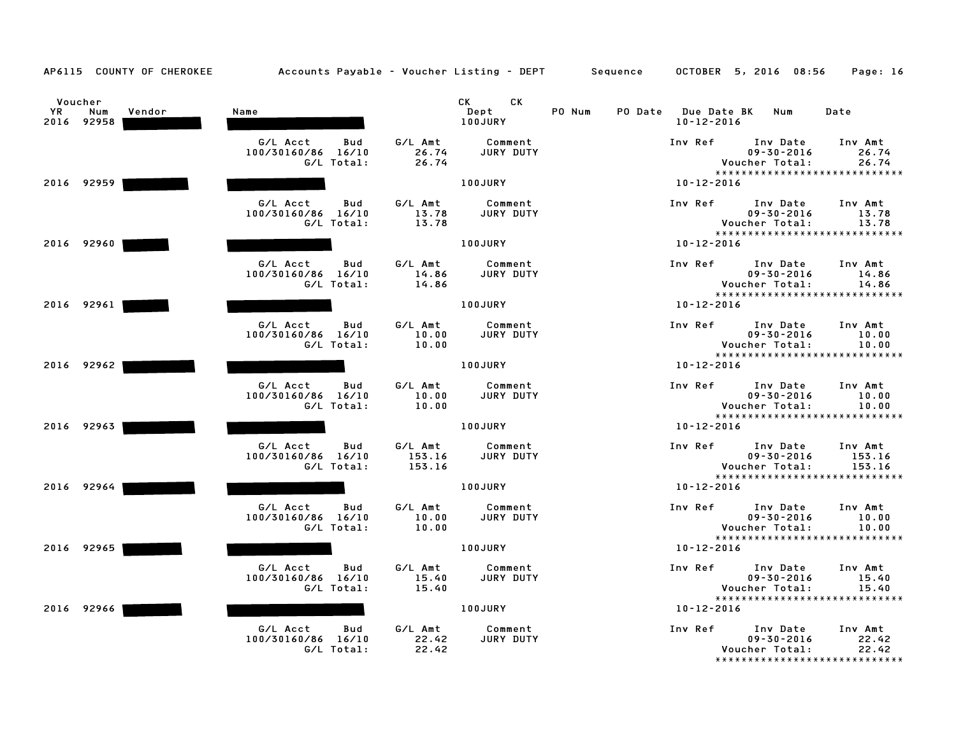| AP6115 COUNTY OF CHEROKEE                           | Accounts Payable – Voucher Listing – DEPT Sequence  |                                                     | OCTOBER 5, 2016 08:56<br>Page: 16                                                                                         |
|-----------------------------------------------------|-----------------------------------------------------|-----------------------------------------------------|---------------------------------------------------------------------------------------------------------------------------|
| Voucher<br><b>YR</b><br>Num<br>Vendor<br>2016 92958 | Name                                                | CK<br>CK<br>Dept<br>100JURY                         | PO Num<br>PO Date Due Date BK<br>Num<br>Date<br>$10 - 12 - 2016$                                                          |
|                                                     | G/L Acct<br>Bud<br>100/30160/86 16/10<br>G/L Total: | G/L Amt<br>Comment<br>26.74<br>JURY DUTY<br>26.74   | Inv Ref<br>Inv Date<br>Inv Amt<br>$09 - 30 - 2016$<br>26.74<br>Voucher Total:<br>26.74<br>*****************************   |
| 2016 92959                                          |                                                     | 100JURY                                             | $10 - 12 - 2016$                                                                                                          |
|                                                     | G/L Acct<br>Bud<br>100/30160/86 16/10<br>G/L Total: | G/L Amt<br>Comment<br>13.78<br>JURY DUTY<br>13.78   | Inv Ref<br>Inv Date<br>Inv Amt<br>$09 - 30 - 2016$<br>13.78<br>Voucher Total:<br>13.78<br>*****************************   |
| 2016 92960                                          |                                                     | 100JURY                                             | $10 - 12 - 2016$                                                                                                          |
|                                                     | G/L Acct<br>Bud<br>100/30160/86 16/10<br>G/L Total: | G/L Amt<br>Comment<br>JURY DUTY<br>14.86<br>14.86   | Inv Ref<br>Inv Date<br>Inv Amt<br>$09 - 30 - 2016$<br>14.86<br>Voucher Total:<br>14.86<br>*****************************   |
| 2016 92961                                          |                                                     | <b>100JURY</b>                                      | $10 - 12 - 2016$                                                                                                          |
|                                                     | G/L Acct<br>Bud<br>100/30160/86 16/10<br>G/L Total: | G/L Amt<br>Comment<br>10.00<br>JURY DUTY<br>10.00   | Inv Ref<br>Inv Date<br>Inv Amt<br>$09 - 30 - 2016$<br>10.00<br>Voucher Total:<br>10.00<br>*****************************   |
| 2016 92962                                          |                                                     | 100JURY                                             | $10 - 12 - 2016$                                                                                                          |
|                                                     | G/L Acct<br>Bud<br>100/30160/86 16/10<br>G/L Total: | G/L Amt<br>Comment<br>10.00<br>JURY DUTY<br>10.00   | Inv Amt<br>Inv Ref<br>Inv Date<br>$09 - 30 - 2016$<br>10.00<br>Voucher Total:<br>10.00<br>*****************************   |
| 2016 92963                                          |                                                     | 100JURY                                             | 10-12-2016                                                                                                                |
|                                                     | G/L Acct<br>Bud<br>100/30160/86 16/10<br>G/L Total: | G/L Amt<br>Comment<br>153.16<br>JURY DUTY<br>153.16 | Inv Ref<br>Inv Date<br>Inv Amt<br>$09 - 30 - 2016$<br>153.16<br>Voucher Total:<br>153.16<br>***************************** |
| 2016 92964                                          |                                                     | 100JURY                                             | 10-12-2016                                                                                                                |
|                                                     | G/L Acct<br>Bud<br>100/30160/86 16/10<br>G/L Total: | G/L Amt<br>Comment<br>10.00<br>JURY DUTY<br>10.00   | Inv Ref<br>Inv Date<br>Inv Amt<br>$09 - 30 - 2016$<br>10.00<br>Voucher Total:<br>10.00                                    |
| 2016 92965                                          |                                                     | 100JURY                                             | *****************************<br>$10 - 12 - 2016$                                                                         |
|                                                     | G/L Acct<br>Bud<br>100/30160/86 16/10<br>G/L Total: | G/L Amt<br>Comment<br>JURY DUTY<br>15.40<br>15.40   | Inv Ref<br>Inv Date<br>Inv Amt<br>$09 - 30 - 2016$<br>15.40<br>Voucher Total:<br>15.40<br>*****************************   |
| 2016 92966                                          |                                                     | 100JURY                                             | $10 - 12 - 2016$                                                                                                          |
|                                                     | G/L Acct<br>Bud<br>100/30160/86 16/10<br>G/L Total: | G/L Amt<br>Comment<br>22.42<br>JURY DUTY<br>22.42   | Inv Ref<br>Inv Date<br>Inv Amt<br>$09 - 30 - 2016$<br>22.42<br>Voucher Total:<br>22.42<br>******************************* |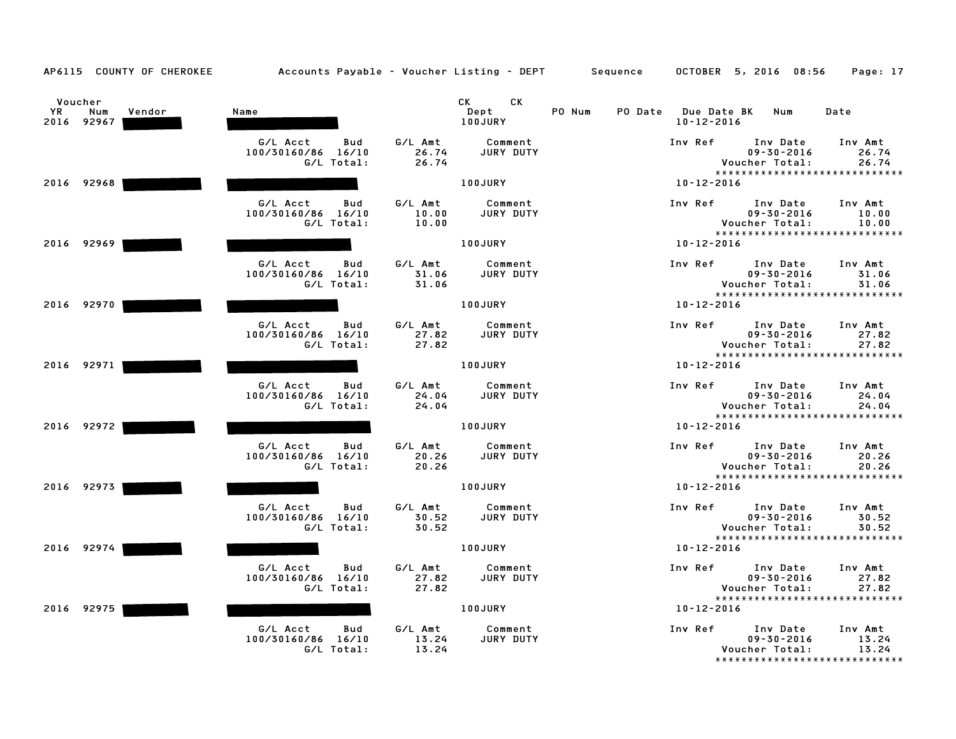| AP6115 COUNTY OF CHEROKEE                    | Accounts Payable - Voucher Listing - DEPT Sequence  |                           |                             |        |                                         | OCTOBER 5, 2016 08:56                                                            | Page: 17                  |
|----------------------------------------------|-----------------------------------------------------|---------------------------|-----------------------------|--------|-----------------------------------------|----------------------------------------------------------------------------------|---------------------------|
| Voucher<br>YR<br>Num<br>Vendor<br>2016 92967 | Name                                                |                           | CK<br>CK<br>Dept<br>100JURY | PO Num | PO Date Due Date BK<br>$10 - 12 - 2016$ | Num                                                                              | Date                      |
|                                              | G/L Acct<br>Bud<br>100/30160/86 16/10<br>G/L Total: | G/L Amt<br>26.74<br>26.74 | Comment<br>JURY DUTY        |        | Inv Ref                                 | Inv Date<br>$09 - 30 - 2016$<br>Voucher Total:<br>*****************************  | Inv Amt<br>26.74<br>26.74 |
| 2016 92968                                   |                                                     |                           | 100JURY                     |        | $10 - 12 - 2016$                        |                                                                                  |                           |
|                                              | G/L Acct<br>Bud<br>100/30160/86 16/10<br>G/L Total: | G/L Amt<br>10.00<br>10.00 | Comment<br><b>JURY DUTY</b> |        | Inv Ref                                 | Inv Date<br>$09 - 30 - 2016$<br>Voucher Total:                                   | Inv Amt<br>10.00<br>10.00 |
| 2016 92969                                   |                                                     |                           | 100JURY                     |        | $10 - 12 - 2016$                        | *****************************                                                    |                           |
|                                              | G/L Acct<br>Bud<br>100/30160/86 16/10<br>G/L Total: | G/L Amt<br>31.06<br>31.06 | Comment<br>JURY DUTY        |        | Inv Ref                                 | Inv Date<br>$09 - 30 - 2016$<br>Voucher Total:<br>*****************************  | Inv Amt<br>31.06<br>31.06 |
| 2016 92970                                   |                                                     |                           | 100JURY                     |        | $10 - 12 - 2016$                        |                                                                                  |                           |
|                                              | G/L Acct<br>Bud<br>100/30160/86 16/10<br>G/L Total: | G/L Amt<br>27.82<br>27.82 | Comment<br><b>JURY DUTY</b> |        | Inv Ref                                 | Inv Date<br>$09 - 30 - 2016$<br>Voucher Total:                                   | Inv Amt<br>27.82<br>27.82 |
| 2016 92971                                   |                                                     |                           | 100JURY                     |        | $10 - 12 - 2016$                        | *****************************                                                    |                           |
|                                              | G/L Acct<br>Bud<br>100/30160/86 16/10<br>G/L Total: | G/L Amt<br>24.04<br>24.04 | Comment<br>JURY DUTY        |        | Inv Ref                                 | Inv Date<br>$09 - 30 - 2016$<br>Voucher Total:                                   | Inv Amt<br>24.04<br>24.04 |
| 2016 92972                                   |                                                     |                           | 100JURY                     |        | 10-12-2016                              | *****************************                                                    |                           |
|                                              | G/L Acct<br>Bud<br>100/30160/86 16/10<br>G/L Total: | G/L Amt<br>20.26<br>20.26 | Comment<br><b>JURY DUTY</b> |        | Inv Ref                                 | Inv Date<br>$09 - 30 - 2016$<br>Voucher Total:<br>****************************** | Inv Amt<br>20.26<br>20.26 |
| 2016 92973                                   |                                                     |                           | 100JURY                     |        | $10 - 12 - 2016$                        |                                                                                  |                           |
|                                              | G/L Acct<br>Bud<br>100/30160/86 16/10<br>G/L Total: | G/L Amt<br>30.52<br>30.52 | Comment<br>JURY DUTY        |        | Inv Ref                                 | Inv Date<br>$09 - 30 - 2016$<br>Voucher Total:                                   | Inv Amt<br>30.52<br>30.52 |
| 2016 92974                                   |                                                     |                           | 100JURY                     |        | $10 - 12 - 2016$                        | *****************************                                                    |                           |
|                                              | G/L Acct<br>Bud<br>100/30160/86 16/10<br>G/L Total: | G/L Amt<br>27.82<br>27.82 | Comment<br>JURY DUTY        |        | Inv Ref                                 | Inv Date<br>$09 - 30 - 2016$<br>Voucher Total:                                   | Inv Amt<br>27.82<br>27.82 |
| 2016 92975                                   |                                                     |                           | 100JURY                     |        | $10 - 12 - 2016$                        | *****************************                                                    |                           |
|                                              | G/L Acct<br>Bud<br>100/30160/86 16/10<br>G/L Total: | G/L Amt<br>13.24<br>13.24 | Comment<br>JURY DUTY        |        | Inv Ref                                 | Inv Date<br>$09 - 30 - 2016$<br>Voucher Total:<br>*****************************  | Inv Amt<br>13.24<br>13.24 |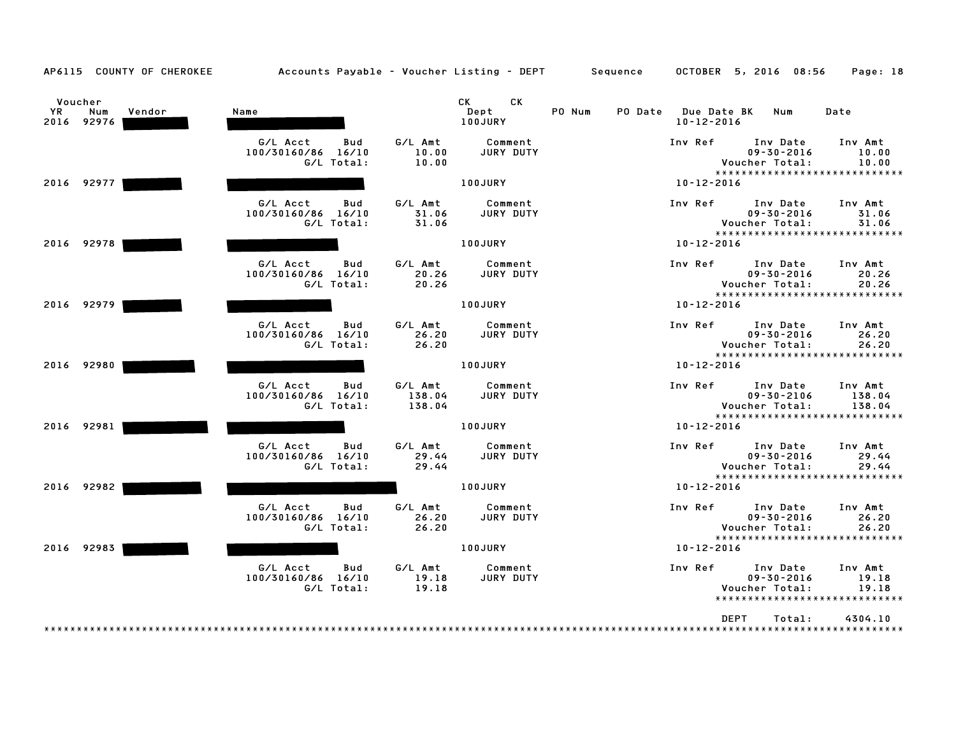| AP6115 COUNTY OF CHEROKEE                    | Accounts Payable - Voucher Listing - DEPT Sequence         |                             |                             |        |                                         | OCTOBER 5, 2016 08:56                          | Page: 18                                                     |
|----------------------------------------------|------------------------------------------------------------|-----------------------------|-----------------------------|--------|-----------------------------------------|------------------------------------------------|--------------------------------------------------------------|
| Voucher<br>YR<br>Num<br>Vendor<br>2016 92976 | Name                                                       |                             | CK<br>CK<br>Dept<br>100JURY | PO Num | PO Date Due Date BK<br>$10 - 12 - 2016$ | Num                                            | Date                                                         |
|                                              | G/L Acct<br><b>Bud</b><br>100/30160/86 16/10<br>G/L Total: | G/L Amt<br>10.00<br>10.00   | Comment<br>JURY DUTY        |        | Inv Ref                                 | Inv Date<br>$09 - 30 - 2016$<br>Voucher Total: | Inv Amt<br>10.00<br>10.00                                    |
| 2016 92977                                   |                                                            |                             | 100JURY                     |        | 10-12-2016                              |                                                | *****************************                                |
|                                              | G/L Acct<br>Bud<br>100/30160/86 16/10<br>G/L Total:        | G/L Amt<br>31.06<br>31.06   | Comment<br>JURY DUTY        |        | Inv Ref                                 | Inv Date<br>$09 - 30 - 2016$<br>Voucher Total: | Inv Amt<br>31.06<br>31.06                                    |
| 2016 92978                                   |                                                            |                             | 100JURY                     |        | $10 - 12 - 2016$                        |                                                | *****************************                                |
|                                              | G/L Acct<br>Bud<br>100/30160/86 16/10<br>G/L Total:        | G/L Amt<br>20.26<br>20.26   | Comment<br>JURY DUTY        |        | Inv Ref                                 | Inv Date<br>$09 - 30 - 2016$<br>Voucher Total: | Inv Amt<br>20.26<br>20.26<br>*****************************   |
| 2016 92979                                   |                                                            |                             | 100JURY                     |        | $10 - 12 - 2016$                        |                                                |                                                              |
|                                              | G/L Acct<br>Bud<br>100/30160/86 16/10<br>G/L Total:        | G/L Amt<br>26.20<br>26.20   | Comment<br>JURY DUTY        |        | Inv Ref                                 | Inv Date<br>$09 - 30 - 2016$<br>Voucher Total: | Inv Amt<br>26.20<br>26.20<br>*****************************   |
| 2016 92980                                   |                                                            |                             | 100JURY                     |        | $10 - 12 - 2016$                        |                                                |                                                              |
|                                              | G/L Acct<br>Bud<br>100/30160/86 16/10<br>G/L Total:        | G/L Amt<br>138.04<br>138.04 | Comment<br>JURY DUTY        |        | Inv Ref                                 | Inv Date<br>$09 - 30 - 2106$<br>Voucher Total: | Inv Amt<br>138.04<br>138.04<br>***************************** |
| 2016 92981                                   |                                                            |                             | 100JURY                     |        | $10 - 12 - 2016$                        |                                                |                                                              |
|                                              | G/L Acct<br><b>Bud</b><br>100/30160/86 16/10<br>G/L Total: | G/L Amt<br>29.44<br>29.44   | Comment<br>JURY DUTY        |        | Inv Ref                                 | Inv Date<br>$09 - 30 - 2016$<br>Voucher Total: | Inv Amt<br>29.44<br>29.44<br>*****************************   |
| 2016 92982                                   |                                                            |                             | <b>100JURY</b>              |        | 10-12-2016                              |                                                |                                                              |
|                                              | G/L Acct<br>Bud<br>100/30160/86 16/10<br>G/L Total:        | G/L Amt<br>26.20<br>26.20   | Comment<br>JURY DUTY        |        | Inv Ref                                 | Inv Date<br>$09 - 30 - 2016$<br>Voucher Total: | Inv Amt<br>26.20<br>26.20                                    |
| 2016 92983                                   |                                                            |                             | 100JURY                     |        | $10 - 12 - 2016$                        |                                                | *****************************                                |
|                                              | G/L Acct<br><b>Bud</b><br>100/30160/86 16/10<br>G/L Total: | G/L Amt<br>19.18<br>19.18   | Comment<br>JURY DUTY        |        | Inv Ref                                 | Inv Date<br>$09 - 30 - 2016$<br>Voucher Total: | Inv Amt<br>19.18<br>19.18<br>*****************************   |
|                                              |                                                            |                             |                             |        | <b>DEPT</b>                             | Total:                                         | 4304.10                                                      |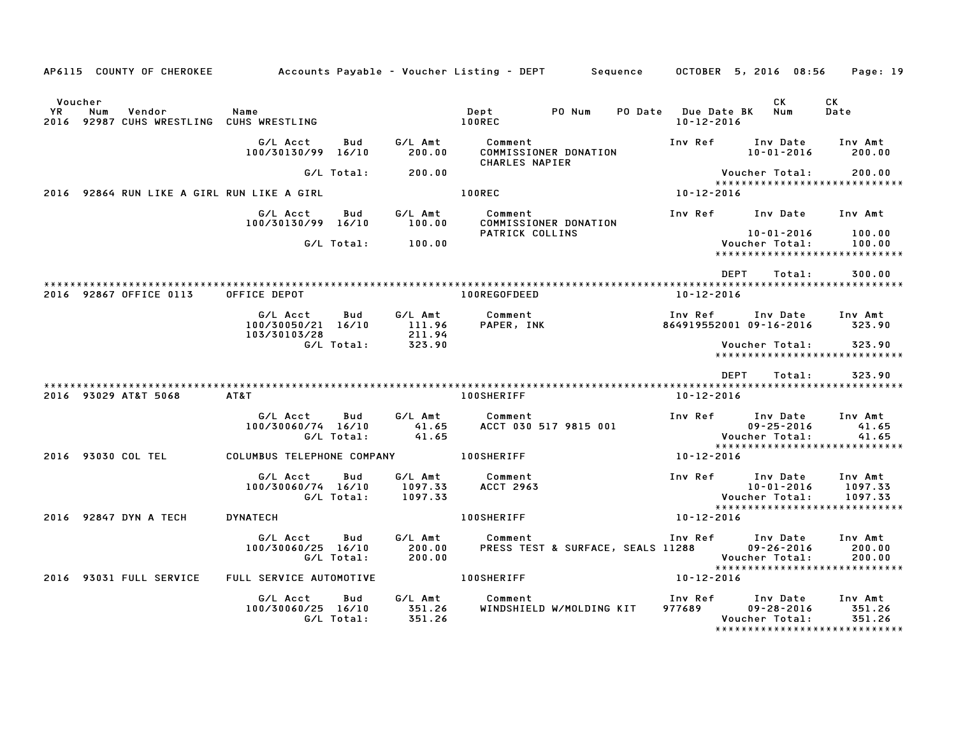|               |     | AP6115 COUNTY OF CHEROKEE                          | Accounts Payable – Voucher Listing – DEPT         Sequence |                   |                                |                           |                                              | OCTOBER 5, 2016 08:56              |             |                                                |        | Page: 19                                                       |  |
|---------------|-----|----------------------------------------------------|------------------------------------------------------------|-------------------|--------------------------------|---------------------------|----------------------------------------------|------------------------------------|-------------|------------------------------------------------|--------|----------------------------------------------------------------|--|
| Voucher<br>YR | Num | Vendor<br>2016 92987 CUHS WRESTLING CUHS WRESTLING | Name                                                       |                   |                                | Dept<br><b>100REC</b>     | PO Num                                       | PO Date Due Date BK<br>10-12-2016  |             | CK<br>Num                                      |        | CK<br>Date                                                     |  |
|               |     |                                                    | G/L Acct<br>100/30130/99 16/10                             | Bud               | G/L Amt<br>200.00              | Comment<br>CHARLES NAPIER | COMMISSIONER DONATION                        | Inv Ref                            |             | Inv Date<br>10-01-2016                         |        | Inv Amt<br>200.00                                              |  |
|               |     |                                                    |                                                            | G/L Total:        | 200.00                         |                           |                                              |                                    |             | Voucher Total:                                 |        | 200.00<br>******************************                       |  |
| 2016          |     |                                                    | 92864 RUN LIKE A GIRL RUN LIKE A GIRL                      |                   |                                | <b>100REC</b>             |                                              | 10-12-2016                         |             |                                                |        |                                                                |  |
|               |     |                                                    | G/L Acct<br>100/30130/99 16/10                             | Bud               | G/L Amt<br>100.00              | Comment                   | COMMISSIONER DONATION                        |                                    |             |                                                |        | Inv Ref Inv Date Inv Amt                                       |  |
|               |     |                                                    |                                                            | G/L Total:        | 100.00                         |                           | PATRICK COLLINS                              |                                    |             | 10-01-2016<br>Voucher Total:                   |        | 100.00<br>100.00<br>******************************             |  |
|               |     |                                                    |                                                            |                   |                                |                           |                                              |                                    | DEPT        |                                                | Total: | 300.00                                                         |  |
|               |     | 2016 92867 OFFICE 0113                             | OFFICE DEPOT                                               |                   |                                | 100REGOFDEED              |                                              | 10-12-2016                         |             |                                                |        |                                                                |  |
|               |     |                                                    | G/L Acct<br>100/30050/21 16/10<br>103/30103/28             |                   | Bud G/LAmt<br>111.96<br>211.94 | Comment<br>PAPER, INK     |                                              | Inv Ref<br>864919552001 09-16-2016 |             |                                                |        | Inv Date Inv Amt<br>323.90                                     |  |
|               |     |                                                    | G/L Total:                                                 |                   | 323.90                         |                           |                                              |                                    |             | Voucher Total:                                 |        | 323.90<br>*****************************                        |  |
|               |     |                                                    |                                                            |                   |                                |                           |                                              |                                    | <b>DEPT</b> |                                                | Total: | 323.90                                                         |  |
|               |     | 2016 93029 AT&T 5068                               | AT&T                                                       |                   |                                | <b>100SHERIFF</b>         |                                              | 10-12-2016                         |             |                                                |        |                                                                |  |
|               |     |                                                    | G/L Acct<br>100/30060/74 16/10<br>G/L Total:               | Bud               | G/L Amt<br>41.65<br>41.65      | Comment                   | ACCT 030 517 9815 001                        | Inv Ref Inv Date                   |             | $09 - 25 - 2016$<br>Voucher Total:             |        | Inv Amt<br>41.65<br>41.65<br>*****************************     |  |
|               |     | 2016 93030 COL TEL                                 | COLUMBUS TELEPHONE COMPANY 100SHERIFF                      |                   |                                |                           |                                              | 10-12-2016                         |             |                                                |        |                                                                |  |
|               |     |                                                    | G/L Acct<br>100/30060/74 16/10<br>G/L Total:               | Bud               | G/L Amt<br>1097.33<br>1097.33  | Comment<br>ACCT 2963      |                                              | Inv Ref                            |             | Inv Date<br>10-01-2016<br>Voucher Total:       |        | Inv Amt<br>1097.33<br>1097.33<br>***************************** |  |
|               |     | 2016 92847 DYN A TECH                              | DYNATECH                                                   |                   |                                | <b>100SHERIFF</b>         |                                              | 10-12-2016                         |             |                                                |        |                                                                |  |
|               |     |                                                    | G/L Acct<br>100/30060/25 16/10<br>G/L Total:               | Bud               | G/L Amt<br>200.00<br>200.00    | Comment                   | PRESS TEST & SURFACE, SEALS 11288 09-26-2016 | Inv Ref                            |             | Inv Date<br>Voucher Total:                     |        | Inv Amt<br>200.00<br>200.00<br>******************************  |  |
|               |     | 2016 93031 FULL SERVICE                            | FULL SERVICE AUTOMOTIVE                                    |                   |                                | <b>100SHERIFF</b>         |                                              | 10-12-2016                         |             |                                                |        |                                                                |  |
|               |     |                                                    | G/L Acct<br>100/30060/25 16/10                             | Bud<br>G/L Total: | G/L Amt<br>351.26<br>351.26    | Comment                   | WINDSHIELD W/MOLDING KIT                     | Inv Ref<br>977689                  |             | Inv Date<br>$09 - 28 - 2016$<br>Voucher Total: |        | Inv Amt<br>351.26<br>351.26<br>******************************  |  |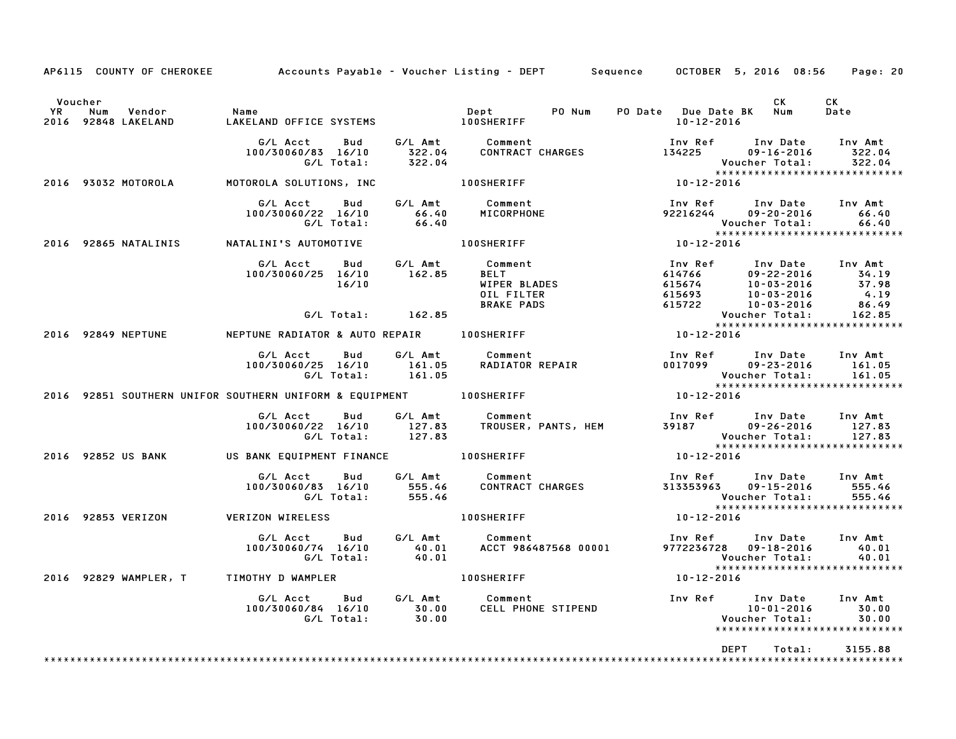|               |                                      | AP6115 COUNTY OF CHEROKEE Accounts Payable - Voucher Listing - DEPT Sequence OCTOBER 5, 2016 08:56 Page: 20 |                    |              |                                                |                                                                                                                                                                                                                                         |                             |                                                                                                                                                             |                |        |                                                    |  |
|---------------|--------------------------------------|-------------------------------------------------------------------------------------------------------------|--------------------|--------------|------------------------------------------------|-----------------------------------------------------------------------------------------------------------------------------------------------------------------------------------------------------------------------------------------|-----------------------------|-------------------------------------------------------------------------------------------------------------------------------------------------------------|----------------|--------|----------------------------------------------------|--|
| Voucher<br>YR | Num<br>Vendor<br>2016 92848 LAKELAND | Name<br>IAKELA                                                                                              |                    |              |                                                |                                                                                                                                                                                                                                         |                             | PO Num PO Date Due Date BK Num<br>10-12-2016                                                                                                                | <b>CK</b>      |        | CK<br>Date                                         |  |
|               |                                      |                                                                                                             |                    |              |                                                | G/L Acct Bud G/L Amt Comment Inv Ref Inv Date<br>100/30060/83 16/10 322.04 CONTRACT CHARGES 134225 09-16-2016<br>G/L Total: 322.04 Voucher Total:                                                                                       |                             | Inv Ref Inv Date Inv Amt                                                                                                                                    |                |        | 322.04                                             |  |
|               | 2016 93032 MOTOROLA                  |                                                                                                             |                    |              |                                                |                                                                                                                                                                                                                                         |                             |                                                                                                                                                             |                |        |                                                    |  |
|               |                                      |                                                                                                             | G/L Acct           | <b>Bud</b>   | 100/30060/22 16/10 66.40<br>G/L Total: 66.40   | G/L Amt Comment<br>66.40 MICORPHONE                                                                                                                                                                                                     |                             | Inv Ref      Inv Date     Inv Amt<br>92216244 09-20-2016                                                                                                    | Voucher Total: |        | 66.40<br>66.40                                     |  |
|               | 2016 92865 NATALINIS                 |                                                                                                             |                    |              |                                                |                                                                                                                                                                                                                                         |                             |                                                                                                                                                             |                |        | *****************************                      |  |
|               |                                      |                                                                                                             |                    |              |                                                | G/L Acct Bud G/L Amt Comment<br>100/30060/25 16/10 162.85 BELT<br>16/10 WIPER BLADES<br>G/l Total: 162.85 BRAKE PADS                                                                                                                    |                             | 100 Ref 100 Date 100 Amt<br>14766 09-22-2016 34.19<br>615674 10-03-2016 37.98<br>615693 10-03-2016 4.19<br>615722 10-03-2016 86.49<br>Voucher Total: 162.85 |                |        |                                                    |  |
|               |                                      |                                                                                                             |                    |              | G/L Total: 162.85                              |                                                                                                                                                                                                                                         |                             | Voucher Total: 162.85<br>**********************************                                                                                                 |                |        |                                                    |  |
|               |                                      | 2016 92849 NEPTUNE NEPTUNE RADIATOR & AUTO REPAIR 100SHERIFF                                                |                    |              |                                                |                                                                                                                                                                                                                                         |                             |                                                                                                                                                             |                |        |                                                    |  |
|               |                                      |                                                                                                             |                    |              |                                                | G/L Acct     Bud     G/L Amt        Comment<br>100/30060/25   16/10       161.05     RADIATOR REPAIR                          G/L Total:           161.05                                                                               |                             |                                                                                                                                                             |                |        |                                                    |  |
|               |                                      | 2016 92851 SOUTHERN UNIFOR SOUTHERN UNIFORM & EQUIPMENT 100SHERIFF                                          |                    |              |                                                |                                                                                                                                                                                                                                         |                             |                                                                                                                                                             |                |        |                                                    |  |
|               |                                      |                                                                                                             |                    |              |                                                | 6/L Acct Bud G/L Amt Comment Inver Invest Inver Inver Inversions of the Search of the Matter of the Search of<br>100/30060/22 16/10 127.83 TROUSER, PANTS, HEM 39187 09-26-2016 127.83<br>6/L Total: 127.83 Voucher Total: 127.83<br>10 |                             |                                                                                                                                                             |                |        |                                                    |  |
|               | 2016 92852 US BANK                   | US BANK EQUIPMENT FINANCE 100SHERIFF                                                                        |                    |              |                                                |                                                                                                                                                                                                                                         |                             |                                                                                                                                                             |                |        |                                                    |  |
|               |                                      |                                                                                                             | G/L Acct           | <b>Bud</b>   | 100/30060/83 16/10 555.46<br>G/L Total: 555.46 | G/L Amt Comment                                                                                                                                                                                                                         | Comment<br>CONTRACT CHARGES | Inv Ref      Inv Date     Inv Amt<br>313353963 09-15-2016<br>Voucher Total:                                                                                 |                |        | 555.46<br>555.46<br>****************************** |  |
|               | 2016 92853 VERIZON                   | <b>VERIZON WIRELESS</b>                                                                                     |                    |              |                                                | <b>100SHERIFF</b>                                                                                                                                                                                                                       |                             | $10 - 12 - 2016$                                                                                                                                            |                |        |                                                    |  |
|               |                                      |                                                                                                             | 100/30060/74 16/10 | G/L Acct Bud |                                                |                                                                                                                                                                                                                                         |                             | Inv Ref Inv Date<br>9772236728  09-18-2016                                                                                                                  |                |        | Inv Amt<br>40.01                                   |  |
|               |                                      | 2016 92829 WAMPLER, T TIMOTHY D WAMPLER THE RESERVED ON A LOOSHERIFF                                        |                    |              |                                                |                                                                                                                                                                                                                                         |                             | 10-12-2016                                                                                                                                                  |                |        |                                                    |  |
|               |                                      |                                                                                                             |                    |              |                                                | G/L Acct Bud G/L Amt Comment 100/30060/84 16/10 50.00<br>100/30060/84 16/10 30.00 CELL PHONE STIPEND 10-01-2016 30.00<br>10-01-2016 6/L Total: 30.00                                                                                    |                             |                                                                                                                                                             |                |        | 30.00<br>30.00<br>******************************   |  |
|               |                                      |                                                                                                             |                    |              |                                                |                                                                                                                                                                                                                                         |                             |                                                                                                                                                             | <b>DEPT</b>    | Total: | 3155.88                                            |  |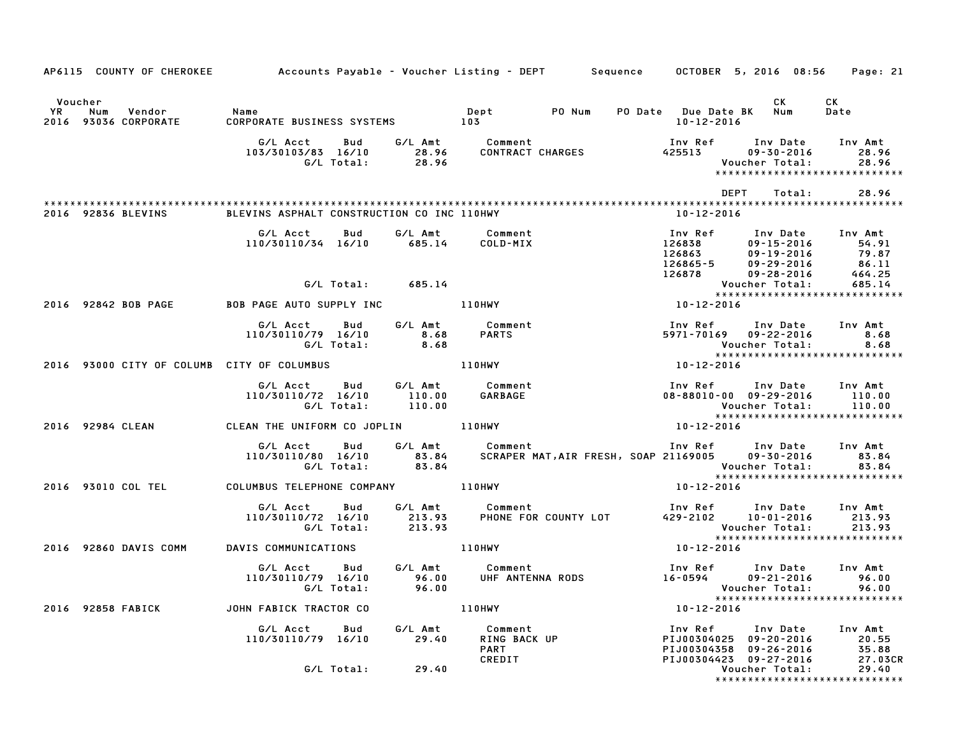| AP6115 COUNTY OF CHEROKEE Accounts Payable - Voucher Listing - DEPT Sequence OCTOBER 5, 2016 08:56 Page: 21                                                                                                                                      |                                                                                                                                                             |                  |                                           |                  |                                                                                                                  |                                      |
|--------------------------------------------------------------------------------------------------------------------------------------------------------------------------------------------------------------------------------------------------|-------------------------------------------------------------------------------------------------------------------------------------------------------------|------------------|-------------------------------------------|------------------|------------------------------------------------------------------------------------------------------------------|--------------------------------------|
| Voucher                                                                                                                                                                                                                                          |                                                                                                                                                             |                  |                                           |                  | CK.                                                                                                              | CK<br>Date                           |
|                                                                                                                                                                                                                                                  |                                                                                                                                                             |                  |                                           |                  |                                                                                                                  |                                      |
|                                                                                                                                                                                                                                                  |                                                                                                                                                             |                  |                                           |                  | DEPT                                                                                                             | Total: 28.96                         |
| 2016 92836 BLEVINS BLEVINS ASPHALT CONSTRUCTION CO INC 110HWY                                                                                                                                                                                    |                                                                                                                                                             |                  |                                           |                  | 10-12-2016                                                                                                       |                                      |
| 10730110734 16/10 685.14 COLD-MIX 107 Mef Inv Date Inv Amt<br>126863 09-15-2016 54.91<br>126865-5 09-15-2016 54.91<br>126865-5 09-29-2016 79.87<br>126865-5 09-29-2016 86.11<br>126878 09-2842 BOB PAGE AUTO SUPPLY INC 110HWY<br>10-12-2016 *** | G/L Acct<br>Bud                                                                                                                                             |                  |                                           |                  | 1nv Ref       Inv Date     Inv Amt<br>126838         no-15-2011                                                  |                                      |
|                                                                                                                                                                                                                                                  |                                                                                                                                                             |                  |                                           |                  |                                                                                                                  |                                      |
|                                                                                                                                                                                                                                                  |                                                                                                                                                             |                  |                                           |                  |                                                                                                                  |                                      |
|                                                                                                                                                                                                                                                  | G/L Acct Bud G/L Amt Comment<br>110/30110/79 16/10 8.68 PARTS<br>G/L Total: 8.68 PARTS<br>TY OF COLUMBUS 110HWY                                             |                  |                                           |                  | Inv Ref Inv Date Inv Amt<br>5971-70169 09-22-2016 8.68<br>Voucher Total: 8.68<br>****************************    |                                      |
| 2016 93000 CITY OF COLUMB CITY OF COLUMBUS AND MANUSE AND MANUSCULT AND MANUSCULT                                                                                                                                                                |                                                                                                                                                             |                  |                                           | $10 - 12 - 2016$ |                                                                                                                  |                                      |
|                                                                                                                                                                                                                                                  |                                                                                                                                                             |                  |                                           |                  | Voucher Total: 110.00<br>xxxxxxxxxxxxxxxxxxxxxxxxxxxx                                                            |                                      |
| 2016 92984 CLEAN CLEAN THE UNIFORM CO JOPLIN 110HWY                                                                                                                                                                                              |                                                                                                                                                             |                  |                                           | $10 - 12 - 2016$ |                                                                                                                  |                                      |
|                                                                                                                                                                                                                                                  | G/L Acct Bud G/L Amt Comment Inv Ref Inv Date Inv Amt<br>110/30110/80 16/10 83.84 SCRAPER MAT,AIR FRESH, SOAP 21169005 09–30–2016 83.84<br>G/L Total: 83.84 |                  |                                           |                  | Voucher Total: 83.84<br>****************************                                                             |                                      |
| 2016 93010 COL TEL COLUMBUS TELEPHONE COMPANY AND 110HWY                                                                                                                                                                                         |                                                                                                                                                             |                  |                                           | $10 - 12 - 2016$ |                                                                                                                  |                                      |
|                                                                                                                                                                                                                                                  | G/L Acct Bud G/L Amt Comment 110/30110/72 16/10 213.93 PHONE FOR COUNTY LOT 429-2102 10-01-2016 213.93<br>G/L Total: 213.93                                 |                  |                                           |                  | Voucher Total: 213.93<br>****************************                                                            |                                      |
| 2016 92860 DAVIS COMM DAVIS COMMUNICATIONS 110HWY                                                                                                                                                                                                |                                                                                                                                                             |                  |                                           | $10 - 12 - 2016$ |                                                                                                                  |                                      |
|                                                                                                                                                                                                                                                  | G/L Acct Bud G/L Amt Comment<br>110/30110/79 16/10 96.00 UHF ANTENNA RODS<br>G/L Total: 96.00                                                               |                  |                                           |                  | Inv Ref Inv Date Inv Amt<br>16-0594<br>09-21-2016 96.00<br>Voucher Total: 96.00<br>***************************** |                                      |
| 2016 92858 FABICK                                                                                                                                                                                                                                | JOHN FABICK TRACTOR CO                                                                                                                                      |                  | 110HWY                                    |                  | $10 - 12 - 2016$                                                                                                 |                                      |
|                                                                                                                                                                                                                                                  | G/L Acct<br>Bud<br>110/30110/79 16/10                                                                                                                       | G/L Amt<br>29.40 | Comment<br>RING BACK UP<br>PART<br>CREDIT |                  | Inv Ref Inv Date<br>PIJ00304025 09-20-2016<br>PIJ00304358 09-26-2016<br>PIJ00304423 09-27-2016                   | Inv Amt<br>20.55<br>35.88<br>27.03CR |
|                                                                                                                                                                                                                                                  | G/L Total:                                                                                                                                                  | 29.40            |                                           |                  | Voucher Total:<br>*****************************                                                                  | 29.40                                |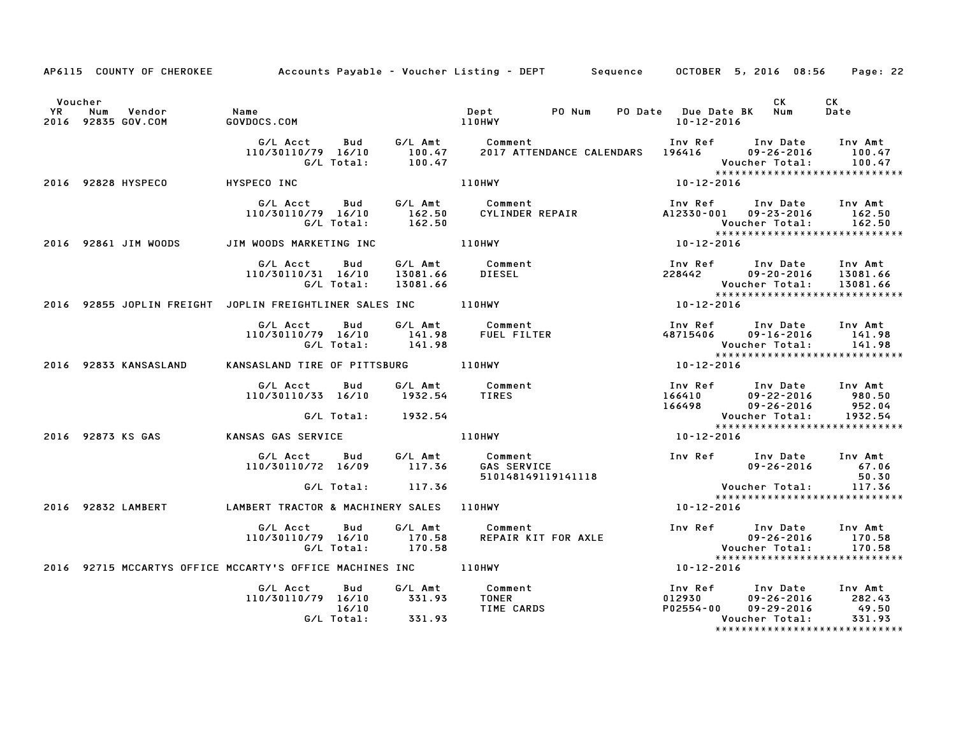|               | AP6115 COUNTY OF CHEROKEE                                | Accounts Payable – Voucher Listing – DEPT         Sequence |                            |                                 |                                |                           |                                | OCTOBER 5, 2016 08:56                                              | Page: 22                                                              |
|---------------|----------------------------------------------------------|------------------------------------------------------------|----------------------------|---------------------------------|--------------------------------|---------------------------|--------------------------------|--------------------------------------------------------------------|-----------------------------------------------------------------------|
| Voucher<br>YR | Num<br>Vendor<br>2016 92835 GOV.COM                      | Name<br>GOVDOCS.COM                                        |                            |                                 | Dept<br>110HWY                 | PO Num                    | 10-12-2016                     | CK<br>PO Date Due Date BK Num                                      | СK<br>Date                                                            |
|               |                                                          | G/L Acct<br>110/30110/79 16/10                             | Bud<br>G/L Total:          | G/L Amt<br>100.47<br>100.47     | Comment                        | 2017 ATTENDANCE CALENDARS | Inv Ref<br>196416              | Inv Date<br>$09 - 26 - 2016$<br>Voucher Total:                     | Inv Amt<br>100.47<br>100.47<br>*****************************          |
|               | 2016 92828 HYSPECO                                       | HYSPECO INC                                                |                            |                                 | 110HWY                         |                           | 10-12-2016                     |                                                                    |                                                                       |
|               |                                                          | G/L Acct<br>110/30110/79 16/10                             | Bud<br>G/L Total:          | G/L Amt<br>162.50<br>162.50     | Comment                        | CYLINDER REPAIR           | Inv Ref                        | Inv Date<br>A12330-001 09-23-2016<br>Voucher Total:                | Inv Amt<br>162.50<br>162.50<br>******************************         |
|               | 2016 92861 JIM WOODS                                     | JIM WOODS MARKETING INC                                    |                            |                                 | <b>110HWY</b>                  |                           | 10-12-2016                     |                                                                    |                                                                       |
|               |                                                          | G/L Acct<br>110/30110/31 16/10                             | Bud<br>G/L Total:          | G/L Amt<br>13081.66<br>13081.66 | Comment<br>DIESEL              |                           | Inv Ref<br>228442              | Inv Date<br>$09 - 20 - 2016$<br>Voucher Total:                     | Inv Amt<br>13081.66<br>13081.66<br>*****************************      |
|               | 2016 92855 JOPLIN FREIGHT JOPLIN FREIGHTLINER SALES INC  |                                                            |                            |                                 | 110HWY                         |                           | 10-12-2016                     |                                                                    |                                                                       |
|               |                                                          | G/L Acct<br>110/30110/79 16/10                             | Bud<br>G/L Total:          | G/L Amt<br>141.98<br>141.98     | Comment<br><b>FUEL FILTER</b>  |                           | Inv Ref<br>48715406            | Inv Date<br>$09 - 16 - 2016$<br>Voucher Total:                     | Inv Amt<br>141.98<br>141.98<br>*****************************          |
|               | 2016 92833 KANSASLAND                                    | KANSASLAND TIRE OF PITTSBURG 110HWY                        |                            |                                 |                                |                           | 10-12-2016                     |                                                                    |                                                                       |
|               |                                                          | G/L Acct<br>110/30110/33 16/10                             | Bud                        | G/L Amt<br>1932.54              | Comment<br>TIRES               |                           | Inv Ref<br>166410<br>166498    | Inv Date<br>$09 - 22 - 2016$<br>$09 - 26 - 2016$                   | Inv Amt<br>980.50<br>952.04                                           |
|               |                                                          |                                                            | G/L Total:                 | 1932.54                         |                                |                           |                                | Voucher Total:                                                     | 1932.54<br>*****************************                              |
|               | 2016 92873 KS GAS                                        | KANSAS GAS SERVICE                                         |                            |                                 | 110HWY                         |                           | 10-12-2016                     |                                                                    |                                                                       |
|               |                                                          | G/L Acct<br>110/30110/72 16/09                             | Bud                        | G/L Amt<br>117.36               | Comment<br><b>GAS SERVICE</b>  | 510148149119141118        |                                | Inv Ref Inv Date<br>$09 - 26 - 2016$                               | Inv Amt<br>67.06<br>50.30                                             |
|               |                                                          |                                                            | G/L Total:                 | 117.36                          |                                |                           |                                | Voucher Total:                                                     | 117.36<br>*****************************                               |
|               | 2016 92832 LAMBERT                                       | LAMBERT TRACTOR & MACHINERY SALES                          |                            |                                 | 110HWY                         |                           | 10-12-2016                     |                                                                    |                                                                       |
|               |                                                          | G/L Acct<br>110/30110/79 16/10                             | Bud<br>G/L Total:          | G/L Amt<br>170.58<br>170.58     | Comment                        | REPAIR KIT FOR AXLE       |                                | Inv Ref Inv Date<br>$09 - 26 - 2016$<br>Voucher Total:             | Inv Amt<br>170.58<br>170.58<br>*****************************          |
|               | 2016 92715 MCCARTYS OFFICE MCCARTY'S OFFICE MACHINES INC |                                                            |                            |                                 | <b>110HWY</b>                  |                           | 10-12-2016                     |                                                                    |                                                                       |
|               |                                                          | G/L Acct<br>110/30110/79 16/10                             | Bud<br>16/10<br>G/L Total: | G/L Amt<br>331.93<br>331.93     | Comment<br>TONER<br>TIME CARDS |                           | Inv Ref<br>012930<br>P02554-00 | Inv Date<br>$09 - 26 - 2016$<br>$09 - 29 - 2016$<br>Voucher Total: | Inv Amt<br>282.43<br>49.50<br>331.93<br>***************************** |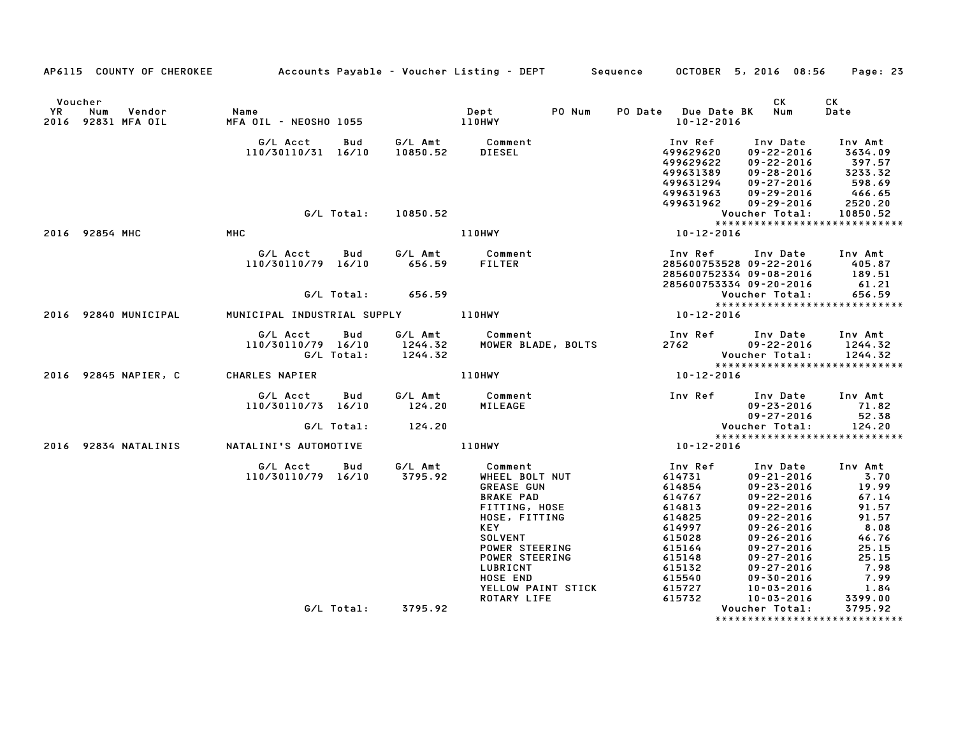|               | AP6115 COUNTY OF CHEROKEE Accounts Payable - Voucher Listing - DEPT Sequence OCTOBER 5, 2016 08:56 |                                                                  |            |                    |                                                                                                                                                                                                                                                                                              |  |                                                                                                                                                |                                                                                                                                                                                                                                                                  | Page: 23                                                                                                                           |  |
|---------------|----------------------------------------------------------------------------------------------------|------------------------------------------------------------------|------------|--------------------|----------------------------------------------------------------------------------------------------------------------------------------------------------------------------------------------------------------------------------------------------------------------------------------------|--|------------------------------------------------------------------------------------------------------------------------------------------------|------------------------------------------------------------------------------------------------------------------------------------------------------------------------------------------------------------------------------------------------------------------|------------------------------------------------------------------------------------------------------------------------------------|--|
| Voucher<br>YR | Num<br>Vendor<br>2016 92831 MFA OIL                                                                | Name                                                             |            |                    |                                                                                                                                                                                                                                                                                              |  | PO Date Due Date BK Num<br>10-12-2016                                                                                                          | CK                                                                                                                                                                                                                                                               | CK<br>Date                                                                                                                         |  |
|               |                                                                                                    | G/L Acct Bud                                                     | G/L Total: | 10850.52           | G/L Amt Comment<br>110/30110/31 16/10 10850.52 DIESEL                                                                                                                                                                                                                                        |  | Inv Ref<br>499629620<br>499629622<br>499631389<br>499631294<br>499631963<br>499631962                                                          | Inv Date<br>$09 - 22 - 2016$<br>$09 - 22 - 2016$<br>$09 - 28 - 2016$<br>$09 - 27 - 2016$<br>$09 - 29 - 2016$<br>09-29-2016                                                                                                                                       | Inv Amt<br>3634.09<br>397.57<br>3233.32<br>598.69<br>466.65<br>2520.20<br>10850.52                                                 |  |
|               |                                                                                                    |                                                                  |            |                    |                                                                                                                                                                                                                                                                                              |  | Voucher Total:<br>****************                                                                                                             |                                                                                                                                                                                                                                                                  |                                                                                                                                    |  |
|               | 2016 92854 MHC                                                                                     | MHC                                                              |            |                    | 110HWY                                                                                                                                                                                                                                                                                       |  | 10-12-2016                                                                                                                                     |                                                                                                                                                                                                                                                                  |                                                                                                                                    |  |
|               |                                                                                                    | 110/30110/79 16/10 656.59 FILTER                                 |            |                    | G/L Acct Bud G/L Amt Comment                                                                                                                                                                                                                                                                 |  | 1nv Ref       Inv Date     Inv Amt<br>285600753528 09–22–2016        405.87<br>285600752334 09–08–2016       189.51<br>285600753334 09-20-2016 |                                                                                                                                                                                                                                                                  | 61.21                                                                                                                              |  |
|               |                                                                                                    |                                                                  |            |                    |                                                                                                                                                                                                                                                                                              |  |                                                                                                                                                | Voucher Total:                                                                                                                                                                                                                                                   | 656.59                                                                                                                             |  |
|               | 2016 92840 MUNICIPAL                                                                               | MUNICIPAL INDUSTRIAL SUPPLY 110HWY                               |            |                    |                                                                                                                                                                                                                                                                                              |  | Vouc<br>*****<br>10-12-2016                                                                                                                    |                                                                                                                                                                                                                                                                  | ******************************                                                                                                     |  |
|               |                                                                                                    | G/L Acct Bud<br>110/30110/79 16/10 1244.32<br>G/L Total: 1244.32 |            |                    | G/L Amt Comment                                                                                                                                                                                                                                                                              |  | 2762 09-22-2016 1244.32<br>Voucher Total: 1244.32<br>*********************************                                                         |                                                                                                                                                                                                                                                                  |                                                                                                                                    |  |
|               | 2016 92845 NAPIER, C CHARLES NAPIER                                                                |                                                                  |            |                    | 110HWY                                                                                                                                                                                                                                                                                       |  | $10 - 12 - 2016$                                                                                                                               |                                                                                                                                                                                                                                                                  |                                                                                                                                    |  |
|               |                                                                                                    | G/L Acct<br>110/30110/73 16/10                                   | Bud        | 124.20             | G/L Amt Comment<br>MILEAGE                                                                                                                                                                                                                                                                   |  | Inv Ref Inv Date Inv Amt                                                                                                                       |                                                                                                                                                                                                                                                                  | $09 - 23 - 2016$<br>09-27-2016 52.38                                                                                               |  |
|               |                                                                                                    |                                                                  |            | G/L Total: 124.20  |                                                                                                                                                                                                                                                                                              |  |                                                                                                                                                |                                                                                                                                                                                                                                                                  | 124.20<br>*****************************                                                                                            |  |
|               | 2016 92834 NATALINIS         NATALINI'S AUTOMOTIVE                                                 |                                                                  |            |                    | $110HWY$ $10-12-2016$                                                                                                                                                                                                                                                                        |  |                                                                                                                                                |                                                                                                                                                                                                                                                                  |                                                                                                                                    |  |
|               |                                                                                                    |                                                                  |            |                    | G/L Acct  Bud  G/L Amt  Comment<br>110/30110/79 16/10  3795.92  WHEEL  BOLT  NUT<br><b>GREASE GUN</b><br><b>BRAKE PAD</b><br>FITTING, HOSE<br>HOSE, FITTING<br>KEY<br><b>SOLVENT</b><br>POWER STEERING<br>POWER STEERING<br>LUBRICNT<br>HOSE END<br>YELLOW PAINT STICK<br><b>ROTARY LIFE</b> |  | Inv Ref<br>614731<br>614854<br>614767<br>614813<br>614825<br>614997<br>615028<br>615164<br>615148<br>615132<br>615540<br>615727<br>615732      | $09 - 21 - 2016$<br>$09 - 23 - 2016$<br>$09 - 22 - 2016$<br>$09 - 22 - 2016$<br>$09 - 22 - 2016$<br>$09 - 26 - 2016$<br>$09 - 26 - 2016$<br>$09 - 27 - 2016$<br>$09 - 27 - 2016$<br>$09 - 27 - 2016$<br>$09 - 30 - 2016$<br>$10 - 03 - 2016$<br>$10 - 03 - 2016$ | Inv Date Inv Amt<br>3.70<br>19.99<br>67.14<br>91.57<br>91.57<br>8.08<br>46.76<br>25.15<br>25.15<br>7.98<br>7.99<br>1.84<br>3399.00 |  |
|               |                                                                                                    |                                                                  |            | G/L Total: 3795.92 |                                                                                                                                                                                                                                                                                              |  |                                                                                                                                                | Voucher Total:                                                                                                                                                                                                                                                   | 3795.92<br>*******************************                                                                                         |  |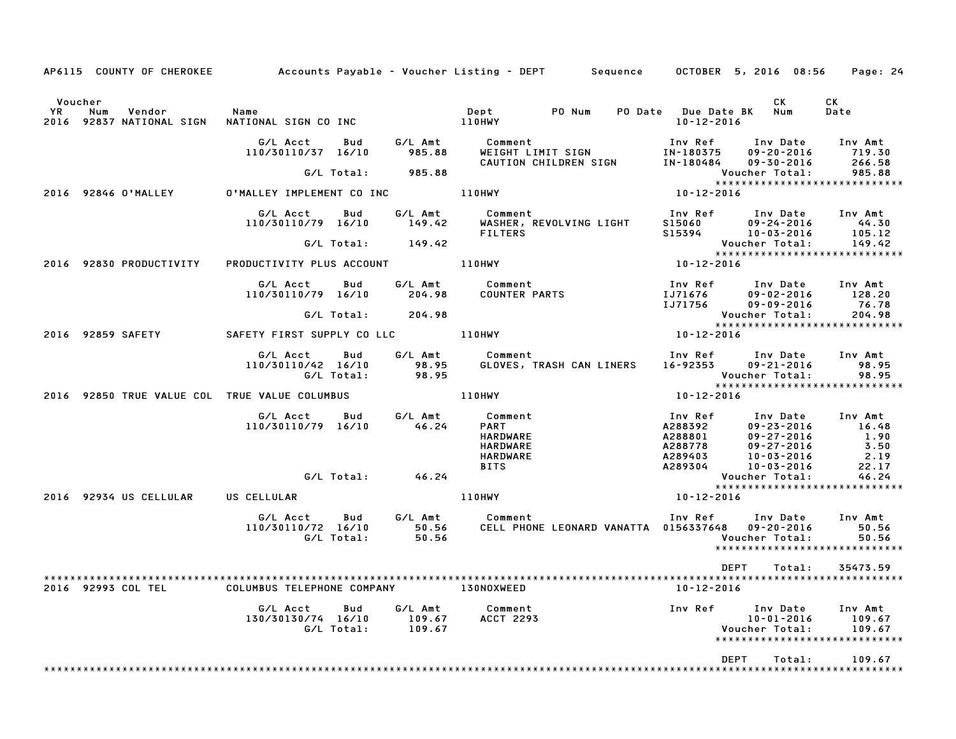| AP6115 COUNTY OF CHEROKEE Accounts Payable - Voucher Listing - DEPT Sequence OCTOBER 5, 2016 08:56 Page: 24 |                                                                                                                                                                                                                                      |                   |                             |                             |  |                  |                                                                                                                                                                                                                                                                             |                             |
|-------------------------------------------------------------------------------------------------------------|--------------------------------------------------------------------------------------------------------------------------------------------------------------------------------------------------------------------------------------|-------------------|-----------------------------|-----------------------------|--|------------------|-----------------------------------------------------------------------------------------------------------------------------------------------------------------------------------------------------------------------------------------------------------------------------|-----------------------------|
| Voucher                                                                                                     |                                                                                                                                                                                                                                      |                   |                             |                             |  | 10-12-2016       | CK .<br>PO Date Due Date BK Num                                                                                                                                                                                                                                             | CK<br>Date                  |
|                                                                                                             | 6/L Acct Bud G/L Amt Comment Inv Ref Inv Date Inv Amt<br>110/30110/37 16/10 985.88 WEIGHT LIMIT SIGN IN-180375 09-20-2016 719.30<br>CALLON CHILDREN SIGN IN-180484 09-30-2016 266.58                                                 |                   |                             |                             |  |                  |                                                                                                                                                                                                                                                                             |                             |
|                                                                                                             |                                                                                                                                                                                                                                      | G/L Total: 985.88 |                             |                             |  |                  | Voucher Total: 985.88<br>*****************************<br>10-12-2016                                                                                                                                                                                                        | 985.88                      |
| 2016 92846 O'MALLEY O'MALLEY IMPLEMENT CO INC 110HWY                                                        |                                                                                                                                                                                                                                      |                   |                             |                             |  |                  |                                                                                                                                                                                                                                                                             |                             |
|                                                                                                             | 6/L Acct Bud 6/L Amt Comment Inv Ref Inv Date Inv Amt<br>110/30110/79 16/10 149.42 WASHER, REVOLVING LIGHT S15060 09–24–2016 44.30<br>6/L Total: 149.42 FILTERS 0DUCTIVITY PLUS ACCOUNT 110HWY 10-12-2016 ************************** |                   |                             |                             |  |                  |                                                                                                                                                                                                                                                                             |                             |
|                                                                                                             |                                                                                                                                                                                                                                      |                   |                             |                             |  |                  |                                                                                                                                                                                                                                                                             |                             |
| 2016 92830 PRODUCTIVITY                                                                                     | PRODUCTIVITY PLUS ACCOUNT 110HWY                                                                                                                                                                                                     |                   |                             |                             |  |                  |                                                                                                                                                                                                                                                                             |                             |
|                                                                                                             |                                                                                                                                                                                                                                      |                   |                             |                             |  |                  |                                                                                                                                                                                                                                                                             |                             |
|                                                                                                             |                                                                                                                                                                                                                                      | G/L Total: 204.98 |                             |                             |  |                  |                                                                                                                                                                                                                                                                             |                             |
| 2016 92859 SAFETY SAFETY FIRST SUPPLY CO LLC 110HWY                                                         |                                                                                                                                                                                                                                      |                   |                             |                             |  |                  |                                                                                                                                                                                                                                                                             |                             |
|                                                                                                             | G/L Acct Bud G/L Amt Comment Inv Ref Inv Date Inv Amt<br>110/30110/42 16/10 98.95 GLOVES, TRASH CAN LINERS 16–92353 09–21–2016 98.95<br>G/L Total: 98.95 GLOVES, TRASH CAN LINERS 16–92353 Voucher Total: 98.95                      |                   |                             |                             |  |                  |                                                                                                                                                                                                                                                                             |                             |
| 2016 92850 TRUE VALUE COL TRUE VALUE COLUMBUS   110HWY                                                      |                                                                                                                                                                                                                                      |                   |                             |                             |  |                  | Voucher Total: 98.95<br>******************************<br>10-12-2016                                                                                                                                                                                                        |                             |
|                                                                                                             | G/L Acct Bud G/L Amt Comment<br>110/30110/79 16/10 46.24                                                                                                                                                                             |                   |                             |                             |  |                  | Inv Ref Inv Date Inv Amt<br>UOMMENT PART<br>PART<br>HARDWARE A288392 09-27-2016 1.90<br>HARDWARE A288778 09-27-2016 1.90<br>HARDWARE A289403 10-03-2016 2.19<br>BITS A289304 10-03-2016 22.17<br>PARDWARE A289304 10-03-2016 22.17<br>PARDWARE A289304 10-03-2016 22.17<br> |                             |
|                                                                                                             | G/L Total: 46.24                                                                                                                                                                                                                     |                   |                             |                             |  |                  |                                                                                                                                                                                                                                                                             |                             |
| 2016 92934 US CELLULAR US CELLULAR $\begin{array}{ccc}\n & & & \\ 110H WY\n\end{array}$                     |                                                                                                                                                                                                                                      |                   |                             |                             |  | 10-12-2016       |                                                                                                                                                                                                                                                                             |                             |
|                                                                                                             | G/L Acct      Bud      G/L Amt        Comment<br>110/30110/72 16/10 50.56 CELL PHONE LEONARD VANATTA 0156337648 09-20-2016 50.56<br>G/L Total: 50.56 CELL PHONE LEONARD VANATTA 0156337648 09-20-2016 50.56                          |                   |                             |                             |  |                  | Inv Ref Inv Date Inv Amt<br>*****************************                                                                                                                                                                                                                   |                             |
| 92993 COL TEL<br>2016                                                                                       | COLUMBUS TELEPHONE COMPANY                                                                                                                                                                                                           |                   |                             | 130NOXWEED                  |  | $10 - 12 - 2016$ | DEPT<br>Total:                                                                                                                                                                                                                                                              | 35473.59                    |
|                                                                                                             | G/L Acct<br>130/30130/74 16/10                                                                                                                                                                                                       | Bud<br>G/L Total: | G/L Amt<br>109.67<br>109.67 | Comment<br><b>ACCT 2293</b> |  | Inv Ref          | Inv Date<br>$10 - 01 - 2016$<br>Voucher Total:<br>*****************************                                                                                                                                                                                             | Inv Amt<br>109.67<br>109.67 |
|                                                                                                             |                                                                                                                                                                                                                                      |                   |                             |                             |  |                  | <b>DEPT</b><br>Total:                                                                                                                                                                                                                                                       | 109.67                      |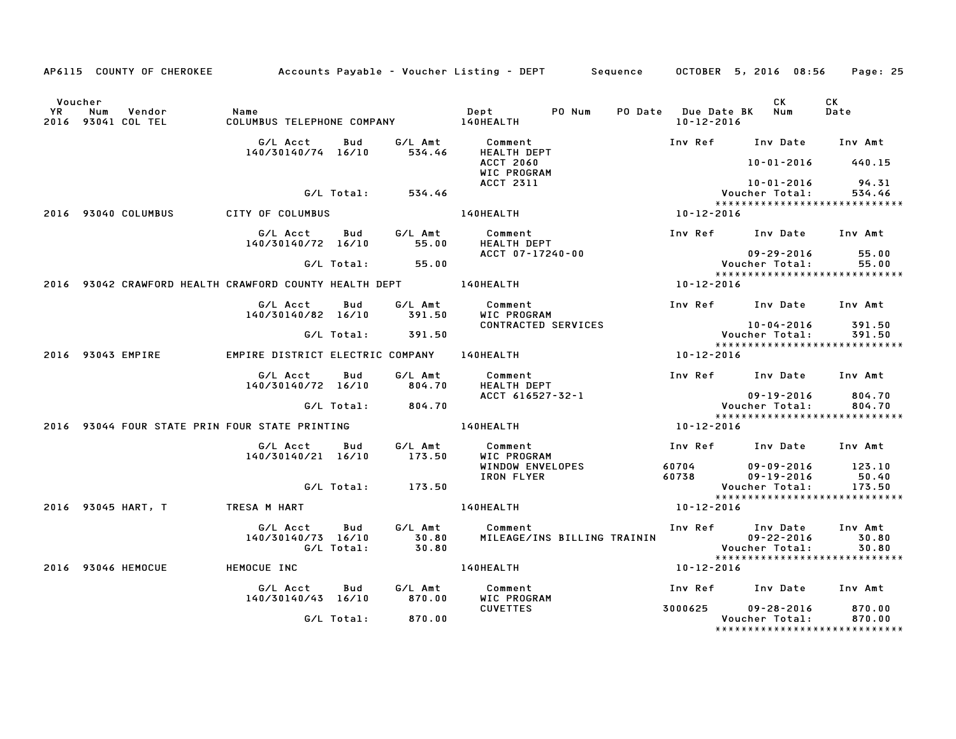|               |     | AP6115 COUNTY OF CHEROKEE    |                                                                  |                   |                           | Accounts Payable – Voucher Listing – DEPT         Sequence |                                         | OCTOBER 5, 2016 08:56                                               | Page: 25                  |
|---------------|-----|------------------------------|------------------------------------------------------------------|-------------------|---------------------------|------------------------------------------------------------|-----------------------------------------|---------------------------------------------------------------------|---------------------------|
|               |     |                              |                                                                  |                   |                           |                                                            |                                         |                                                                     |                           |
| Voucher<br>YR | Num | Vendor<br>2016 93041 COL TEL | Name<br>COLUMBUS TELEPHONE COMPANY 140HEALTH                     |                   |                           | PO Num<br>Dept                                             | PO Date Due Date BK<br>$10 - 12 - 2016$ | <b>CK</b><br>Num                                                    | <b>CK</b><br>Date         |
|               |     |                              | G/L Acct<br>140/30140/74 16/10                                   | Bud               | G/L Amt<br>534.46         | Comment<br><b>HEALTH DEPT</b>                              |                                         | Inv Ref Inv Date                                                    | Inv Amt                   |
|               |     |                              |                                                                  |                   |                           | <b>ACCT 2060</b><br>WIC PROGRAM<br><b>ACCT 2311</b>        |                                         | 10-01-2016<br>$10 - 01 - 2016$                                      | 440.15<br>94.31           |
|               |     |                              |                                                                  | G/L Total:        | 534.46                    |                                                            |                                         | Voucher Total:<br>*****************************                     | 534.46                    |
|               |     | 2016 93040 COLUMBUS          | CITY OF COLUMBUS                                                 |                   |                           | 140HEALTH                                                  | 10-12-2016                              |                                                                     |                           |
|               |     |                              | G/L Acct<br>140/30140/72 16/10                                   | Bud               | G/L Amt<br>55.00          | Comment<br>HEALTH DEPT                                     |                                         | Inv Ref Inv Date                                                    | Inv Amt                   |
|               |     |                              |                                                                  | G/L Total:        | 55.00                     | ACCT 07-17240-00                                           |                                         | $09 - 29 - 2016$<br>Voucher Total:<br>***************************** | 55.00<br>55.00            |
|               |     |                              | 2016 93042 CRAWFORD HEALTH CRAWFORD COUNTY HEALTH DEPT 140HEALTH |                   |                           |                                                            | 10-12-2016                              |                                                                     |                           |
|               |     |                              | G/L Acct<br>140/30140/82 16/10                                   | Bud               | G/L Amt<br>391.50         | Comment<br>WIC PROGRAM                                     |                                         | Inv Ref Inv Date Inv Amt                                            |                           |
|               |     |                              |                                                                  | G/L Total:        | 391.50                    | CONTRACTED SERVICES                                        |                                         | 10-04-2016<br>Voucher Total:<br>*****************************       | 391.50<br>391.50          |
|               |     | 2016 93043 EMPIRE            | EMPIRE DISTRICT ELECTRIC COMPANY                                 |                   |                           | 140HEALTH                                                  | 10-12-2016                              |                                                                     |                           |
|               |     |                              | G/L Acct<br>140/30140/72 16/10                                   | Bud               | G/L Amt<br>804.70         | Comment<br><b>HEALTH DEPT</b>                              |                                         | Inv Ref Inv Date                                                    | Inv Amt                   |
|               |     |                              |                                                                  | G/L Total:        | 804.70                    | ACCT 616527-32-1                                           |                                         | $09 - 19 - 2016$<br>Voucher Total:                                  | 804.70<br>804.70          |
|               |     |                              | 2016 93044 FOUR STATE PRIN FOUR STATE PRINTING                   |                   |                           | 140HEALTH                                                  | 10-12-2016                              | *****************************                                       |                           |
|               |     |                              | G/L Acct<br>140/30140/21 16/10                                   | Bud               | G/L Amt<br>173.50         | Comment<br>WIC PROGRAM                                     |                                         | Inv Ref Inv Date                                                    | Inv Amt                   |
|               |     |                              |                                                                  |                   |                           | WINDOW ENVELOPES<br>IRON FLYER                             | 60704<br>60738                          | $09 - 09 - 2016$<br>$09 - 19 - 2016$                                | 123.10<br>50.40           |
|               |     |                              |                                                                  | G/L Total:        | 173.50                    |                                                            |                                         | Voucher Total:<br>*****************************                     | 173.50                    |
|               |     | 2016 93045 HART, T           | TRESA M HART                                                     |                   |                           | 140HEALTH                                                  | 10-12-2016                              |                                                                     |                           |
|               |     |                              | G/L Acct<br>140/30140/73 16/10                                   | Bud<br>G/L Total: | G/L Amt<br>30.80<br>30.80 | Comment<br>MILEAGE/INS BILLING TRAININ                     | Inv Ref                                 | Inv Date<br>$09 - 22 - 2016$<br>Voucher Total:                      | Inv Amt<br>30.80<br>30.80 |
|               |     |                              |                                                                  |                   |                           |                                                            |                                         | *****************************                                       |                           |
|               |     | 2016 93046 HEMOCUE           | HEMOCUE INC                                                      |                   |                           | 140HEALTH                                                  | 10-12-2016                              |                                                                     |                           |
|               |     |                              | G/L Acct<br>140/30140/43 16/10                                   | Bud               | G/L Amt<br>870.00         | Comment<br>WIC PROGRAM                                     |                                         | Inv Ref Inv Date                                                    | Inv Amt                   |
|               |     |                              |                                                                  | G/L Total:        | 870.00                    | <b>CUVETTES</b>                                            | 3000625                                 | $09 - 28 - 2016$<br>Voucher Total:                                  | 870.00<br>870.00          |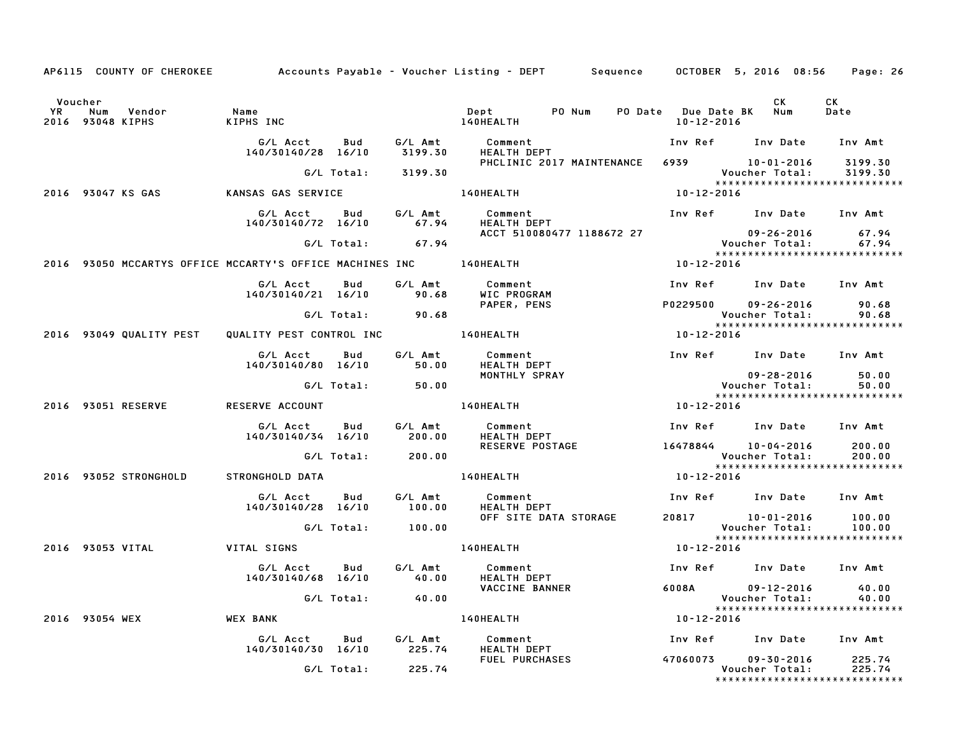|               |                         | AP6115 COUNTY OF CHEROKEE |                                                                            |            |                    | Accounts Payable – Voucher Listing – DEPT – Sequence – OCTOBER 5, 2016 08:56 |            |                                                                        | Page: 26           |
|---------------|-------------------------|---------------------------|----------------------------------------------------------------------------|------------|--------------------|------------------------------------------------------------------------------|------------|------------------------------------------------------------------------|--------------------|
| Voucher<br>YR | Num<br>2016 93048 KIPHS | Vendor                    | Name<br>KIPHS INC                                                          |            |                    | Dept PO Num<br>140HEALTH                                                     | 10-12-2016 | CK<br>PO Date Due Date BK Num                                          | CK<br>Date         |
|               |                         |                           | G/L Acct<br>140/30140/28 16/10                                             | Bud        | G/L Amt<br>3199.30 | Comment<br>HEALTH DEPT                                                       |            | Inv Ref Inv Date Inv Amt                                               |                    |
|               |                         |                           |                                                                            | G/L Total: | 3199.30            | PHCLINIC 2017 MAINTENANCE                                                    |            | 6939 10-01-2016<br>Voucher Total:                                      | 3199.30<br>3199.30 |
|               |                         | 2016 93047 KS GAS         | KANSAS GAS SERVICE                                                         |            |                    | 140HEALTH                                                                    | 10-12-2016 | *****************************                                          |                    |
|               |                         |                           | G/L Acct<br>140/30140/72 16/10                                             | Bud        | G/L Amt<br>67.94   | Comment<br>HEALTH DEPT                                                       |            | Inv Ref Inv Date Inv Amt                                               |                    |
|               |                         |                           |                                                                            | G/L Total: | 67.94              | ACCT 510080477 1188672 27                                                    |            | 09-26-2016<br>Voucher Total:<br>*****************************          | 67.94<br>67.94     |
|               |                         |                           | 2016 93050 MCCARTYS OFFICE MCCARTY'S OFFICE MACHINES INC _______ 140HEALTH |            |                    |                                                                              | 10-12-2016 |                                                                        |                    |
|               |                         |                           | G/L Acct<br>140/30140/21 16/10                                             | Bud        | G/L Amt<br>90.68   | Comment<br>WIC PROGRAM                                                       |            | Inv Ref Inv Date Inv Amt                                               |                    |
|               |                         |                           |                                                                            | G/L Total: | 90.68              | PAPER, PENS                                                                  | P0229500   | $09 - 26 - 2016$<br>Voucher Total:                                     | 90.68<br>90.68     |
|               |                         | 2016 93049 QUALITY PEST   | QUALITY PEST CONTROL INC                                                   |            |                    | <b>140HEALTH</b>                                                             | 10-12-2016 | ******************************                                         |                    |
|               |                         |                           | G/L Acct<br>140/30140/80 16/10                                             | Bud        | G/L Amt<br>50.00   | Comment<br><b>HEALTH DEPT</b>                                                |            | Inv Ref Inv Date                                                       | Inv Amt            |
|               |                         |                           |                                                                            | G/L Total: | 50.00              | MONTHLY SPRAY                                                                |            | $09 - 28 - 2016$<br>Voucher Total:<br>*****************************    | 50.00<br>50.00     |
|               |                         | 2016 93051 RESERVE        | RESERVE ACCOUNT                                                            |            |                    | 140HEALTH                                                                    | 10-12-2016 |                                                                        |                    |
|               |                         |                           | G/L Acct<br>140/30140/34 16/10                                             | Bud        | G/L Amt<br>200.00  | Comment<br><b>HEALTH DEPT</b>                                                |            | Inv Ref Inv Date Inv Amt                                               |                    |
|               |                         |                           |                                                                            | G/L Total: | 200.00             | RESERVE POSTAGE                                                              |            | 16478844 10-04-2016<br>Voucher Total:<br>***************************** | 200.00<br>200.00   |
|               |                         | 2016 93052 STRONGHOLD     | STRONGHOLD DATA                                                            |            |                    | 140HEALTH                                                                    | 10-12-2016 |                                                                        |                    |
|               |                         |                           | G/L Acct<br>140/30140/28 16/10                                             | Bud        | G/L Amt<br>100.00  | Comment<br>HEALTH DEPT                                                       |            | Inv Ref Inv Date Inv Amt                                               |                    |
|               |                         |                           |                                                                            | G/L Total: | 100.00             | OFF SITE DATA STORAGE                                                        |            | 20817 10-01-2016<br>Voucher Total:                                     | 100.00<br>100.00   |
|               | 2016 93053 VITAL        |                           | VITAL SIGNS                                                                |            |                    | 140HEALTH                                                                    | 10-12-2016 | ******************************                                         |                    |
|               |                         |                           | G/L Acct<br>140/30140/68 16/10                                             | Bud        | G/L Amt<br>40.00   | Comment<br>HEALTH DEPT                                                       | Inv Ref    | Inv Date Inv Amt                                                       |                    |
|               |                         |                           |                                                                            | G/L Total: | 40.00              | <b>VACCINE BANNER</b>                                                        | 6008A      | $09 - 12 - 2016$ 40.00<br>Voucher Total:                               | 40.00              |
|               | 2016 93054 WEX          |                           | <b>WEX BANK</b>                                                            |            |                    | 140HEALTH                                                                    | 10-12-2016 | *****************************                                          |                    |
|               |                         |                           | G/L Acct<br>140/30140/30 16/10                                             | Bud        | G/L Amt<br>225.74  | Comment<br><b>HEALTH DEPT</b>                                                | Inv Ref    | Inv Date                                                               | Inv Amt            |
|               |                         |                           |                                                                            | G/L Total: | 225.74             | <b>FUEL PURCHASES</b>                                                        | 47060073   | $09 - 30 - 2016$<br>Voucher Total:<br>*****************************    | 225.74<br>225.74   |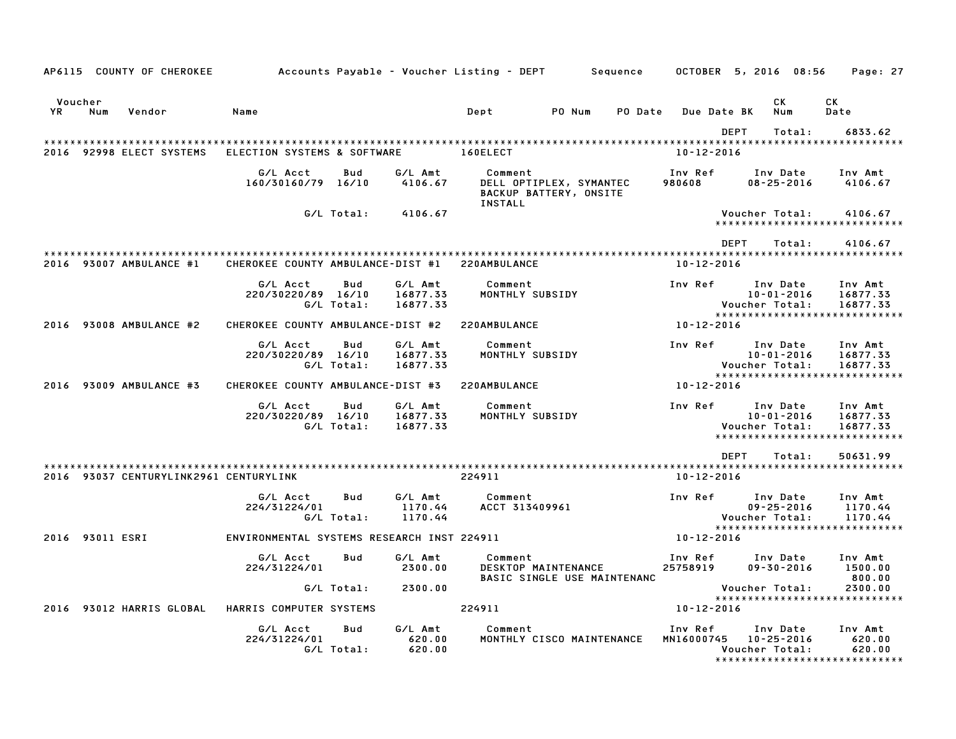|                 |     | AP6115 COUNTY OF CHEROKEE              |                                            |                   |                                 | Accounts Payable – Voucher Listing – DEPT                     | Sequence |                       |             | OCTOBER 5, 2016 08:56                          | Page: 27                                                          |
|-----------------|-----|----------------------------------------|--------------------------------------------|-------------------|---------------------------------|---------------------------------------------------------------|----------|-----------------------|-------------|------------------------------------------------|-------------------------------------------------------------------|
| Voucher<br>YR   | Num | Vendor                                 | Name                                       |                   |                                 | Dept<br>PO Num                                                | PO Date  |                       | Due Date BK | CК<br>Num                                      | СK<br>Date                                                        |
|                 |     |                                        |                                            |                   |                                 |                                                               |          |                       | <b>DEPT</b> | Total:                                         | 6833.62                                                           |
|                 |     | 2016 92998 ELECT SYSTEMS               | ELECTION SYSTEMS & SOFTWARE                |                   |                                 | 160ELECT                                                      |          | $10 - 12 - 2016$      |             |                                                |                                                                   |
|                 |     |                                        | G/L Acct<br>160/30160/79 16/10             | Bud               | G/L Amt<br>4106.67              | Comment<br>DELL OPTIPLEX, SYMANTEC<br>BACKUP BATTERY, ONSITE  |          | Inv Ref<br>980608     |             | Inv Date<br>$08 - 25 - 2016$                   | Inv Amt<br>4106.67                                                |
|                 |     |                                        |                                            | G/L Total:        | 4106.67                         | <b>INSTALL</b>                                                |          |                       |             | Voucher Total:                                 | 4106.67<br>*****************************                          |
|                 |     |                                        |                                            |                   |                                 |                                                               |          |                       | <b>DEPT</b> | Total:                                         | 4106.67                                                           |
|                 |     | 2016 93007 AMBULANCE #1                | CHEROKEE COUNTY AMBULANCE-DIST #1          |                   |                                 | 220AMBULANCE                                                  |          | $10 - 12 - 2016$      |             |                                                |                                                                   |
|                 |     |                                        | G/L Acct<br>220/30220/89 16/10             | Bud<br>G/L Total: | G/L Amt<br>16877.33<br>16877.33 | Comment<br>MONTHLY SUBSIDY                                    |          | Inv Ref               |             | Inv Date<br>$10 - 01 - 2016$<br>Voucher Total: | Inv Amt<br>16877.33<br>16877.33                                   |
|                 |     | 2016 93008 AMBULANCE #2                | CHEROKEE COUNTY AMBULANCE-DIST #2          |                   |                                 | 220AMBULANCE                                                  |          | 10-12-2016            |             |                                                | ******************************                                    |
|                 |     |                                        | G/L Acct<br>220/30220/89 16/10             | Bud<br>G/L Total: | G/L Amt<br>16877.33<br>16877.33 | Comment<br>MONTHLY SUBSIDY                                    |          | Inv Ref               |             | Inv Date<br>$10 - 01 - 2016$<br>Voucher Total: | Inv Amt<br>16877.33<br>16877.33<br>*****************************  |
|                 |     | 2016 93009 AMBULANCE #3                | CHEROKEE COUNTY AMBULANCE-DIST #3          |                   |                                 | 220AMBULANCE                                                  |          | 10-12-2016            |             |                                                |                                                                   |
|                 |     |                                        | G/L Acct<br>220/30220/89 16/10             | Bud<br>G/L Total: | G/L Amt<br>16877.33<br>16877.33 | Comment<br>MONTHLY SUBSIDY                                    |          | Inv Ref               |             | Inv Date<br>$10 - 01 - 2016$<br>Voucher Total: | Inv Amt<br>16877.33<br>16877.33<br>****************************** |
|                 |     |                                        |                                            |                   |                                 |                                                               |          |                       | <b>DEPT</b> | Total:                                         | 50631.99                                                          |
|                 |     | 2016 93037 CENTURYLINK2961 CENTURYLINK |                                            |                   |                                 | 224911                                                        |          | 10-12-2016            |             |                                                |                                                                   |
|                 |     |                                        | G/L Acct<br>224/31224/01                   | Bud<br>G/L Total: | G/L Amt<br>1170.44<br>1170.44   | Comment<br>ACCT 313409961                                     |          | Inv Ref               |             | Inv Date<br>$09 - 25 - 2016$<br>Voucher Total: | Inv Amt<br>1170.44<br>1170.44<br>*****************************    |
| 2016 93011 ESRI |     |                                        | ENVIRONMENTAL SYSTEMS RESEARCH INST 224911 |                   |                                 |                                                               |          | 10-12-2016            |             |                                                |                                                                   |
|                 |     |                                        | G/L Acct<br>224/31224/01                   | Bud               | G/L Amt<br>2300.00              | Comment<br>DESKTOP MAINTENANCE<br>BASIC SINGLE USE MAINTENANC |          | Inv Ref<br>25758919   |             | Inv Date<br>$09 - 30 - 2016$                   | Inv Amt<br>1500.00<br>800.00                                      |
|                 |     |                                        |                                            | G/L Total:        | 2300.00                         |                                                               |          |                       |             | Voucher Total:                                 | 2300.00<br>*****************************                          |
|                 |     | 2016 93012 HARRIS GLOBAL               | HARRIS COMPUTER SYSTEMS                    |                   |                                 | 224911                                                        |          | $10 - 12 - 2016$      |             |                                                |                                                                   |
|                 |     |                                        | G/L Acct<br>224/31224/01                   | Bud<br>G/L Total: | G/L Amt<br>620.00<br>620.00     | Comment<br>MONTHLY CISCO MAINTENANCE                          |          | Inv Ref<br>MN16000745 |             | Inv Date<br>10-25-2016<br>Voucher Total:       | Inv Amt<br>620.00<br>620.00<br>*****************************      |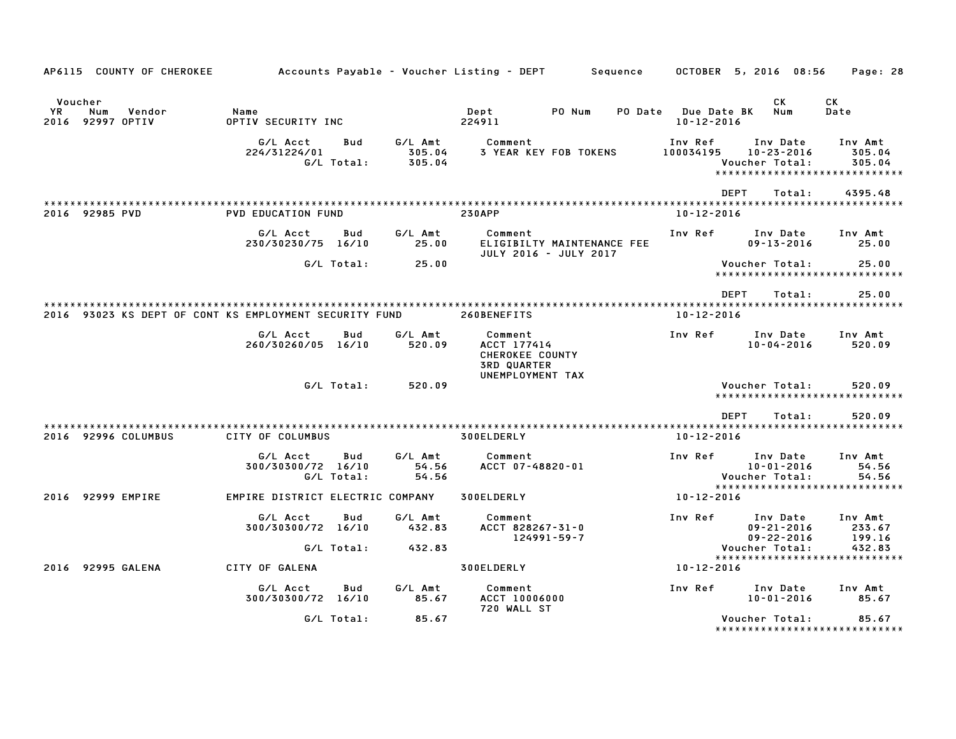| AP6115 COUNTY OF CHEROKEE                              |                                  |                   |                             |                                                                                            | Accounts Payable – Voucher Listing – DEPT         Sequence |                                         | OCTOBER 5, 2016 08:56                            | Page: 28                                                     |
|--------------------------------------------------------|----------------------------------|-------------------|-----------------------------|--------------------------------------------------------------------------------------------|------------------------------------------------------------|-----------------------------------------|--------------------------------------------------|--------------------------------------------------------------|
| Voucher<br>YR<br>Num<br>Vendor<br>2016 92997 OPTIV     | Name<br>OPTIV SECURITY INC       |                   |                             | Dept<br>224911                                                                             | PO Num                                                     | PO Date Due Date BK<br>$10 - 12 - 2016$ | CK<br>Num                                        | CK<br>Date                                                   |
|                                                        | G/L Acct<br>224/31224/01         | Bud<br>G/L Total: | G/L Amt<br>305.04<br>305.04 | Comment                                                                                    | <b>3 YEAR KEY FOB TOKENS</b>                               | Inv Ref<br>100034195                    | Inv Date<br>$10 - 23 - 2016$<br>Voucher Total:   | Inv Amt<br>305.04<br>305.04<br>***************************** |
| 2016 92985 PVD                                         | <b>PVD EDUCATION FUND</b>        |                   |                             | <b>230APP</b>                                                                              |                                                            | <b>DEPT</b><br>$10 - 12 - 2016$         | Total:                                           | 4395.48                                                      |
|                                                        | G/L Acct<br>230/30230/75 16/10   | Bud               | G/L Amt<br>25.00            | Comment                                                                                    | ELIGIBILTY MAINTENANCE FEE<br>JULY 2016 - JULY 2017        | Inv Ref                                 | Inv Date<br>$09 - 13 - 2016$                     | Inv Amt<br>25.00                                             |
|                                                        |                                  | G/L Total:        | 25.00                       |                                                                                            |                                                            |                                         | Voucher Total:                                   | 25.00<br>*****************************                       |
| 2016 93023 KS DEPT OF CONT KS EMPLOYMENT SECURITY FUND |                                  |                   |                             | 260BENEFITS                                                                                |                                                            | <b>DEPT</b><br>10-12-2016               | Total:                                           | 25.00                                                        |
|                                                        | G/L Acct<br>260/30260/05 16/10   | Bud               | G/L Amt<br>520.09           | Comment<br>ACCT 177414<br><b>CHEROKEE COUNTY</b><br><b>3RD QUARTER</b><br>UNEMPLOYMENT TAX |                                                            | Inv Ref                                 | Inv Date<br>10-04-2016                           | Inv Amt<br>520.09                                            |
|                                                        |                                  | G/L Total:        | 520.09                      |                                                                                            |                                                            |                                         | Voucher Total:                                   | 520.09<br>******************************                     |
| 2016 92996 COLUMBUS                                    | CITY OF COLUMBUS                 |                   |                             | 300ELDERLY                                                                                 |                                                            | <b>DEPT</b><br>$10 - 12 - 2016$         | Total:                                           | 520.09                                                       |
|                                                        | G/L Acct<br>300/30300/72 16/10   | Bud<br>G/L Total: | G/L Amt<br>54.56<br>54.56   | Comment<br>ACCT 07-48820-01                                                                |                                                            | Inv Ref                                 | Inv Date<br>$10 - 01 - 2016$<br>Voucher Total:   | Inv Amt<br>54.56<br>54.56                                    |
| 2016 92999 EMPIRE                                      | EMPIRE DISTRICT ELECTRIC COMPANY |                   |                             | 300ELDERLY                                                                                 |                                                            | 10-12-2016                              |                                                  | *****************************                                |
|                                                        | G/L Acct<br>300/30300/72 16/10   | Bud               | G/L Amt<br>432.83           | Comment<br>ACCT 828267-31-0<br>$124991 - 59 - 7$                                           |                                                            | Inv Ref                                 | Inv Date<br>$09 - 21 - 2016$<br>$09 - 22 - 2016$ | Inv Amt<br>233.67<br>199.16                                  |
| 2016 92995 GALENA                                      | CITY OF GALENA                   | G/L Total:        | 432.83                      | 300ELDERLY                                                                                 |                                                            | 10-12-2016                              | Voucher Total:                                   | 432.83<br>*****************************                      |
|                                                        | G/L Acct<br>300/30300/72 16/10   | Bud               | G/L Amt<br>85.67            | Comment<br><b>ACCT 10006000</b><br>720 WALL ST                                             |                                                            | Inv Ref                                 | Inv Date<br>$10 - 01 - 2016$                     | Inv Amt<br>85.67                                             |
|                                                        |                                  | G/L Total:        | 85.67                       |                                                                                            |                                                            |                                         | Voucher Total:                                   | 85.67<br>*****************************                       |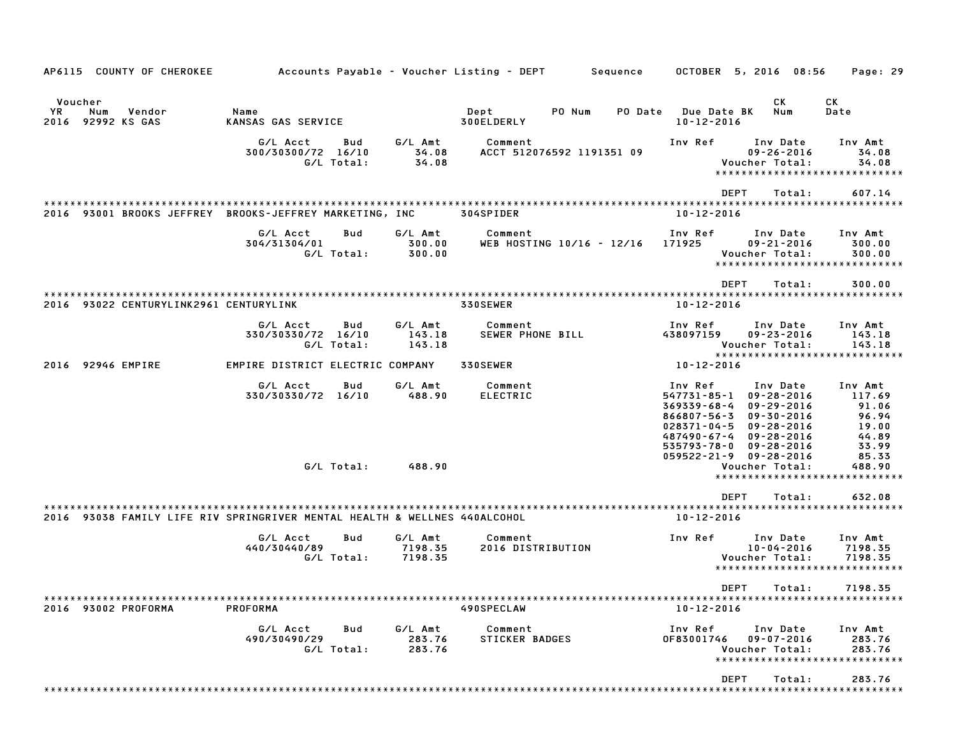| AP6115 COUNTY OF CHEROKEE                                                 | Accounts Payable – Voucher Listing – DEPT           |                               | Sequence                                | OCTOBER 5, 2016 08:56<br>Page: 29                                                                                                                                                                                                                                                                                                                                        |
|---------------------------------------------------------------------------|-----------------------------------------------------|-------------------------------|-----------------------------------------|--------------------------------------------------------------------------------------------------------------------------------------------------------------------------------------------------------------------------------------------------------------------------------------------------------------------------------------------------------------------------|
| Voucher<br>YR.<br>Num<br>Vendor<br>2016 92992 KS GAS                      | Name<br>KANSAS GAS SERVICE                          |                               | Dept<br>PO Num<br>PO Date<br>300ELDERLY | СK<br>CK.<br><b>Due Date BK</b><br>Num<br>Date<br>$10 - 12 - 2016$                                                                                                                                                                                                                                                                                                       |
|                                                                           | G/L Acct<br>Bud<br>300/30300/72 16/10<br>G/L Total: | G/L Amt<br>34.08<br>34.08     | Comment<br>ACCT 512076592 1191351 09    | Inv Ref<br>Inv Date<br>Inv Amt<br>$09 - 26 - 2016$<br>34.08<br>Voucher Total:<br>34.08<br>*****************************                                                                                                                                                                                                                                                  |
|                                                                           |                                                     |                               |                                         | <b>DEPT</b><br>607.14<br>Total:                                                                                                                                                                                                                                                                                                                                          |
| 2016 93001 BROOKS JEFFREY BROOKS-JEFFREY MARKETING, INC                   |                                                     |                               | 304SPIDER                               | $10 - 12 - 2016$                                                                                                                                                                                                                                                                                                                                                         |
|                                                                           | G/L Acct<br>Bud<br>304/31304/01<br>G/L Total:       | G/L Amt<br>300.00<br>300.00   | Comment<br>WEB HOSTING 10/16 - 12/16    | Inv Ref<br>Inv Date<br>Inv Amt<br>171925<br>$09 - 21 - 2016$<br>300.00<br>Voucher Total:<br>300.00<br>*****************************                                                                                                                                                                                                                                      |
|                                                                           |                                                     |                               |                                         | <b>DEPT</b><br>300.00<br>Total:                                                                                                                                                                                                                                                                                                                                          |
| 2016 93022 CENTURYLINK2961 CENTURYLINK                                    |                                                     |                               | 330SEWER                                | $10 - 12 - 2016$                                                                                                                                                                                                                                                                                                                                                         |
|                                                                           | G/L Acct<br>Bud<br>330/30330/72 16/10<br>G/L Total: | G/L Amt<br>143.18<br>143.18   | Comment<br>SEWER PHONE BILL             | Inv Ref<br>Inv Date<br>Inv Amt<br>438097159<br>$09 - 23 - 2016$<br>143.18<br>Voucher Total:<br>143.18<br>******************************                                                                                                                                                                                                                                  |
| 2016 92946 EMPIRE                                                         | EMPIRE DISTRICT ELECTRIC COMPANY                    |                               | 330SEWER                                | 10-12-2016                                                                                                                                                                                                                                                                                                                                                               |
|                                                                           | G/L Acct<br>Bud<br>330/30330/72 16/10               | G/L Amt<br>488.90             | Comment<br><b>ELECTRIC</b>              | Inv Ref<br>Inv Date<br>Inv Amt<br>547731-85-1<br>$09 - 28 - 2016$<br>117.69<br>$369339 - 68 - 4$<br>$09 - 29 - 2016$<br>91.06<br>96.94<br>866807-56-3<br>$09 - 30 - 2016$<br>$028371 - 04 - 5$<br>19.00<br>$09 - 28 - 2016$<br>44.89<br>487490-67-4<br>$09 - 28 - 2016$<br>$535793 - 78 - 0$<br>$09 - 28 - 2016$<br>33.99<br>$059522 - 21 - 9$ $09 - 28 - 2016$<br>85.33 |
|                                                                           | G/L Total:                                          | 488.90                        |                                         | Voucher Total:<br>488.90<br>*****************************                                                                                                                                                                                                                                                                                                                |
| 2016 93038 FAMILY LIFE RIV SPRINGRIVER MENTAL HEALTH & WELLNES 440ALCOHOL |                                                     |                               |                                         | <b>DEPT</b><br>632.08<br>Total:<br>$10 - 12 - 2016$                                                                                                                                                                                                                                                                                                                      |
|                                                                           | G/L Acct<br>Bud<br>440/30440/89<br>G/L Total:       | G/L Amt<br>7198.35<br>7198.35 | Comment<br>2016 DISTRIBUTION            | Inv Ref<br>Inv Date<br>Inv Amt<br>$10 - 04 - 2016$<br>7198.35<br>Voucher Total:<br>7198.35<br>*****************************                                                                                                                                                                                                                                              |
|                                                                           |                                                     |                               |                                         | DFPT<br>7198.35<br>Total:                                                                                                                                                                                                                                                                                                                                                |
| 2016 93002 PROFORMA                                                       | PROFORMA                                            |                               | 490SPECLAW                              | $10 - 12 - 2016$                                                                                                                                                                                                                                                                                                                                                         |
|                                                                           | G/L Acct<br>Bud<br>490/30490/29<br>G/L Total:       | G/L Amt<br>283.76<br>283.76   | Comment<br>STICKER BADGES               | Inv Ref<br>Inv Date<br>Inv Amt<br>$09 - 07 - 2016$<br>283.76<br>OF83001746<br>Voucher Total:<br>283.76<br>*****************************                                                                                                                                                                                                                                  |
|                                                                           |                                                     |                               |                                         | DEPT<br>283.76<br>Total:                                                                                                                                                                                                                                                                                                                                                 |